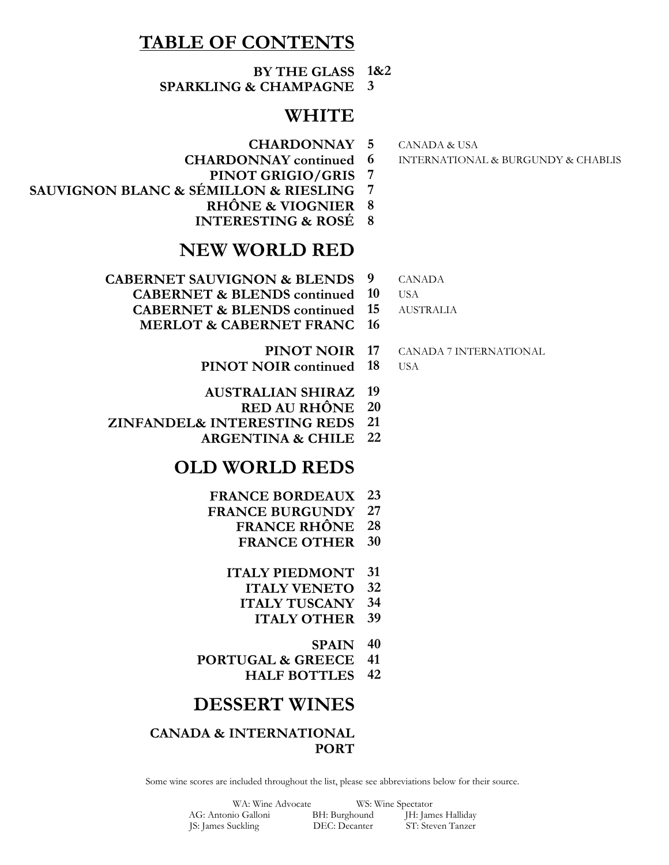#### **TABLE OF CONTENTS**

**BY THE GLASS 1&2 SPARKLING & CHAMPAGNE 3**

#### **WHITE**

- **CHARDONNAY**
- **CHARDONNAY continued**
- **PINOT GRIGIO/GRIS 7**
- **SAUVIGNON BLANC & SÉMILLON & RIESLING 7**
	- **RHÔNE & VIOGNIER 8**
	- **INTERESTING & ROSÉ 8**

#### **NEW WORLD RED**

- **CABERNET SAUVIGNON & BLENDS**
	- **CABERNET & BLENDS continued**
	- **CABERNET & BLENDS continued**
	- **MERLOT & CABERNET FRANC 16**
		- **PINOT NOIR**
		- **PINOT NOIR continued**
		- **AUSTRALIAN SHIRAZ 19**
			- **RED AU RHÔNE 20**
- **ZINFANDEL& INTERESTING REDS 21**
	- **ARGENTINA & CHILE 22**

#### **OLD WORLD REDS**

- **FRANCE BORDEAUX 23**
- **FRANCE BURGUNDY 27**
	- **FRANCE RHÔNE 28**
		- **FRANCE OTHER 30**
	- **ITALY PIEDMONT 31**
		- **ITALY VENETO 32**
		- **ITALY TUSCANY 34 ITALY OTHER 39**
			-
- **SPAIN 40 PORTUGAL & GREECE 41**
	- **HALF BOTTLES 42**

#### **DESSERT WINES**

#### **CANADA & INTERNATIONAL PORT**

Some wine scores are included throughout the list, please see abbreviations below for their source.

| WA: Wine Advocate   |               | WS: Wine Spectator |
|---------------------|---------------|--------------------|
| AG: Antonio Galloni | BH: Burghound | JH: James Halliday |
| JS: James Suckling  | DEC: Decanter | ST: Steven Tanzer  |

**5** CANADA & USA

**6** INTERNATIONAL & BURGUNDY & CHABLIS

**9** CANADA **10** USA

**15** AUSTRALIA

**17** CANADA 7 INTERNATIONAL

#### **18** USA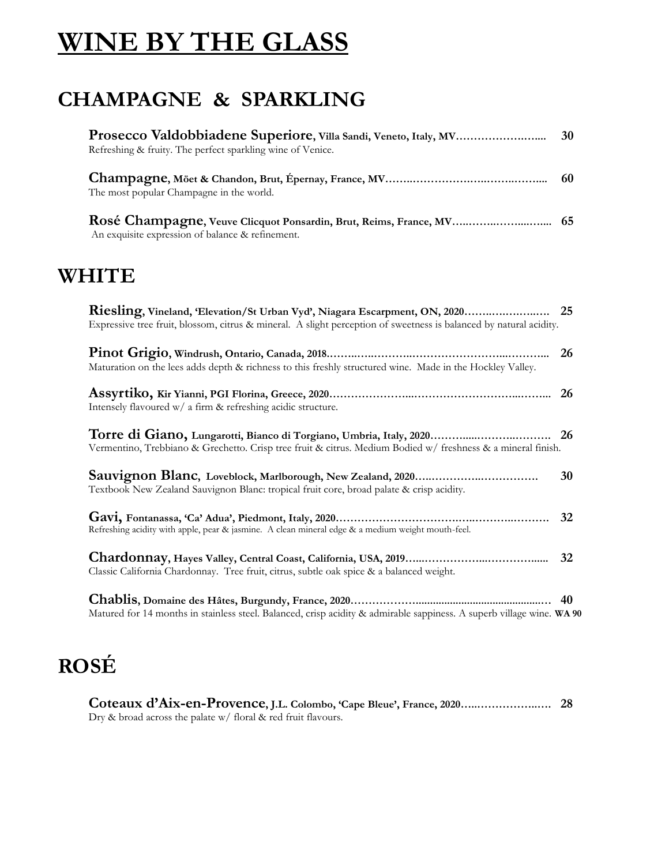# **WINE BY THE GLASS**

### **CHAMPAGNE & SPARKLING**

| Refreshing & fruity. The perfect sparkling wine of Venice.                                                                                                                          | 30 |
|-------------------------------------------------------------------------------------------------------------------------------------------------------------------------------------|----|
| The most popular Champagne in the world.                                                                                                                                            | 60 |
| Rosé Champagne, Veuve Clicquot Ponsardin, Brut, Reims, France, MV<br>An exquisite expression of balance & refinement.                                                               | 65 |
| WHITE                                                                                                                                                                               |    |
| Expressive tree fruit, blossom, citrus & mineral. A slight perception of sweetness is balanced by natural acidity.                                                                  |    |
| Maturation on the lees adds depth & richness to this freshly structured wine. Made in the Hockley Valley.                                                                           | 26 |
| Intensely flavoured w/ a firm & refreshing acidic structure.                                                                                                                        | 26 |
| Torre di Giano, Lungarotti, Bianco di Torgiano, Umbria, Italy, 2020<br>Vermentino, Trebbiano & Grechetto. Crisp tree fruit & citrus. Medium Bodied w/ freshness & a mineral finish. | 26 |
| Textbook New Zealand Sauvignon Blanc: tropical fruit core, broad palate & crisp acidity.                                                                                            | 30 |
| Refreshing acidity with apple, pear & jasmine. A clean mineral edge & a medium weight mouth-feel.                                                                                   | 32 |
| Classic California Chardonnay. Tree fruit, citrus, subtle oak spice & a balanced weight.                                                                                            | 32 |
| Matured for 14 months in stainless steel. Balanced, crisp acidity & admirable sappiness. A superb village wine. WA 90                                                               | 40 |

## **ROSÉ**

| Dry & broad across the palate $w/$ floral & red fruit flavours. |  |
|-----------------------------------------------------------------|--|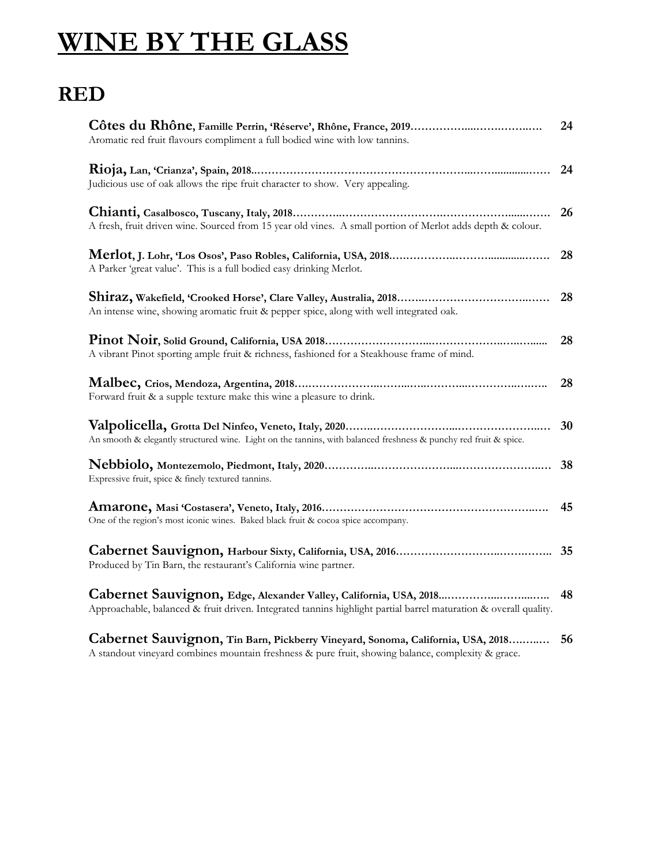# **WINE BY THE GLASS**

### **RED**

| Aromatic red fruit flavours compliment a full bodied wine with low tannins.                                                                                                           | 24 |
|---------------------------------------------------------------------------------------------------------------------------------------------------------------------------------------|----|
| Judicious use of oak allows the ripe fruit character to show. Very appealing.                                                                                                         | 24 |
| A fresh, fruit driven wine. Sourced from 15 year old vines. A small portion of Merlot adds depth & colour.                                                                            | 26 |
| A Parker 'great value'. This is a full bodied easy drinking Merlot.                                                                                                                   | 28 |
| An intense wine, showing aromatic fruit & pepper spice, along with well integrated oak.                                                                                               | 28 |
| A vibrant Pinot sporting ample fruit & richness, fashioned for a Steakhouse frame of mind.                                                                                            | 28 |
| Forward fruit & a supple texture make this wine a pleasure to drink.                                                                                                                  | 28 |
| An smooth & elegantly structured wine. Light on the tannins, with balanced freshness & punchy red fruit & spice.                                                                      | 30 |
| Expressive fruit, spice & finely textured tannins.                                                                                                                                    | 38 |
| One of the region's most iconic wines. Baked black fruit & cocoa spice accompany.                                                                                                     | 45 |
| Produced by Tin Barn, the restaurant's California wine partner.                                                                                                                       | 35 |
| Cabernet Sauvignon, Edge, Alexander Valley, California, USA, 2018<br>Approachable, balanced & fruit driven. Integrated tannins highlight partial barrel maturation & overall quality. | 48 |
| Cabernet Sauvignon, Tin Barn, Pickberry Vineyard, Sonoma, California, USA, 2018<br>A standout vineyard combines mountain freshness & pure fruit, showing balance, complexity & grace. | 56 |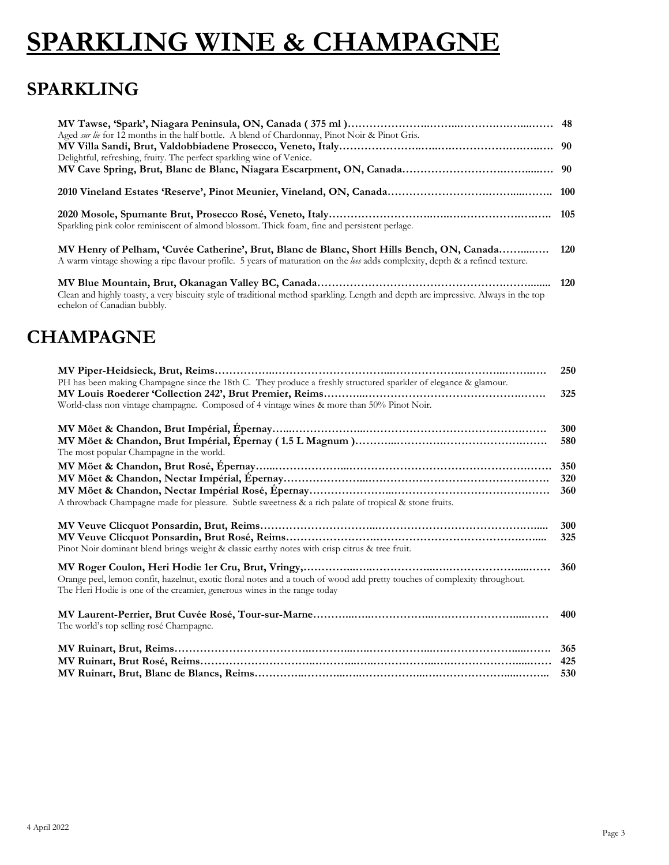# **SPARKLING WINE & CHAMPAGNE**

### **SPARKLING**

| Aged <i>sur lie</i> for 12 months in the half bottle. A blend of Chardonnay, Pinot Noir & Pinot Gris.<br>Delightful, refreshing, fruity. The perfect sparkling wine of Venice.                                                 |  |
|--------------------------------------------------------------------------------------------------------------------------------------------------------------------------------------------------------------------------------|--|
|                                                                                                                                                                                                                                |  |
|                                                                                                                                                                                                                                |  |
| Sparkling pink color reminiscent of almond blossom. Thick foam, fine and persistent perlage.                                                                                                                                   |  |
| MV Henry of Pelham, 'Cuvée Catherine', Brut, Blanc de Blanc, Short Hills Bench, ON, Canada 120<br>A warm vintage showing a ripe flavour profile. 5 years of maturation on the less adds complexity, depth & a refined texture. |  |

**MV Blue Mountain, Brut, Okanagan Valley BC, Canada…………………………………………….……........ 120** Clean and highly toasty, a very biscuity style of traditional method sparkling. Length and depth are impressive. Always in the top echelon of Canadian bubbly.

### **CHAMPAGNE**

|                                                                                                                                                                                                       | 250        |
|-------------------------------------------------------------------------------------------------------------------------------------------------------------------------------------------------------|------------|
| PH has been making Champagne since the 18th C. They produce a freshly structured sparkler of elegance & glamour.                                                                                      |            |
|                                                                                                                                                                                                       | 325        |
| World-class non vintage champagne. Composed of 4 vintage wines & more than 50% Pinot Noir.                                                                                                            |            |
|                                                                                                                                                                                                       | 300        |
| The most popular Champagne in the world.                                                                                                                                                              | 580        |
|                                                                                                                                                                                                       | 350        |
|                                                                                                                                                                                                       | 320        |
| A throwback Champagne made for pleasure. Subtle sweetness & a rich palate of tropical & stone fruits.                                                                                                 | 360        |
| Pinot Noir dominant blend brings weight & classic earthy notes with crisp citrus & tree fruit.                                                                                                        | 300<br>325 |
| Orange peel, lemon confit, hazelnut, exotic floral notes and a touch of wood add pretty touches of complexity throughout.<br>The Heri Hodie is one of the creamier, generous wines in the range today | 360        |
| The world's top selling rosé Champagne.                                                                                                                                                               | 400        |
|                                                                                                                                                                                                       | 365<br>530 |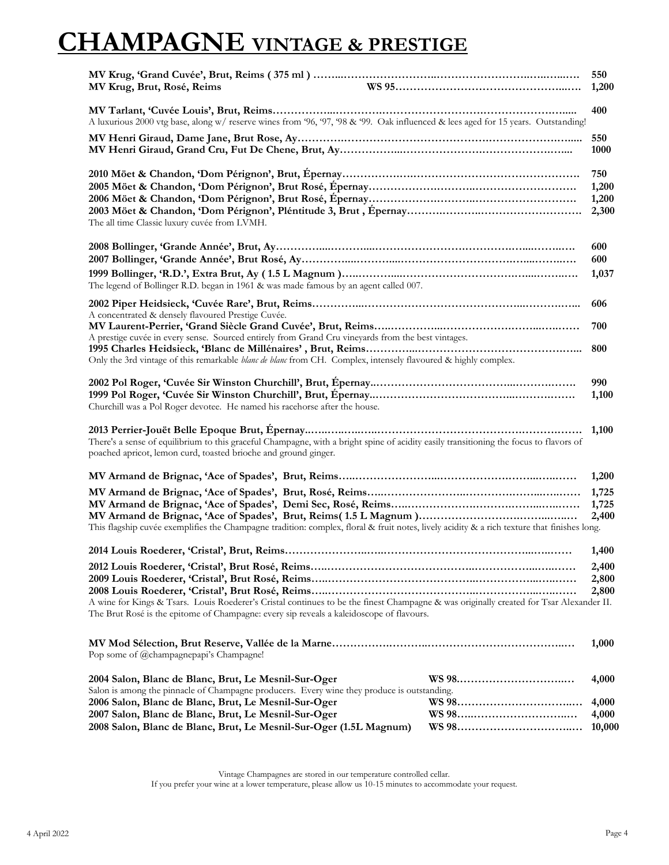# **CHAMPAGNE VINTAGE & PRESTIGE**

| MV Krug, Brut, Rosé, Reims                                                                                                                                                                                                                                                        | 550<br>1,200                   |
|-----------------------------------------------------------------------------------------------------------------------------------------------------------------------------------------------------------------------------------------------------------------------------------|--------------------------------|
| A luxurious 2000 vtg base, along w/ reserve wines from '96, '97, '98 & '99. Oak influenced & lees aged for 15 years. Outstanding!                                                                                                                                                 | 400                            |
|                                                                                                                                                                                                                                                                                   | 550<br>1000                    |
| The all time Classic luxury cuvée from LVMH.                                                                                                                                                                                                                                      | 750<br>1,200<br>1,200<br>2,300 |
|                                                                                                                                                                                                                                                                                   | 600<br>600                     |
| The legend of Bollinger R.D. began in 1961 & was made famous by an agent called 007.                                                                                                                                                                                              | 1,037                          |
| A concentrated & densely flavoured Prestige Cuvée.                                                                                                                                                                                                                                | 606<br>700                     |
| A prestige cuvée in every sense. Sourced entirely from Grand Cru vineyards from the best vintages.<br>Only the 3rd vintage of this remarkable <i>blanc de blanc</i> from CH. Complex, intensely flavoured & highly complex.                                                       | 800                            |
| Churchill was a Pol Roger devotee. He named his racehorse after the house.                                                                                                                                                                                                        | 990<br>1,100                   |
| There's a sense of equilibrium to this graceful Champagne, with a bright spine of acidity easily transitioning the focus to flavors of<br>poached apricot, lemon curd, toasted brioche and ground ginger.                                                                         | 1,100                          |
|                                                                                                                                                                                                                                                                                   | 1,200                          |
| This flagship cuvée exemplifies the Champagne tradition: complex, floral & fruit notes, lively acidity & a rich texture that finishes long.                                                                                                                                       | 1,725<br>1,725<br>2,400        |
|                                                                                                                                                                                                                                                                                   | 1,400                          |
| A wine for Kings & Tsars. Louis Roederer's Cristal continues to be the finest Champagne & was originally created for Tsar Alexander II.<br>The Brut Rosé is the epitome of Champagne: every sip reveals a kaleidoscope of flavours.                                               | 2,400<br>2,800<br>2,800        |
| Pop some of @champagnepapi's Champagne!                                                                                                                                                                                                                                           | 1,000                          |
| 2004 Salon, Blanc de Blanc, Brut, Le Mesnil-Sur-Oger                                                                                                                                                                                                                              | 4,000                          |
| Salon is among the pinnacle of Champagne producers. Every wine they produce is outstanding.<br>2006 Salon, Blanc de Blanc, Brut, Le Mesnil-Sur-Oger<br>2007 Salon, Blanc de Blanc, Brut, Le Mesnil-Sur-Oger<br>2008 Salon, Blanc de Blanc, Brut, Le Mesnil-Sur-Oger (1.5L Magnum) | 4,000<br>4,000<br>10,000       |

Vintage Champagnes are stored in our temperature controlled cellar. If you prefer your wine at a lower temperature, please allow us 10-15 minutes to accommodate your request.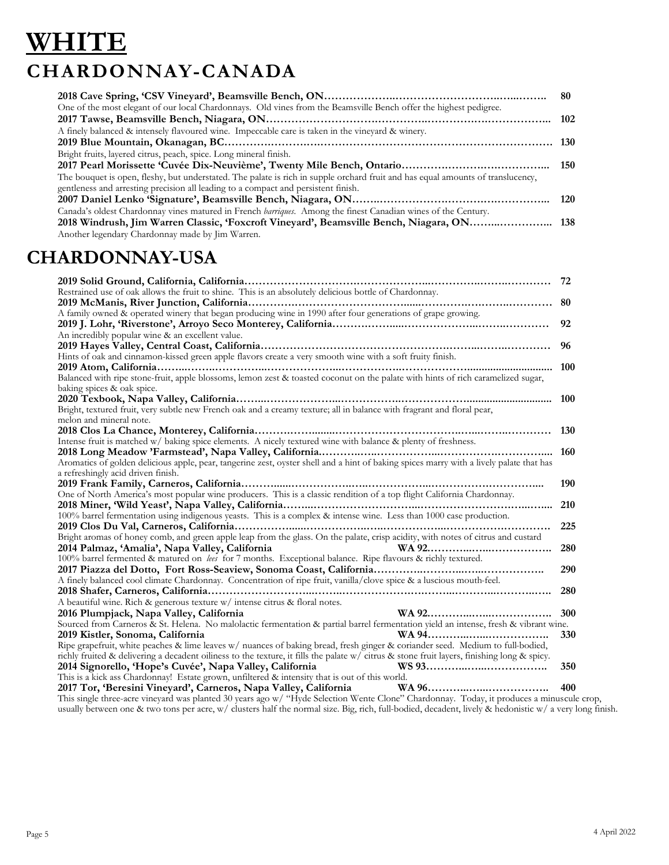# **WHITE CHARDONNAY-CANADA**

|                                                                                                                                 | 80  |
|---------------------------------------------------------------------------------------------------------------------------------|-----|
| One of the most elegant of our local Chardonnays. Old vines from the Beamsville Bench offer the highest pedigree.               |     |
|                                                                                                                                 | 102 |
| A finely balanced & intensely flavoured wine. Impeccable care is taken in the vineyard & winery.                                |     |
|                                                                                                                                 |     |
| Bright fruits, layered citrus, peach, spice. Long mineral finish.                                                               |     |
|                                                                                                                                 |     |
| The bouquet is open, fleshy, but understated. The palate is rich in supple orchard fruit and has equal amounts of translucency, |     |
| gentleness and arresting precision all leading to a compact and persistent finish.                                              |     |
|                                                                                                                                 |     |
| Canada's oldest Chardonnay vines matured in French <i>barriques</i> . Among the finest Canadian wines of the Century.           |     |
| 2018 Windrush, Jim Warren Classic, 'Foxcroft Vineyard', Beamsville Bench, Niagara, ON 138                                       |     |
| Another legendary Chardonnay made by Jim Warren.                                                                                |     |

#### **CHARDONNAY-USA**

| Restrained use of oak allows the fruit to shine. This is an absolutely delicious bottle of Chardonnay.                                     |            |
|--------------------------------------------------------------------------------------------------------------------------------------------|------------|
|                                                                                                                                            |            |
| A family owned & operated winery that began producing wine in 1990 after four generations of grape growing.                                |            |
|                                                                                                                                            | 92         |
| An incredibly popular wine & an excellent value.                                                                                           |            |
|                                                                                                                                            | -96        |
| Hints of oak and cinnamon-kissed green apple flavors create a very smooth wine with a soft fruity finish.                                  |            |
|                                                                                                                                            | <b>100</b> |
| Balanced with ripe stone-fruit, apple blossoms, lemon zest & toasted coconut on the palate with hints of rich caramelized sugar,           |            |
| baking spices & oak spice.                                                                                                                 |            |
|                                                                                                                                            | 100        |
| Bright, textured fruit, very subtle new French oak and a creamy texture; all in balance with fragrant and floral pear,                     |            |
| melon and mineral note.                                                                                                                    |            |
|                                                                                                                                            |            |
| Intense fruit is matched w/ baking spice elements. A nicely textured wine with balance & plenty of freshness.                              |            |
|                                                                                                                                            |            |
| Aromatics of golden delicious apple, pear, tangerine zest, oyster shell and a hint of baking spices marry with a lively palate that has    |            |
| a refreshingly acid driven finish.                                                                                                         |            |
|                                                                                                                                            |            |
| One of North America's most popular wine producers. This is a classic rendition of a top flight California Chardonnay.                     |            |
|                                                                                                                                            | 210        |
| 100% barrel fermentation using indigenous yeasts. This is a complex & intense wine. Less than 1000 case production.                        |            |
|                                                                                                                                            | 225        |
| Bright aromas of honey comb, and green apple leap from the glass. On the palate, crisp acidity, with notes of citrus and custard           |            |
|                                                                                                                                            | 280        |
|                                                                                                                                            |            |
|                                                                                                                                            | 290        |
| A finely balanced cool climate Chardonnay. Concentration of ripe fruit, vanilla/clove spice & a luscious mouth-feel.                       |            |
|                                                                                                                                            | 280        |
| A beautiful wine. Rich & generous texture w/ intense citrus & floral notes.                                                                |            |
| 2016 Plumpjack, Napa Valley, California                                                                                                    | 300        |
| Sourced from Carneros & St. Helena. No malolactic fermentation & partial barrel fermentation yield an intense, fresh & vibrant wine.       |            |
| 2019 Kistler, Sonoma, California                                                                                                           | 330        |
| Ripe grapefruit, white peaches & lime leaves w/ nuances of baking bread, fresh ginger & coriander seed. Medium to full-bodied,             |            |
| richly fruited & delivering a decadent oiliness to the texture, it fills the palate w/citrus & stone fruit layers, finishing long & spicy. |            |
| 2014 Signorello, 'Hope's Cuvée', Napa Valley, California                                                                                   | 350        |
| This is a kick ass Chardonnay! Estate grown, unfiltered & intensity that is out of this world.                                             |            |
|                                                                                                                                            | 400        |
| This single three-acre vineyard was planted 30 years ago w/ "Hyde Selection Wente Clone" Chardonnay. Today, it produces a minuscule crop,  |            |

usually between one & two tons per acre, w/ clusters half the normal size. Big, rich, full-bodied, decadent, lively & hedonistic w/ a very long finish.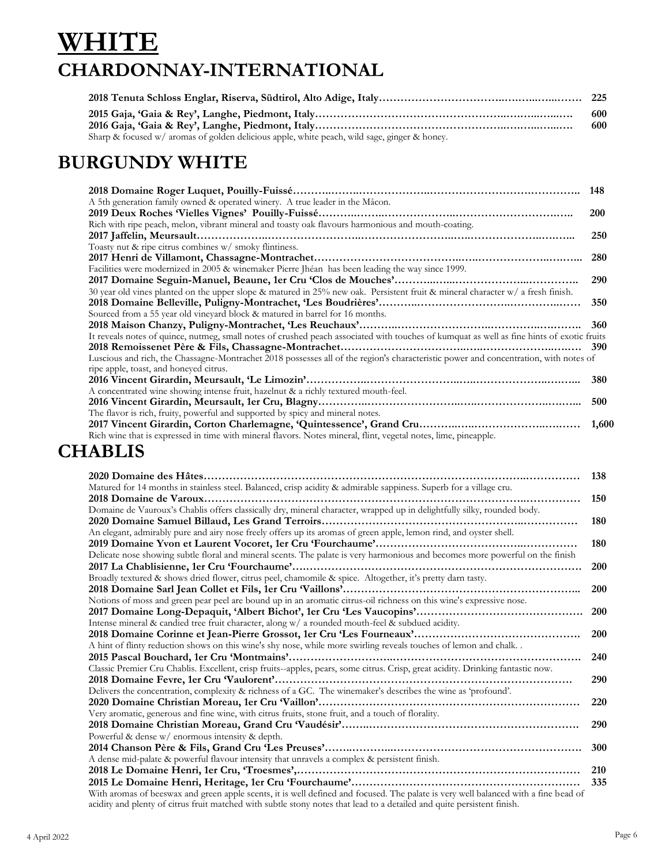### **WHITE CHARDONNAY-INTERNATIONAL**

|                                                                                                | -600<br>-600 |
|------------------------------------------------------------------------------------------------|--------------|
| Sharp & focused $w/$ aromas of golden delicious apple, white peach, wild sage, ginger & honey. |              |

#### **BURGUNDY WHITE**

| A 5th generation family owned & operated winery. A true leader in the Mâcon.                                                               |            |
|--------------------------------------------------------------------------------------------------------------------------------------------|------------|
|                                                                                                                                            | <b>200</b> |
| Rich with ripe peach, melon, vibrant mineral and toasty oak flavours harmonious and mouth-coating.                                         |            |
|                                                                                                                                            | 250        |
| Toasty nut & ripe citrus combines w/ smoky flintiness.                                                                                     |            |
|                                                                                                                                            | 280        |
| Facilities were modernized in 2005 & winemaker Pierre Jhéan has been leading the way since 1999.                                           |            |
|                                                                                                                                            | 290        |
| 30 year old vines planted on the upper slope & matured in 25% new oak. Persistent fruit & mineral character w/ a fresh finish.             |            |
|                                                                                                                                            | 350        |
| Sourced from a 55 year old vineyard block & matured in barrel for 16 months.                                                               |            |
|                                                                                                                                            |            |
| It reveals notes of quince, nutmeg, small notes of crushed peach associated with touches of kumquat as well as fine hints of exotic fruits |            |
|                                                                                                                                            |            |
| Luscious and rich, the Chassagne-Montrachet 2018 possesses all of the region's characteristic power and concentration, with notes of       |            |
| ripe apple, toast, and honeyed citrus.                                                                                                     |            |
|                                                                                                                                            | 380        |
| A concentrated wine showing intense fruit, hazelnut & a richly textured mouth-feel.                                                        |            |
|                                                                                                                                            | 500        |
| The flavor is rich, fruity, powerful and supported by spicy and mineral notes.                                                             |            |
|                                                                                                                                            | 1,600      |
| Rich wine that is expressed in time with mineral flavors. Notes mineral, flint, vegetal notes, lime, pineapple.                            |            |

### **CHABLIS**

| 2020 Domaine des Hâtes                                                                                                              | 138        |
|-------------------------------------------------------------------------------------------------------------------------------------|------------|
| Matured for 14 months in stainless steel. Balanced, crisp acidity & admirable sappiness. Superb for a village cru.                  |            |
|                                                                                                                                     | 150        |
| Domaine de Vauroux's Chablis offers classically dry, mineral character, wrapped up in delightfully silky, rounded body.             |            |
|                                                                                                                                     | 180        |
| An elegant, admirably pure and airy nose freely offers up its aromas of green apple, lemon rind, and oyster shell.                  |            |
|                                                                                                                                     | 180        |
| Delicate nose showing subtle floral and mineral scents. The palate is very harmonious and becomes more powerful on the finish       |            |
|                                                                                                                                     | <b>200</b> |
| Broadly textured & shows dried flower, citrus peel, chamomile & spice. Altogether, it's pretty darn tasty.                          |            |
|                                                                                                                                     | <b>200</b> |
| Notions of moss and green pear peel are bound up in an aromatic citrus-oil richness on this wine's expressive nose.                 |            |
|                                                                                                                                     | <b>200</b> |
| Intense mineral & candied tree fruit character, along w/ a rounded mouth-feel & subdued acidity.                                    |            |
|                                                                                                                                     | <b>200</b> |
| A hint of flinty reduction shows on this wine's shy nose, while more swirling reveals touches of lemon and chalk                    |            |
|                                                                                                                                     | 240        |
| Classic Premier Cru Chablis. Excellent, crisp fruits--apples, pears, some citrus. Crisp, great acidity. Drinking fantastic now.     |            |
|                                                                                                                                     | <b>290</b> |
| Delivers the concentration, complexity & richness of a GC. The winemaker's describes the wine as 'profound'.                        |            |
|                                                                                                                                     | <b>220</b> |
| Very aromatic, generous and fine wine, with citrus fruits, stone fruit, and a touch of florality.                                   |            |
|                                                                                                                                     | 290        |
| Powerful & dense w/ enormous intensity & depth.                                                                                     |            |
|                                                                                                                                     | 300        |
| A dense mid-palate & powerful flavour intensity that unravels a complex & persistent finish.                                        |            |
|                                                                                                                                     | 210        |
|                                                                                                                                     | 335        |
| With aromas of beeswax and green apple scents, it is well defined and focused. The palate is very well balanced with a fine bead of |            |
| acidity and plenty of citrus fruit matched with subtle stony notes that lead to a detailed and quite persistent finish.             |            |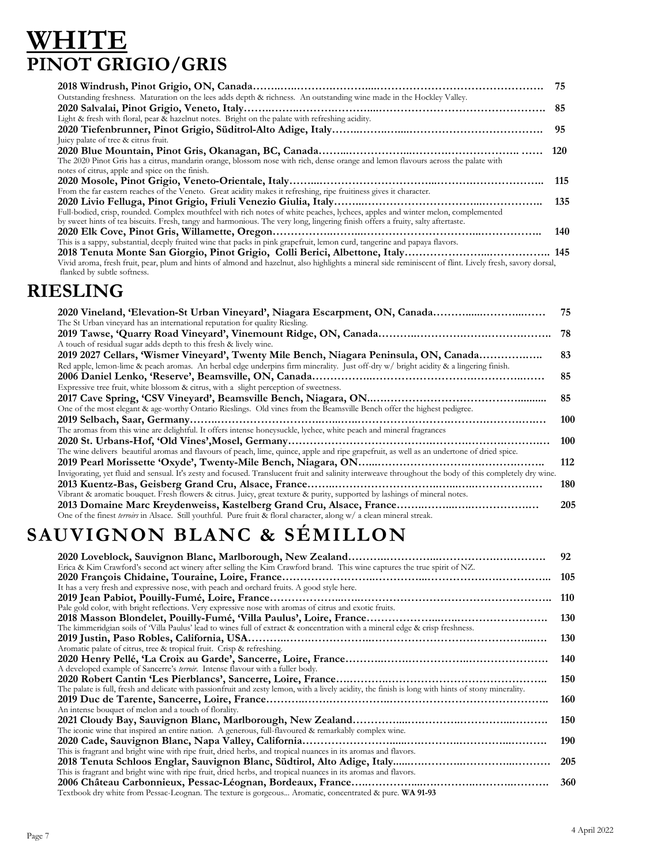### **WHITE PINOT GRIGIO/GRIS**

|                                                                                                                                                          | 75  |
|----------------------------------------------------------------------------------------------------------------------------------------------------------|-----|
| Outstanding freshness. Maturation on the lees adds depth & richness. An outstanding wine made in the Hockley Valley.                                     |     |
|                                                                                                                                                          | 85  |
| Light & fresh with floral, pear & hazelnut notes. Bright on the palate with refreshing acidity.                                                          |     |
|                                                                                                                                                          | 95  |
| Juicy palate of tree & citrus fruit.                                                                                                                     |     |
|                                                                                                                                                          | 120 |
| The 2020 Pinot Gris has a citrus, mandarin orange, blossom nose with rich, dense orange and lemon flavours across the palate with                        |     |
| notes of citrus, apple and spice on the finish.                                                                                                          |     |
|                                                                                                                                                          | 115 |
| From the far eastern reaches of the Veneto. Great acidity makes it refreshing, ripe fruitiness gives it character.                                       |     |
|                                                                                                                                                          |     |
| Full-bodied, crisp, rounded. Complex mouthfeel with rich notes of white peaches, lychees, apples and winter melon, complemented                          |     |
| by sweet hints of tea biscuits. Fresh, tangy and harmonious. The very long, lingering finish offers a fruity, salty aftertaste.                          |     |
|                                                                                                                                                          | 140 |
| This is a sappy, substantial, deeply fruited wine that packs in pink grapefruit, lemon curd, tangerine and papaya flavors.                               |     |
|                                                                                                                                                          |     |
| Vivid aroma, fresh fruit, pear, plum and hints of almond and hazelnut, also highlights a mineral side reminiscent of flint. Lively fresh, savory dorsal, |     |
| flanked by subtle softness.                                                                                                                              |     |

#### **RIESLING**

| 2020 Vineland, 'Elevation-St Urban Vineyard', Niagara Escarpment, ON, Canada                                                                            | 75  |
|---------------------------------------------------------------------------------------------------------------------------------------------------------|-----|
| The St Urban vineyard has an international reputation for quality Riesling.                                                                             |     |
|                                                                                                                                                         | 78  |
| A touch of residual sugar adds depth to this fresh & lively wine.                                                                                       |     |
| 2019 2027 Cellars, 'Wismer Vineyard', Twenty Mile Bench, Niagara Peninsula, ON, Canada                                                                  | 83  |
| Red apple, lemon-lime & peach aromas. An herbal edge underpins firm minerality. Just off-dry w/ bright acidity & a lingering finish.                    |     |
|                                                                                                                                                         | 85  |
| Expressive tree fruit, white blossom & citrus, with a slight perception of sweetness.                                                                   |     |
|                                                                                                                                                         | 85  |
| One of the most elegant & age-worthy Ontario Rieslings. Old vines from the Beamsville Bench offer the highest pedigree.                                 |     |
|                                                                                                                                                         | 100 |
| The aromas from this wine are delightful. It offers intense honeysuckle, lychee, white peach and mineral fragrances                                     |     |
|                                                                                                                                                         | 100 |
| The wine delivers beautiful aromas and flavours of peach, lime, quince, apple and ripe grapefruit, as well as an undertone of dried spice.              |     |
|                                                                                                                                                         | 112 |
| Invigorating, yet fluid and sensual. It's zesty and focused. Translucent fruit and salinity interweave throughout the body of this completely dry wine. |     |
|                                                                                                                                                         | 180 |
| Vibrant & aromatic bouquet. Fresh flowers & citrus. Juicy, great texture & purity, supported by lashings of mineral notes.                              |     |
|                                                                                                                                                         | 205 |
| One of the finest terroirs in Alsace. Still youthful. Pure fruit & floral character, along w/ a clean mineral streak.                                   |     |

## **SAUVIGNON BLANC & SÉMILLON**

|                                                                                                                                                     | 92         |
|-----------------------------------------------------------------------------------------------------------------------------------------------------|------------|
| Erica & Kim Crawford's second act winery after selling the Kim Crawford brand. This wine captures the true spirit of NZ.                            |            |
|                                                                                                                                                     | 105        |
| It has a very fresh and expressive nose, with peach and orchard fruits. A good style here.                                                          |            |
|                                                                                                                                                     | 110        |
| Pale gold color, with bright reflections. Very expressive nose with aromas of citrus and exotic fruits.                                             |            |
|                                                                                                                                                     | <b>130</b> |
| The kimmeridgian soils of 'Villa Paulus' lead to wines full of extract & concentration with a mineral edge & crisp freshness.                       |            |
|                                                                                                                                                     | <b>130</b> |
| Aromatic palate of citrus, tree & tropical fruit. Crisp & refreshing.                                                                               |            |
|                                                                                                                                                     | 140        |
| A developed example of Sancerre's terroir. Intense flavour with a fuller body.                                                                      |            |
|                                                                                                                                                     | 150        |
| The palate is full, fresh and delicate with passionfruit and zesty lemon, with a lively acidity, the finish is long with hints of stony minerality. |            |
|                                                                                                                                                     | 160        |
| An intense bouquet of melon and a touch of florality.                                                                                               |            |
|                                                                                                                                                     | 150        |
| The iconic wine that inspired an entire nation. A generous, full-flavoured & remarkably complex wine.                                               |            |
|                                                                                                                                                     | 190        |
| This is fragrant and bright wine with ripe fruit, dried herbs, and tropical nuances in its aromas and flavors.                                      |            |
|                                                                                                                                                     | 205        |
| This is fragrant and bright wine with ripe fruit, dried herbs, and tropical nuances in its aromas and flavors.                                      |            |
|                                                                                                                                                     | 360        |
| Textbook dry white from Pessac-Leognan. The texture is gorgeous Aromatic, concentrated & pure. WA 91-93                                             |            |
|                                                                                                                                                     |            |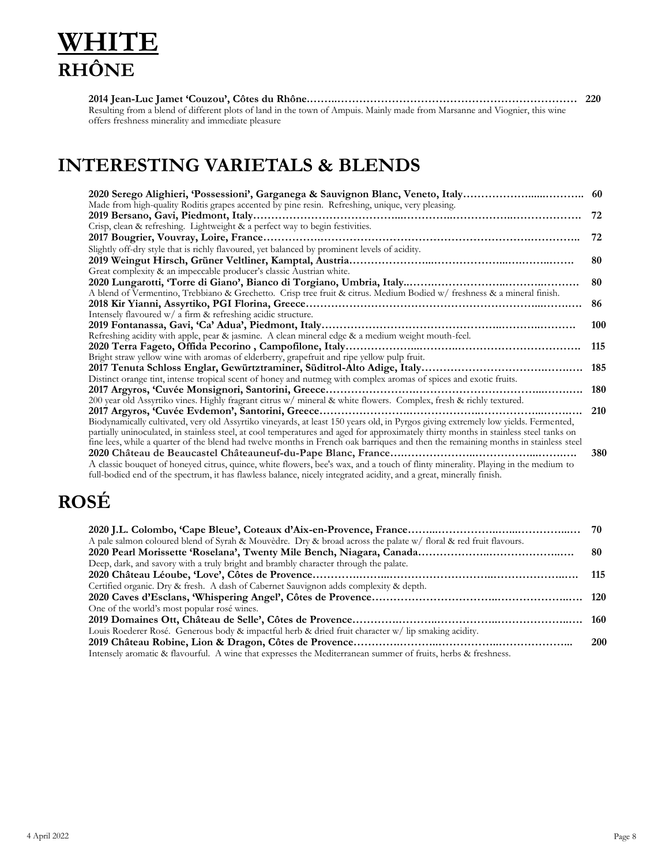### **WHITE RHÔNE**

| Resulting from a blend of different plots of land in the town of Ampuis. Mainly made from Marsanne and Viognier, this wine |  |
|----------------------------------------------------------------------------------------------------------------------------|--|
| offers freshness minerality and immediate pleasure                                                                         |  |

#### **INTERESTING VARIETALS & BLENDS**

| 2020 Serego Alighieri, 'Possessioni', Garganega & Sauvignon Blanc, Veneto, Italy                                                                                                                                                                         | 60  |
|----------------------------------------------------------------------------------------------------------------------------------------------------------------------------------------------------------------------------------------------------------|-----|
| Made from high-quality Roditis grapes accented by pine resin. Refreshing, unique, very pleasing.                                                                                                                                                         |     |
|                                                                                                                                                                                                                                                          | 72  |
| Crisp, clean & refreshing. Lightweight & a perfect way to begin festivities.                                                                                                                                                                             |     |
|                                                                                                                                                                                                                                                          | 72  |
| Slightly off-dry style that is richly flavoured, yet balanced by prominent levels of acidity.                                                                                                                                                            |     |
|                                                                                                                                                                                                                                                          | 80  |
| Great complexity & an impeccable producer's classic Austrian white.                                                                                                                                                                                      |     |
|                                                                                                                                                                                                                                                          | 80  |
| A blend of Vermentino, Trebbiano & Grechetto. Crisp tree fruit & citrus. Medium Bodied w/ freshness & a mineral finish.                                                                                                                                  |     |
|                                                                                                                                                                                                                                                          | 86  |
| Intensely flavoured $w/$ a firm & refreshing acidic structure.                                                                                                                                                                                           |     |
|                                                                                                                                                                                                                                                          | 100 |
| Refreshing acidity with apple, pear & jasmine. A clean mineral edge & a medium weight mouth-feel.                                                                                                                                                        |     |
|                                                                                                                                                                                                                                                          | 115 |
| Bright straw yellow wine with aromas of elderberry, grapefruit and ripe yellow pulp fruit.                                                                                                                                                               |     |
|                                                                                                                                                                                                                                                          | 185 |
| Distinct orange tint, intense tropical scent of honey and nutmeg with complex aromas of spices and exotic fruits.                                                                                                                                        |     |
|                                                                                                                                                                                                                                                          | 180 |
| 200 year old Assyrtiko vines. Highly fragrant citrus w/ mineral & white flowers. Complex, fresh & richly textured.                                                                                                                                       |     |
| 2017 Argyros, 'Cuvée Evdemon', Santorini, Greece                                                                                                                                                                                                         | 210 |
| Biodynamically cultivated, very old Assyrtiko vineyards, at least 150 years old, in Pyrgos giving extremely low yields. Fermented,                                                                                                                       |     |
| partially uninoculated, in stainless steel, at cool temperatures and aged for approximately thirty months in stainless steel tanks on                                                                                                                    |     |
| fine lees, while a quarter of the blend had twelve months in French oak barriques and then the remaining months in stainless steel                                                                                                                       |     |
|                                                                                                                                                                                                                                                          | 380 |
| A classic bouquet of honeyed citrus, quince, white flowers, bee's wax, and a touch of flinty minerality. Playing in the medium to<br>full-bodied end of the spectrum, it has flawless balance, nicely integrated acidity, and a great, minerally finish. |     |

### **ROSÉ**

| A pale salmon coloured blend of Syrah & Mouvedre. Dry & broad across the palate w/ floral & red fruit flavours. |     |
|-----------------------------------------------------------------------------------------------------------------|-----|
|                                                                                                                 |     |
| Deep, dark, and savory with a truly bright and brambly character through the palate.                            |     |
|                                                                                                                 |     |
| Certified organic. Dry & fresh. A dash of Cabernet Sauvignon adds complexity & depth.                           |     |
|                                                                                                                 |     |
| One of the world's most popular rosé wines.                                                                     |     |
|                                                                                                                 |     |
| Louis Roederer Rosé. Generous body & impactful herb & dried fruit character w/lip smaking acidity.              |     |
|                                                                                                                 | 200 |
| Intensely aromatic & flavourful. A wine that expresses the Mediterranean summer of fruits, herbs & freshness.   |     |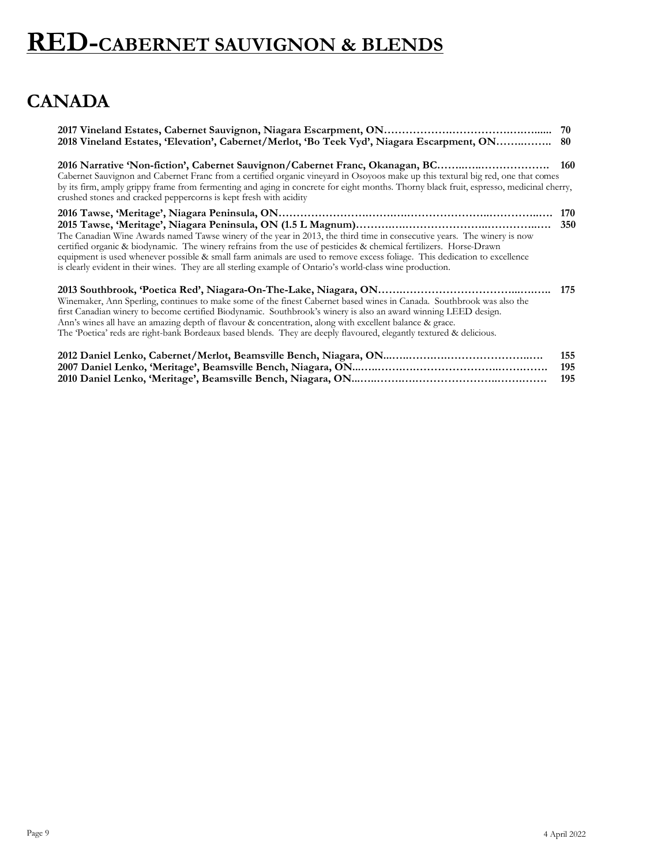#### **CANADA**

| 2018 Vineland Estates, 'Elevation', Cabernet/Merlot, 'Bo Teek Vyd', Niagara Escarpment, ON                                                                                                                                                                                                                                                                                                                                                                                               | 80         |
|------------------------------------------------------------------------------------------------------------------------------------------------------------------------------------------------------------------------------------------------------------------------------------------------------------------------------------------------------------------------------------------------------------------------------------------------------------------------------------------|------------|
| 2016 Narrative 'Non-fiction', Cabernet Sauvignon/Cabernet Franc, Okanagan, BC<br>Cabernet Sauvignon and Cabernet Franc from a certified organic vineyard in Osoyoos make up this textural big red, one that comes<br>by its firm, amply grippy frame from fermenting and aging in concrete for eight months. Thorny black fruit, espresso, medicinal cherry,<br>crushed stones and cracked peppercorns is kept fresh with acidity                                                        | <b>160</b> |
| The Canadian Wine Awards named Tawse winery of the year in 2013, the third time in consecutive years. The winery is now<br>certified organic & biodynamic. The winery refrains from the use of pesticides & chemical fertilizers. Horse-Drawn<br>equipment is used whenever possible & small farm animals are used to remove excess foliage. This dedication to excellence<br>is clearly evident in their wines. They are all sterling example of Ontario's world-class wine production. | 170<br>350 |
| Winemaker, Ann Sperling, continues to make some of the finest Cabernet based wines in Canada. Southbrook was also the<br>first Canadian winery to become certified Biodynamic. Southbrook's winery is also an award winning LEED design.<br>Ann's wines all have an amazing depth of flavour & concentration, along with excellent balance & grace.<br>The Poetica' reds are right-bank Bordeaux based blends. They are deeply flavoured, elegantly textured & delicious.                | 175        |
|                                                                                                                                                                                                                                                                                                                                                                                                                                                                                          | 155<br>195 |

**2010 Daniel Lenko, 'Meritage', Beamsville Bench, Niagara, ON...…..…….….…………………..…….……. 195**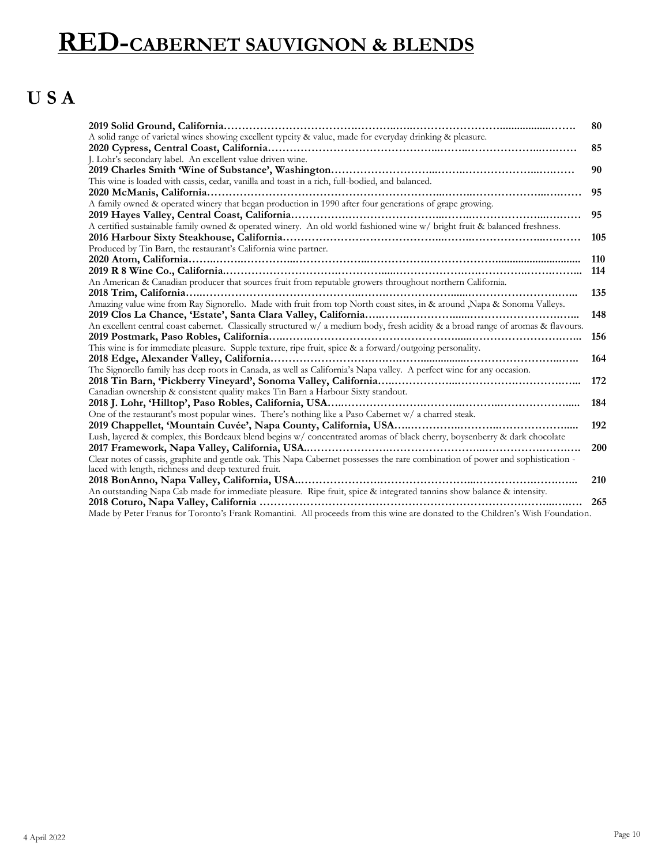### **U S A**

|                                                                                                                                   | 80  |
|-----------------------------------------------------------------------------------------------------------------------------------|-----|
| A solid range of varietal wines showing excellent typcity & value, made for everyday drinking & pleasure.                         |     |
|                                                                                                                                   | 85  |
| J. Lohr's secondary label. An excellent value driven wine.                                                                        |     |
|                                                                                                                                   | 90  |
| This wine is loaded with cassis, cedar, vanilla and toast in a rich, full-bodied, and balanced.                                   |     |
|                                                                                                                                   | 95  |
| A family owned & operated winery that began production in 1990 after four generations of grape growing.                           |     |
|                                                                                                                                   | 95  |
| A certified sustainable family owned & operated winery. An old world fashioned wine w/ bright fruit & balanced freshness.         |     |
|                                                                                                                                   | 105 |
| Produced by Tin Barn, the restaurant's California wine partner.                                                                   |     |
|                                                                                                                                   | 110 |
|                                                                                                                                   | 114 |
| An American & Canadian producer that sources fruit from reputable growers throughout northern California.                         |     |
|                                                                                                                                   | 135 |
| Amazing value wine from Ray Signorello. Made with fruit from top North coast sites, in & around , Napa & Sonoma Valleys.          |     |
|                                                                                                                                   | 148 |
| An excellent central coast cabernet. Classically structured w/ a medium body, fresh acidity & a broad range of aromas & flavours. |     |
|                                                                                                                                   | 156 |
| This wine is for immediate pleasure. Supple texture, ripe fruit, spice & a forward/outgoing personality.                          |     |
|                                                                                                                                   | 164 |
| The Signorello family has deep roots in Canada, as well as California's Napa valley. A perfect wine for any occasion.             |     |
|                                                                                                                                   | 172 |
| Canadian ownership & consistent quality makes Tin Barn a Harbour Sixty standout.                                                  |     |
|                                                                                                                                   | 184 |
| One of the restaurant's most popular wines. There's nothing like a Paso Cabernet w/ a charred steak.                              |     |
|                                                                                                                                   | 192 |
| Lush, layered & complex, this Bordeaux blend begins w/ concentrated aromas of black cherry, boysenberry & dark chocolate          |     |
|                                                                                                                                   | 200 |
| Clear notes of cassis, graphite and gentle oak. This Napa Cabernet possesses the rare combination of power and sophistication -   |     |
| laced with length, richness and deep textured fruit.                                                                              |     |
| 2018 BonAnno, Napa Valley, California, USA                                                                                        | 210 |
| An outstanding Napa Cab made for immediate pleasure. Ripe fruit, spice & integrated tannins show balance & intensity.             |     |
|                                                                                                                                   | 265 |
| Made by Peter Franus for Toronto's Frank Romantini. All proceeds from this wine are donated to the Children's Wish Foundation.    |     |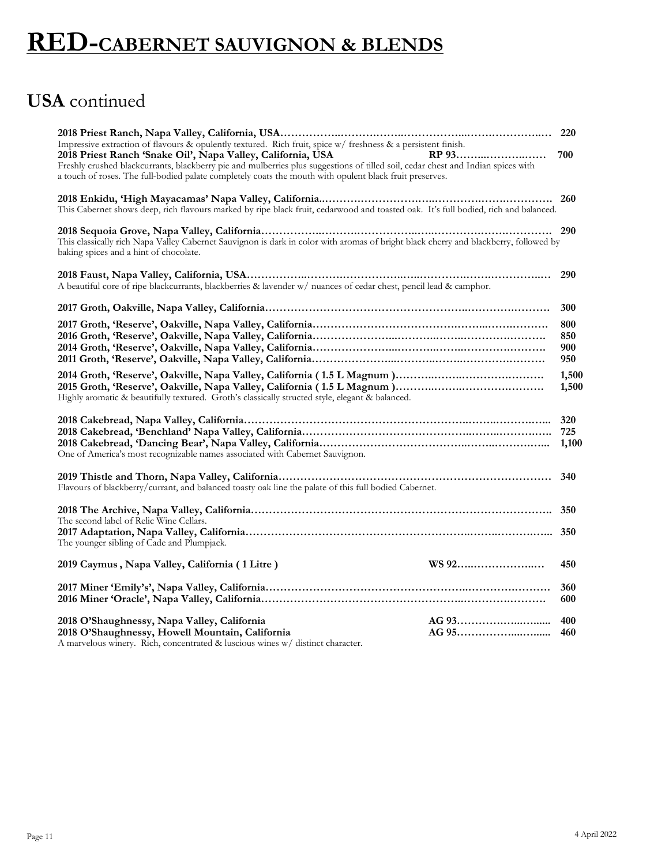### **USA** continued

| Impressive extraction of flavours & opulently textured. Rich fruit, spice w/ freshness & a persistent finish.                                                                                                                                                                                                       |                          |
|---------------------------------------------------------------------------------------------------------------------------------------------------------------------------------------------------------------------------------------------------------------------------------------------------------------------|--------------------------|
| 2018 Priest Ranch 'Snake Oil', Napa Valley, California, USA<br>RP 93<br>Freshly crushed blackcurrants, blackberry pie and mulberries plus suggestions of tilled soil, cedar chest and Indian spices with<br>a touch of roses. The full-bodied palate completely coats the mouth with opulent black fruit preserves. | 700                      |
| This Cabernet shows deep, rich flavours marked by ripe black fruit, cedarwood and toasted oak. It's full bodied, rich and balanced.                                                                                                                                                                                 |                          |
| This classically rich Napa Valley Cabernet Sauvignon is dark in color with aromas of bright black cherry and blackberry, followed by<br>baking spices and a hint of chocolate.                                                                                                                                      |                          |
| A beautiful core of ripe blackcurrants, blackberries & lavender w/ nuances of cedar chest, pencil lead & camphor.                                                                                                                                                                                                   | 290                      |
|                                                                                                                                                                                                                                                                                                                     | 300                      |
|                                                                                                                                                                                                                                                                                                                     | 800<br>850<br>900<br>950 |
| Highly aromatic & beautifully textured. Groth's classically structed style, elegant & balanced.                                                                                                                                                                                                                     | 1,500<br>1,500           |
| One of America's most recognizable names associated with Cabernet Sauvignon.                                                                                                                                                                                                                                        | 320<br>725<br>1,100      |
| Flavours of blackberry/currant, and balanced toasty oak line the palate of this full bodied Cabernet.                                                                                                                                                                                                               | 340                      |
| The second label of Relic Wine Cellars.                                                                                                                                                                                                                                                                             |                          |
| The younger sibling of Cade and Plumpjack.                                                                                                                                                                                                                                                                          |                          |
| WS 92<br>2019 Caymus, Napa Valley, California (1 Litre)                                                                                                                                                                                                                                                             | 450                      |
|                                                                                                                                                                                                                                                                                                                     | 360<br>600               |
| 2018 O'Shaughnessy, Napa Valley, California<br>2018 O'Shaughnessy, Howell Mountain, California<br>A marvelous winery. Rich, concentrated & luscious wines w/ distinct character.                                                                                                                                    | 400<br>460               |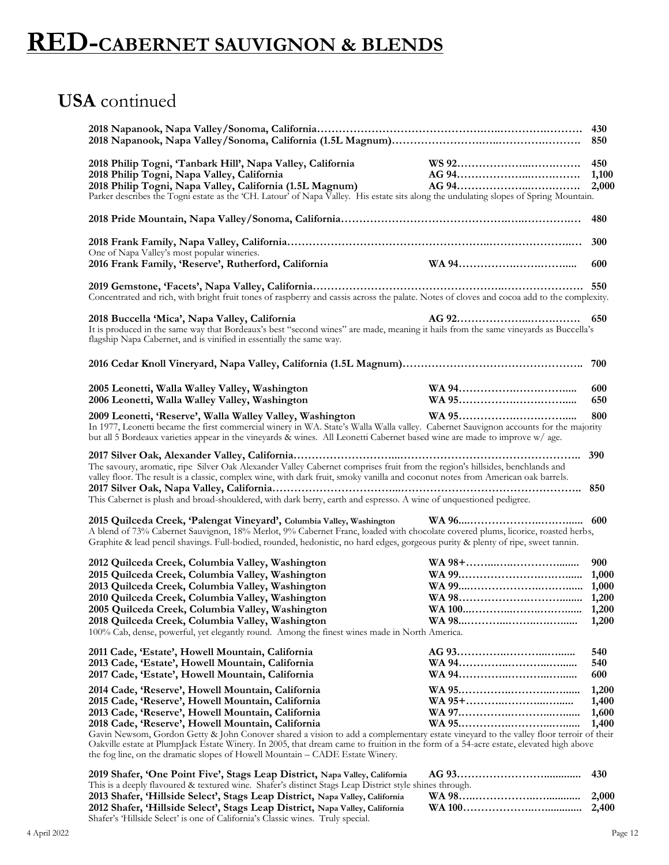Shafer's 'Hillside Select' is one of California's Classic wines. Truly special.

#### **USA** continued

| 2018 Philip Togni, 'Tanbark Hill', Napa Valley, California<br>2018 Philip Togni, Napa Valley, California<br>2018 Philip Togni, Napa Valley, California (1.5L Magnum)<br>Parker describes the Togni estate as the 'CH. Latour' of Napa Valley. His estate sits along the undulating slopes of Spring Mountain.                                                                                                                                                                                                                                                                       |  |                                  |
|-------------------------------------------------------------------------------------------------------------------------------------------------------------------------------------------------------------------------------------------------------------------------------------------------------------------------------------------------------------------------------------------------------------------------------------------------------------------------------------------------------------------------------------------------------------------------------------|--|----------------------------------|
|                                                                                                                                                                                                                                                                                                                                                                                                                                                                                                                                                                                     |  | 480                              |
| One of Napa Valley's most popular wineries.                                                                                                                                                                                                                                                                                                                                                                                                                                                                                                                                         |  | 300                              |
| 2016 Frank Family, 'Reserve', Rutherford, California                                                                                                                                                                                                                                                                                                                                                                                                                                                                                                                                |  | 600                              |
| Concentrated and rich, with bright fruit tones of raspberry and cassis across the palate. Notes of cloves and cocoa add to the complexity.                                                                                                                                                                                                                                                                                                                                                                                                                                          |  |                                  |
| 2018 Buccella 'Mica', Napa Valley, California<br>It is produced in the same way that Bordeaux's best "second wines" are made, meaning it hails from the same vineyards as Buccella's<br>flagship Napa Cabernet, and is vinified in essentially the same way.                                                                                                                                                                                                                                                                                                                        |  |                                  |
|                                                                                                                                                                                                                                                                                                                                                                                                                                                                                                                                                                                     |  |                                  |
| 2005 Leonetti, Walla Walley Valley, Washington<br>2006 Leonetti, Walla Walley Valley, Washington                                                                                                                                                                                                                                                                                                                                                                                                                                                                                    |  | 600<br>650                       |
| 2009 Leonetti, 'Reserve', Walla Walley Valley, Washington<br>In 1977, Leonetti became the first commercial winery in WA. State's Walla Walla valley. Cabernet Sauvignon accounts for the majority<br>but all 5 Bordeaux varieties appear in the vineyards & wines. All Leonetti Cabernet based wine are made to improve w/ age.                                                                                                                                                                                                                                                     |  | 800                              |
| The savoury, aromatic, ripe Silver Oak Alexander Valley Cabernet comprises fruit from the region's hillsides, benchlands and<br>valley floor. The result is a classic, complex wine, with dark fruit, smoky vanilla and coconut notes from American oak barrels.                                                                                                                                                                                                                                                                                                                    |  | 390                              |
| This Cabernet is plush and broad-shouldered, with dark berry, earth and espresso. A wine of unquestioned pedigree.                                                                                                                                                                                                                                                                                                                                                                                                                                                                  |  |                                  |
| 2015 Quilceda Creek, 'Palengat Vineyard', Columbia Valley, Washington<br>A blend of 73% Cabernet Sauvignon, 18% Merlot, 9% Cabernet Franc, loaded with chocolate covered plums, licorice, roasted herbs,<br>Graphite & lead pencil shavings. Full-bodied, rounded, hedonistic, no hard edges, gorgeous purity & plenty of ripe, sweet tannin.                                                                                                                                                                                                                                       |  |                                  |
| 2012 Quilceda Creek, Columbia Valley, Washington<br>2015 Quilceda Creek, Columbia Valley, Washington<br>2013 Quilceda Creek, Columbia Valley, Washington<br>2010 Quilceda Creek, Columbia Valley, Washington<br>2005 Quilceda Creek, Columbia Valley, Washington<br>2018 Quilceda Creek, Columbia Valley, Washington<br>100% Cab, dense, powerful, yet elegantly round. Among the finest wines made in North America.                                                                                                                                                               |  | 900<br>1,200                     |
| 2011 Cade, 'Estate', Howell Mountain, California<br>2013 Cade, 'Estate', Howell Mountain, California<br>2017 Cade, 'Estate', Howell Mountain, California                                                                                                                                                                                                                                                                                                                                                                                                                            |  | 540<br>540<br>600                |
| 2014 Cade, 'Reserve', Howell Mountain, California<br>2015 Cade, 'Reserve', Howell Mountain, California<br>2013 Cade, 'Reserve', Howell Mountain, California<br>2018 Cade, 'Reserve', Howell Mountain, California<br>Gavin Newsom, Gordon Getty & John Conover shared a vision to add a complementary estate vineyard to the valley floor terroir of their<br>Oakville estate at PlumpJack Estate Winery. In 2005, that dream came to fruition in the form of a 54-acre estate, elevated high above<br>the fog line, on the dramatic slopes of Howell Mountain – CADE Estate Winery. |  | 1,200<br>1,400<br>1,600<br>1,400 |
| 2019 Shafer, 'One Point Five', Stags Leap District, Napa Valley, California<br>This is a deeply flavoured & textured wine. Shafer's distinct Stags Leap District style shines through.<br>2013 Shafer, 'Hillside Select', Stags Leap District, Napa Valley, California<br>2012 Shafer, 'Hillside Select', Stags Leap District, Napa Valley, California                                                                                                                                                                                                                              |  | 430<br>2,000<br>2,400            |

4 April 2022 Page 12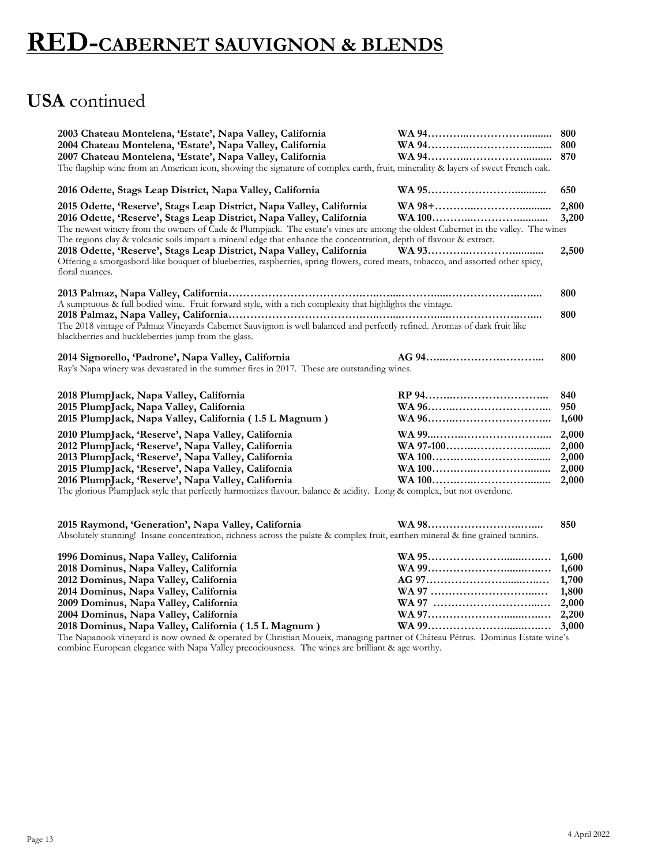#### **USA** continued

| 2003 Chateau Montelena, 'Estate', Napa Valley, California<br>2004 Chateau Montelena, 'Estate', Napa Valley, California<br>2007 Chateau Montelena, 'Estate', Napa Valley, California<br>The flagship wine from an American icon, showing the signature of complex earth, fruit, minerality & layers of sweet French oak.                                                                                 |                                                                                           | 800<br>870                                |
|---------------------------------------------------------------------------------------------------------------------------------------------------------------------------------------------------------------------------------------------------------------------------------------------------------------------------------------------------------------------------------------------------------|-------------------------------------------------------------------------------------------|-------------------------------------------|
| 2016 Odette, Stags Leap District, Napa Valley, California                                                                                                                                                                                                                                                                                                                                               |                                                                                           | 650                                       |
| 2015 Odette, 'Reserve', Stags Leap District, Napa Valley, California<br>2016 Odette, 'Reserve', Stags Leap District, Napa Valley, California<br>The newest winery from the owners of Cade & Plumpjack. The estate's vines are among the oldest Cabernet in the valley. The wines<br>The regions clay & volcanic soils impart a mineral edge that enhance the concentration, depth of flavour & extract. |                                                                                           | 2,800<br>3,200                            |
| 2018 Odette, 'Reserve', Stags Leap District, Napa Valley, California<br>Offering a smorgasbord-like bouquet of blueberries, raspberries, spring flowers, cured meats, tobacco, and assorted other spicy,<br>floral nuances.                                                                                                                                                                             |                                                                                           | 2,500                                     |
|                                                                                                                                                                                                                                                                                                                                                                                                         |                                                                                           | 800                                       |
| A sumptuous & full bodied wine. Fruit forward style, with a rich complexity that highlights the vintage.<br>The 2018 vintage of Palmaz Vineyards Cabernet Sauvignon is well balanced and perfectly refined. Aromas of dark fruit like<br>blackberries and huckleberries jump from the glass.                                                                                                            |                                                                                           | 800                                       |
| 2014 Signorello, 'Padrone', Napa Valley, California<br>Ray's Napa winery was devastated in the summer fires in 2017. These are outstanding wines.                                                                                                                                                                                                                                                       |                                                                                           | 800                                       |
| 2018 PlumpJack, Napa Valley, California<br>2015 PlumpJack, Napa Valley, California<br>2015 PlumpJack, Napa Valley, California (1.5 L Magnum)                                                                                                                                                                                                                                                            |                                                                                           | 840<br>950<br>1,600                       |
| 2010 PlumpJack, 'Reserve', Napa Valley, California<br>2012 PlumpJack, 'Reserve', Napa Valley, California<br>2013 PlumpJack, 'Reserve', Napa Valley, California<br>2015 PlumpJack, 'Reserve', Napa Valley, California<br>2016 PlumpJack, 'Reserve', Napa Valley, California<br>The glorious PlumpJack style that perfectly harmonizes flavour, balance & acidity. Long & complex, but not overdone.      |                                                                                           | 2,000<br>2,000<br>2,000<br>2,000<br>2,000 |
| $0.015$ m<br>$\sim$<br>$\mathbf{r}$ $\mathbf{r}$ $\mathbf{r}$ $\mathbf{r}$ $\mathbf{r}$ $\mathbf{r}$ $\mathbf{r}$ $\mathbf{r}$ $\mathbf{r}$ $\mathbf{r}$ $\mathbf{r}$ $\mathbf{r}$ $\mathbf{r}$ $\mathbf{r}$ $\mathbf{r}$ $\mathbf{r}$ $\mathbf{r}$ $\mathbf{r}$ $\mathbf{r}$ $\mathbf{r}$ $\mathbf{r}$ $\mathbf{r}$ $\mathbf{r}$ $\mathbf{r}$ $\mathbf{$                                               | $\overline{X}$ $\overline{Y}$ $\overline{Y}$ $\overline{Y}$ $\overline{Y}$ $\overline{Y}$ | 0.70                                      |

**2015 Raymond, 'Generation', Napa Valley, California WA 98……………………..….... 850** Absolutely stunning! Insane concentration, richness across the palate & complex fruit, earthen mineral & fine grained tannins.

| 1996 Dominus, Napa Valley, California                |  |
|------------------------------------------------------|--|
| 2018 Dominus, Napa Valley, California                |  |
| 2012 Dominus, Napa Valley, California                |  |
| 2014 Dominus, Napa Valley, California                |  |
| 2009 Dominus, Napa Valley, California                |  |
| 2004 Dominus, Napa Valley, California                |  |
| 2018 Dominus, Napa Valley, California (1.5 L Magnum) |  |

The Napanook vineyard is now owned & operated by Christian Moueix, managing partner of Château Pétrus. Dominus Estate wine's combine European elegance with Napa Valley precociousness. The wines are brilliant & age worthy.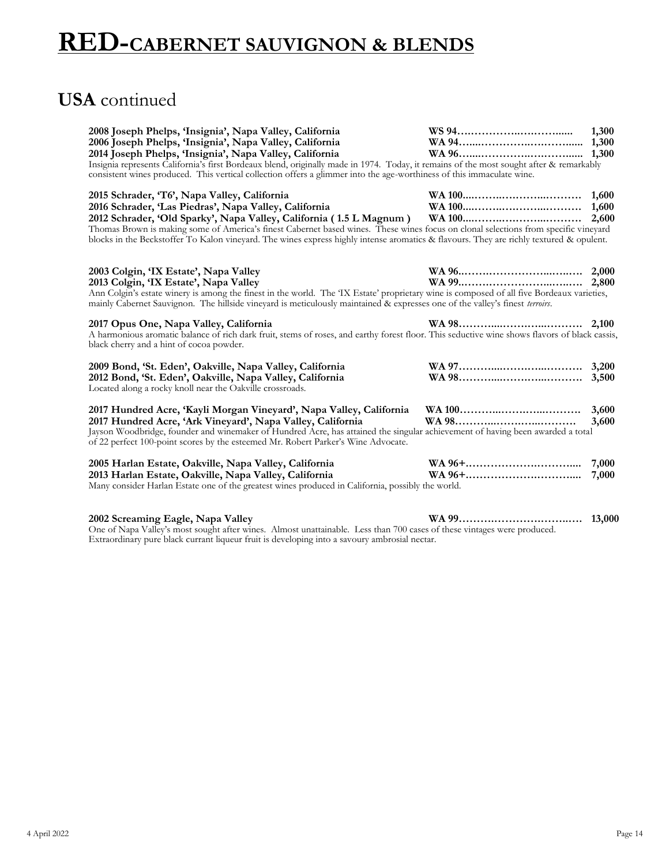#### **USA** continued

| 2008 Joseph Phelps, 'Insignia', Napa Valley, California<br>2006 Joseph Phelps, 'Insignia', Napa Valley, California<br>2014 Joseph Phelps, 'Insignia', Napa Valley, California<br>Insignia represents California's first Bordeaux blend, originally made in 1974. Today, it remains of the most sought after & remarkably<br>consistent wines produced. This vertical collection offers a glimmer into the age-worthiness of this immaculate wine. | 1,300          |
|---------------------------------------------------------------------------------------------------------------------------------------------------------------------------------------------------------------------------------------------------------------------------------------------------------------------------------------------------------------------------------------------------------------------------------------------------|----------------|
| 2015 Schrader, 'T6', Napa Valley, California<br>2016 Schrader, 'Las Piedras', Napa Valley, California<br>Thomas Brown is making some of America's finest Cabernet based wines. These wines focus on clonal selections from specific vineyard<br>blocks in the Beckstoffer To Kalon vineyard. The wines express highly intense aromatics & flavours. They are richly textured & opulent.                                                           |                |
| 2003 Colgin, 'IX Estate', Napa Valley<br>2013 Colgin, 'IX Estate', Napa Valley<br>Ann Colgin's estate winery is among the finest in the world. The 'IX Estate' proprietary wine is composed of all five Bordeaux varieties,<br>mainly Cabernet Sauvignon. The hillside vineyard is meticulously maintained & expresses one of the valley's finest terroirs.                                                                                       |                |
| 2017 Opus One, Napa Valley, California<br>A harmonious aromatic balance of rich dark fruit, stems of roses, and earthy forest floor. This seductive wine shows flavors of black cassis,<br>black cherry and a hint of cocoa powder.                                                                                                                                                                                                               |                |
| 2009 Bond, 'St. Eden', Oakville, Napa Valley, California<br>2012 Bond, 'St. Eden', Oakville, Napa Valley, California<br>Located along a rocky knoll near the Oakville crossroads.                                                                                                                                                                                                                                                                 |                |
| 2017 Hundred Acre, 'Kayli Morgan Vineyard', Napa Valley, California<br>2017 Hundred Acre, 'Ark Vineyard', Napa Valley, California<br>Jayson Woodbridge, founder and winemaker of Hundred Acre, has attained the singular achievement of having been awarded a total<br>of 22 perfect 100-point scores by the esteemed Mr. Robert Parker's Wine Advocate.                                                                                          | 3,600<br>3,600 |
| 2005 Harlan Estate, Oakville, Napa Valley, California<br>2013 Harlan Estate, Oakville, Napa Valley, California<br>Many consider Harlan Estate one of the greatest wines produced in California, possibly the world.                                                                                                                                                                                                                               | 7,000<br>7,000 |
| 2002 Screaming Eagle, Napa Valley<br>One of Napa Valley's most sought after wines. Almost unattainable. Less than 700 cases of these vintages were produced.                                                                                                                                                                                                                                                                                      | 13,000         |

Extraordinary pure black currant liqueur fruit is developing into a savoury ambrosial nectar.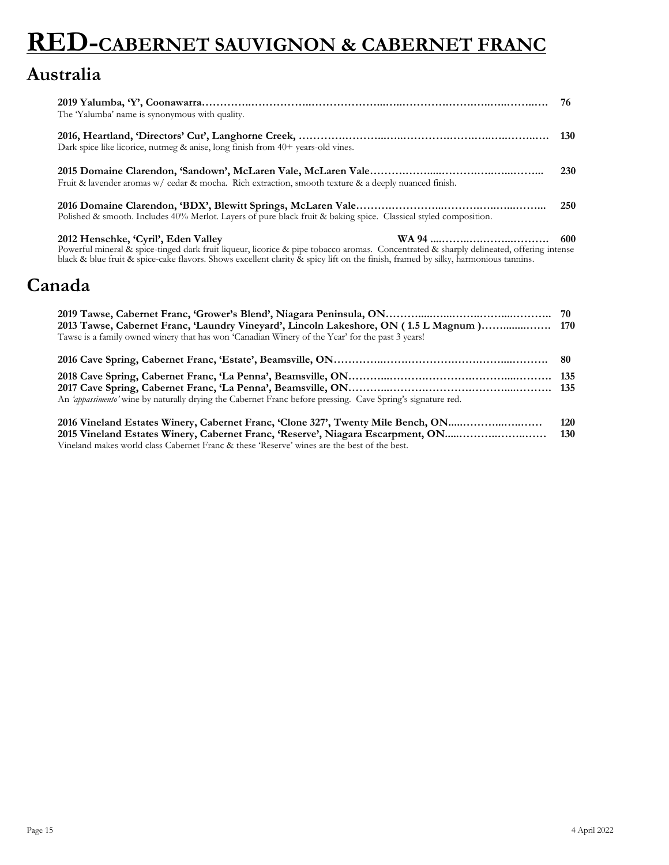# **RED-CABERNET SAUVIGNON & CABERNET FRANC**

#### **Australia**

| The Yalumba' name is synonymous with quality.                                                                                                                                                                                                                                                                       | 76  |
|---------------------------------------------------------------------------------------------------------------------------------------------------------------------------------------------------------------------------------------------------------------------------------------------------------------------|-----|
| Dark spice like licorice, nutmeg $\&$ anise, long finish from $40+$ years-old vines.                                                                                                                                                                                                                                |     |
| Fruit & lavender aromas $w$ cedar & mocha. Rich extraction, smooth texture & a deeply nuanced finish.                                                                                                                                                                                                               | 230 |
| Polished & smooth. Includes 40% Merlot. Layers of pure black fruit & baking spice. Classical styled composition.                                                                                                                                                                                                    | 250 |
| 2012 Henschke, 'Cyril', Eden Valley<br>Powerful mineral & spice-tinged dark fruit liqueur, licorice & pipe tobacco aromas. Concentrated & sharply delineated, offering intense<br>black & blue fruit & spice-cake flavors. Shows excellent clarity & spicy lift on the finish, framed by silky, harmonious tannins. | 600 |
| Canada                                                                                                                                                                                                                                                                                                              |     |
| 2013 Tawse, Cabernet Franc, 'Laundry Vineyard', Lincoln Lakeshore, ON (1.5 L Magnum) 170<br>Tawse is a family owned winery that has won 'Canadian Winery of the Year' for the past 3 years!                                                                                                                         |     |

| An 'appassimento' wine by naturally drying the Cabernet Franc before pressing. Cave Spring's signature red. |  |
|-------------------------------------------------------------------------------------------------------------|--|

**2016 Vineland Estates Winery, Cabernet Franc, 'Clone 327', Twenty Mile Bench, ON.....………...…..…… 120 2015 Vineland Estates Winery, Cabernet Franc, 'Reserve', Niagara Escarpment, ON.....………..……..…… 130** Vineland makes world class Cabernet Franc & these 'Reserve' wines are the best of the best.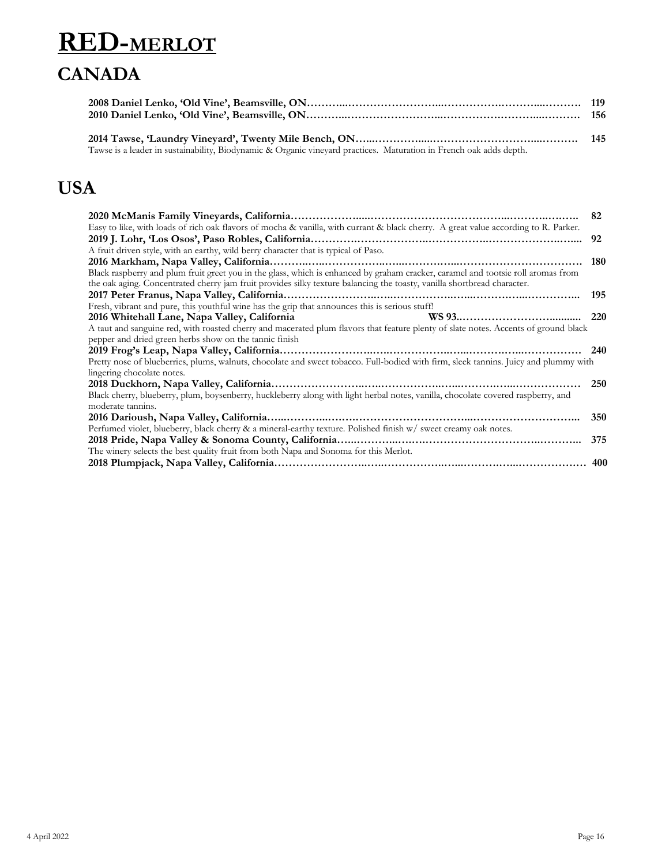### **RED-MERLOT CANADA**

| Tawse is a leader in sustainability, Biodynamic & Organic vineyard practices. Maturation in French oak adds depth. |  |
|--------------------------------------------------------------------------------------------------------------------|--|

### **USA**

| 82                                                                                                                                   |
|--------------------------------------------------------------------------------------------------------------------------------------|
|                                                                                                                                      |
| 92                                                                                                                                   |
|                                                                                                                                      |
| 180                                                                                                                                  |
|                                                                                                                                      |
|                                                                                                                                      |
| 195                                                                                                                                  |
|                                                                                                                                      |
| 220                                                                                                                                  |
|                                                                                                                                      |
|                                                                                                                                      |
| 240                                                                                                                                  |
| Pretty nose of blueberries, plums, walnuts, chocolate and sweet tobacco. Full-bodied with firm, sleek tannins. Juicy and plummy with |
|                                                                                                                                      |
| 250                                                                                                                                  |
|                                                                                                                                      |
|                                                                                                                                      |
| 350                                                                                                                                  |
|                                                                                                                                      |
| 375                                                                                                                                  |
|                                                                                                                                      |
| 400                                                                                                                                  |
|                                                                                                                                      |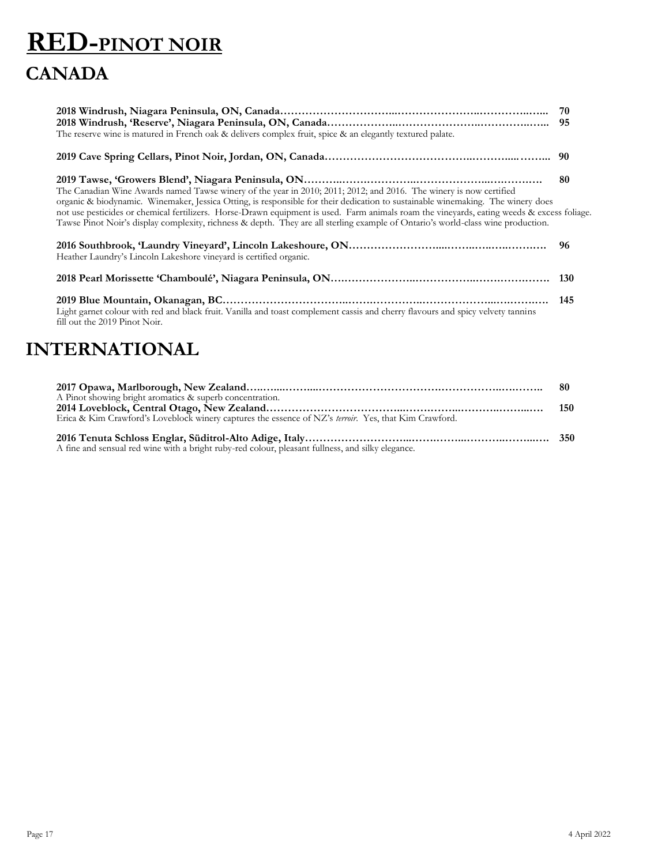## **RED-PINOT NOIR CANADA**

| The reserve wine is matured in French oak & delivers complex fruit, spice & an elegantly textured palate.                                                                                                                                                                      |     |
|--------------------------------------------------------------------------------------------------------------------------------------------------------------------------------------------------------------------------------------------------------------------------------|-----|
|                                                                                                                                                                                                                                                                                |     |
| The Canadian Wine Awards named Tawse winery of the year in 2010; 2011; 2012; and 2016. The winery is now certified<br>organic & biodynamic. Winemaker, Jessica Otting, is responsible for their dedication to sustainable winemaking. The winery does                          | -80 |
| not use pesticides or chemical fertilizers. Horse-Drawn equipment is used. Farm animals roam the vineyards, eating weeds & excess foliage.<br>Tawse Pinot Noir's display complexity, richness & depth. They are all sterling example of Ontario's world-class wine production. |     |
| Heather Laundry's Lincoln Lakeshore vineyard is certified organic.                                                                                                                                                                                                             | -96 |
|                                                                                                                                                                                                                                                                                |     |
| Light garnet colour with red and black fruit. Vanilla and toast complement cassis and cherry flavours and spicy velvety tannins<br>fill out the 2019 Pinot Noir.                                                                                                               | 145 |
|                                                                                                                                                                                                                                                                                |     |

### **INTERNATIONAL**

| A Pinot showing bright aromatics & superb concentration.<br>Erica & Kim Crawford's Loveblock winery captures the essence of NZ's terroir. Yes, that Kim Crawford. | 150 |
|-------------------------------------------------------------------------------------------------------------------------------------------------------------------|-----|
| A fine and sensual red wine with a bright ruby-red colour, pleasant fullness, and silky elegance.                                                                 |     |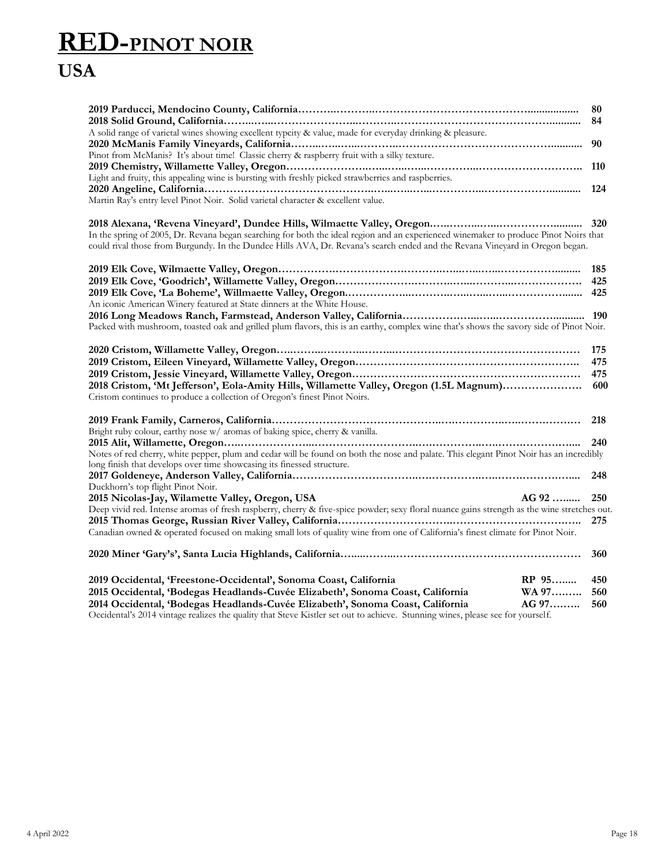### **RED-PINOT NOIR USA**

|                                                                                                                                                                                                                  | 80<br>84     |  |
|------------------------------------------------------------------------------------------------------------------------------------------------------------------------------------------------------------------|--------------|--|
| A solid range of varietal wines showing excellent typcity & value, made for everyday drinking & pleasure.                                                                                                        |              |  |
|                                                                                                                                                                                                                  |              |  |
| Pinot from McManis? It's about time! Classic cherry & raspberry fruit with a silky texture.                                                                                                                      |              |  |
|                                                                                                                                                                                                                  |              |  |
| Light and fruity, this appealing wine is bursting with freshly picked strawberries and raspberries.                                                                                                              |              |  |
| Martin Ray's entry level Pinot Noir. Solid varietal character & excellent value.                                                                                                                                 |              |  |
|                                                                                                                                                                                                                  |              |  |
| In the spring of 2005, Dr. Revana began searching for both the ideal region and an experienced winemaker to produce Pinot Noirs that                                                                             |              |  |
| could rival those from Burgundy. In the Dundee Hills AVA, Dr. Revana's search ended and the Revana Vineyard in Oregon began.                                                                                     |              |  |
|                                                                                                                                                                                                                  |              |  |
|                                                                                                                                                                                                                  |              |  |
|                                                                                                                                                                                                                  |              |  |
| An iconic American Winery featured at State dinners at the White House.                                                                                                                                          |              |  |
|                                                                                                                                                                                                                  |              |  |
| Packed with mushroom, toasted oak and grilled plum flavors, this is an earthy, complex wine that's shows the savory side of Pinot Noir.                                                                          |              |  |
|                                                                                                                                                                                                                  | 175          |  |
|                                                                                                                                                                                                                  | 475          |  |
|                                                                                                                                                                                                                  | 475          |  |
| 2018 Cristom, 'Mt Jefferson', Eola-Amity Hills, Willamette Valley, Oregon (1.5L Magnum)<br>Cristom continues to produce a collection of Oregon's finest Pinot Noirs.                                             | 600          |  |
|                                                                                                                                                                                                                  |              |  |
| Bright ruby colour, earthy nose w/ aromas of baking spice, cherry & vanilla.                                                                                                                                     |              |  |
|                                                                                                                                                                                                                  | 240          |  |
| Notes of red cherry, white pepper, plum and cedar will be found on both the nose and palate. This elegant Pinot Noir has an incredibly                                                                           |              |  |
| long finish that develops over time showcasing its finessed structure.                                                                                                                                           |              |  |
| Duckhorn's top flight Pinot Noir.                                                                                                                                                                                | 248          |  |
| 2015 Nicolas-Jay, Wilamette Valley, Oregon, USA                                                                                                                                                                  | AG 92<br>250 |  |
| Deep vivid red. Intense aromas of fresh raspberry, cherry & five-spice powder; sexy floral nuance gains strength as the wine stretches out.                                                                      |              |  |
|                                                                                                                                                                                                                  | 275          |  |
| Canadian owned & operated focused on making small lots of quality wine from one of California's finest climate for Pinot Noir.                                                                                   |              |  |
|                                                                                                                                                                                                                  | 360          |  |
| 2019 Occidental, 'Freestone-Occidental', Sonoma Coast, California                                                                                                                                                | RP 95<br>450 |  |
| 2015 Occidental, 'Bodegas Headlands-Cuvée Elizabeth', Sonoma Coast, California                                                                                                                                   | WA 97<br>560 |  |
| 2014 Occidental, 'Bodegas Headlands-Cuvée Elizabeth', Sonoma Coast, California<br>Occidental's 2014 vintage realizes the quality that Steve Kistler set out to achieve. Stunning wines, please see for yourself. | AG 97<br>560 |  |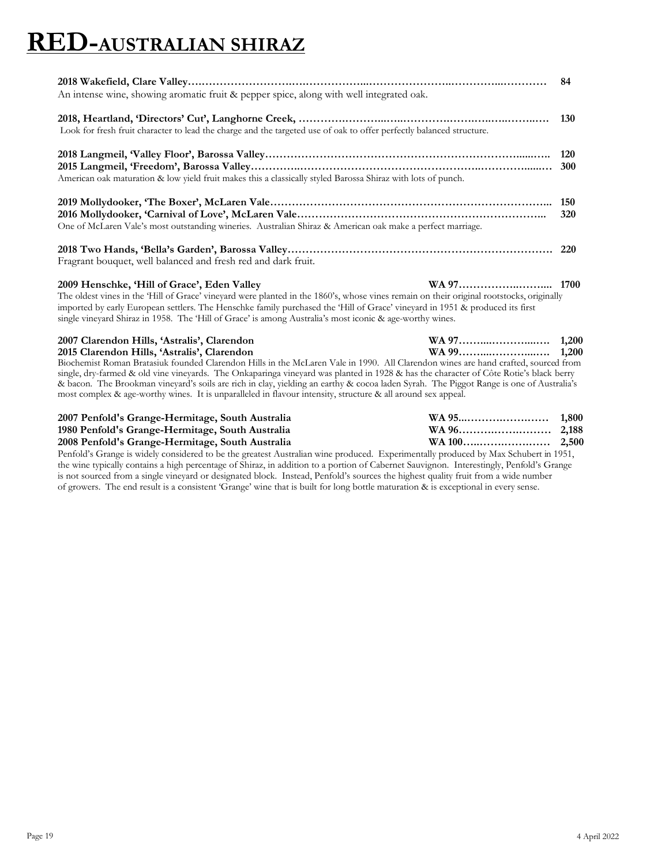### **RED-AUSTRALIAN SHIRAZ**

| 2007 Clarendon Hills, 'Astralis', Clarendon<br>2015 Clarendon Hills, 'Astralis', Clarendon                                                                                                                                                                                                                                                                                                                                          |                   |
|-------------------------------------------------------------------------------------------------------------------------------------------------------------------------------------------------------------------------------------------------------------------------------------------------------------------------------------------------------------------------------------------------------------------------------------|-------------------|
| 2009 Henschke, 'Hill of Grace', Eden Valley<br>The oldest vines in the 'Hill of Grace' vineyard were planted in the 1860's, whose vines remain on their original rootstocks, originally<br>imported by early European settlers. The Henschke family purchased the 'Hill of Grace' vineyard in 1951 & produced its first<br>single vineyard Shiraz in 1958. The 'Hill of Grace' is among Australia's most iconic & age-worthy wines. |                   |
| Fragrant bouquet, well balanced and fresh red and dark fruit.                                                                                                                                                                                                                                                                                                                                                                       |                   |
| One of McLaren Vale's most outstanding wineries. Australian Shiraz & American oak make a perfect marriage.                                                                                                                                                                                                                                                                                                                          | 320               |
| American oak maturation & low yield fruit makes this a classically styled Barossa Shiraz with lots of punch.                                                                                                                                                                                                                                                                                                                        | <b>120</b><br>300 |
| Look for fresh fruit character to lead the charge and the targeted use of oak to offer perfectly balanced structure.                                                                                                                                                                                                                                                                                                                | <b>130</b>        |
| An intense wine, showing aromatic fruit & pepper spice, along with well integrated oak.                                                                                                                                                                                                                                                                                                                                             | 84                |

Biochemist Roman Bratasiuk founded Clarendon Hills in the McLaren Vale in 1990. All Clarendon wines are hand crafted, sourced from single, dry-farmed & old vine vineyards. The Onkaparinga vineyard was planted in 1928 & has the character of Côte Rotie's black berry & bacon. The Brookman vineyard's soils are rich in clay, yielding an earthy & cocoa laden Syrah. The Piggot Range is one of Australia's most complex & age-worthy wines. It is unparalleled in flavour intensity, structure & all around sex appeal.

| 2007 Penfold's Grange-Hermitage, South Australia |  |
|--------------------------------------------------|--|
| 1980 Penfold's Grange-Hermitage, South Australia |  |
| 2008 Penfold's Grange-Hermitage, South Australia |  |

Penfold's Grange is widely considered to be the greatest Australian wine produced. Experimentally produced by Max Schubert in 1951, the wine typically contains a high percentage of Shiraz, in addition to a portion of Cabernet Sauvignon. Interestingly, Penfold's Grange is not sourced from a single vineyard or designated block. Instead, Penfold's sources the highest quality fruit from a wide number of growers. The end result is a consistent 'Grange' wine that is built for long bottle maturation & is exceptional in every sense.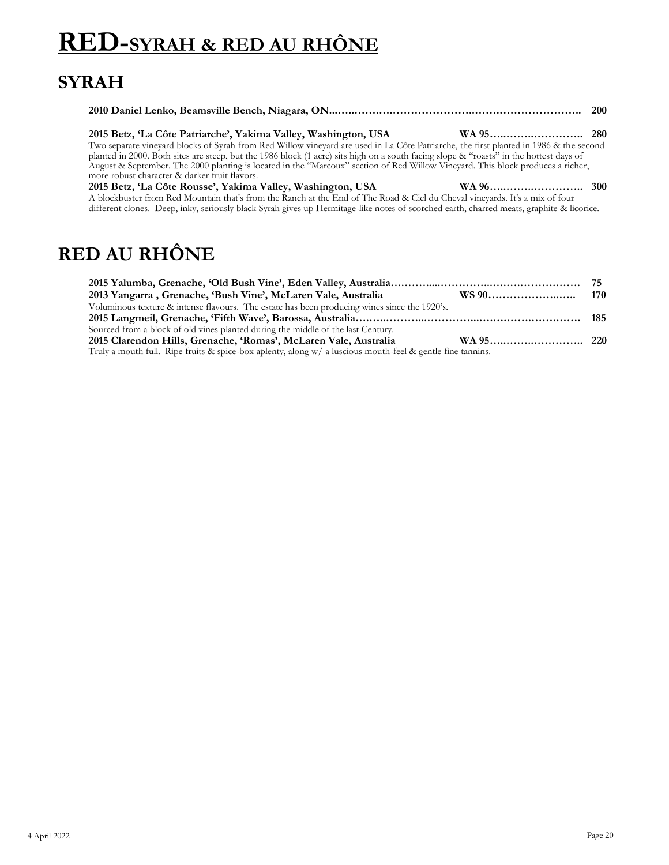### **RED-SYRAH & RED AU RHÔNE**

### **SYRAH**

| 2015 Betz, 'La Côte Patriarche', Yakima Valley, Washington, USA<br>Two separate vineyard blocks of Syrah from Red Willow vineyard are used in La Côte Patriarche, the first planted in 1986 & the second<br>planted in 2000. Both sites are steep, but the 1986 block (1 acre) sits high on a south facing slope & "roasts" in the hottest days of<br>August & September. The 2000 planting is located in the "Marcoux" section of Red Willow Vineyard. This block produces a richer,<br>more robust character & darker fruit flavors. |  |
|----------------------------------------------------------------------------------------------------------------------------------------------------------------------------------------------------------------------------------------------------------------------------------------------------------------------------------------------------------------------------------------------------------------------------------------------------------------------------------------------------------------------------------------|--|
| 2015 Betz, 'La Côte Rousse', Yakima Valley, Washington, USA<br>A blockbuster from Red Mountain that's from the Ranch at the End of The Road & Ciel du Cheval vineyards. It's a mix of four<br>different clones. Deep, inky, seriously black Syrah gives up Hermitage-like notes of scorched earth, charred meats, graphite & licorice.                                                                                                                                                                                                 |  |

### **RED AU RHÔNE**

| 2013 Yangarra, Grenache, 'Bush Vine', McLaren Vale, Australia                                                |  |
|--------------------------------------------------------------------------------------------------------------|--|
| Voluminous texture & intense flavours. The estate has been producing wines since the 1920's.                 |  |
|                                                                                                              |  |
| Sourced from a block of old vines planted during the middle of the last Century.                             |  |
| 2015 Clarendon Hills, Grenache, 'Romas', McLaren Vale, Australia                                             |  |
| Truly a mouth full. Ripe fruits & spice-box aplenty, along $w/$ a luscious mouth-feel & gentle fine tannins. |  |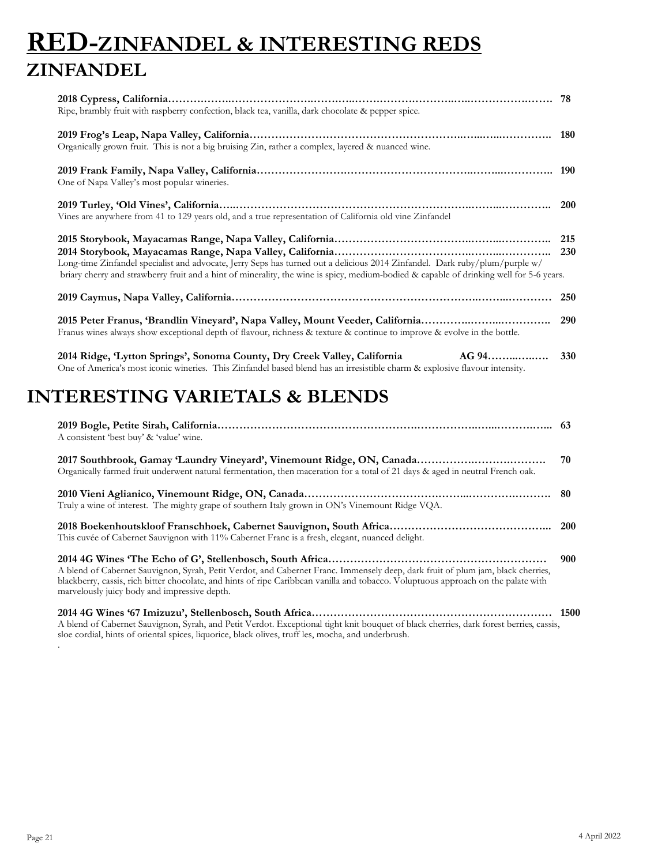### **RED-ZINFANDEL & INTERESTING REDS ZINFANDEL**

| Ripe, brambly fruit with raspberry confection, black tea, vanilla, dark chocolate & pepper spice.                                                                                                                                                                      |     |
|------------------------------------------------------------------------------------------------------------------------------------------------------------------------------------------------------------------------------------------------------------------------|-----|
| Organically grown fruit. This is not a big bruising Zin, rather a complex, layered & nuanced wine.                                                                                                                                                                     |     |
| One of Napa Valley's most popular wineries.                                                                                                                                                                                                                            |     |
| Vines are anywhere from 41 to 129 years old, and a true representation of California old vine Zinfandel                                                                                                                                                                |     |
| Long-time Zinfandel specialist and advocate, Jerry Seps has turned out a delicious 2014 Zinfandel. Dark ruby/plum/purple w/<br>briary cherry and strawberry fruit and a hint of minerality, the wine is spicy, medium-bodied & capable of drinking well for 5-6 years. |     |
|                                                                                                                                                                                                                                                                        | 250 |
| 2015 Peter Franus, 'Brandlin Vineyard', Napa Valley, Mount Veeder, California<br>Franus wines always show exceptional depth of flavour, richness & texture & continue to improve & evolve in the bottle.                                                               | 290 |
|                                                                                                                                                                                                                                                                        |     |

**2014 Ridge, 'Lytton Springs', Sonoma County, Dry Creek Valley, California AG 94……...…..…. 330** One of America's most iconic wineries. This Zinfandel based blend has an irresistible charm & explosive flavour intensity.

#### **INTERESTING VARIETALS & BLENDS**

| A consistent 'best buy' & 'value' wine.                                                                                                                                                                                                                                                                               |     |
|-----------------------------------------------------------------------------------------------------------------------------------------------------------------------------------------------------------------------------------------------------------------------------------------------------------------------|-----|
| Organically farmed fruit underwent natural fermentation, then maceration for a total of 21 days & aged in neutral French oak.                                                                                                                                                                                         | 70  |
| Truly a wine of interest. The mighty grape of southern Italy grown in ON's Vinemount Ridge VQA.                                                                                                                                                                                                                       |     |
| This cuvée of Cabernet Sauvignon with 11% Cabernet Franc is a fresh, elegant, nuanced delight.                                                                                                                                                                                                                        |     |
| A blend of Cabernet Sauvignon, Syrah, Petit Verdot, and Cabernet Franc. Immensely deep, dark fruit of plum jam, black cherries,<br>blackberry, cassis, rich bitter chocolate, and hints of ripe Caribbean vanilla and tobacco. Voluptuous approach on the palate with<br>marvelously juicy body and impressive depth. | 900 |
| A blend of Cabernet Sauvignon, Syrah, and Petit Verdot. Exceptional tight knit bouquet of black cherries, dark forest berries, cassis,<br>sloe cordial, hints of oriental spices, liquorice, black olives, truff les, mocha, and underbrush.                                                                          |     |

.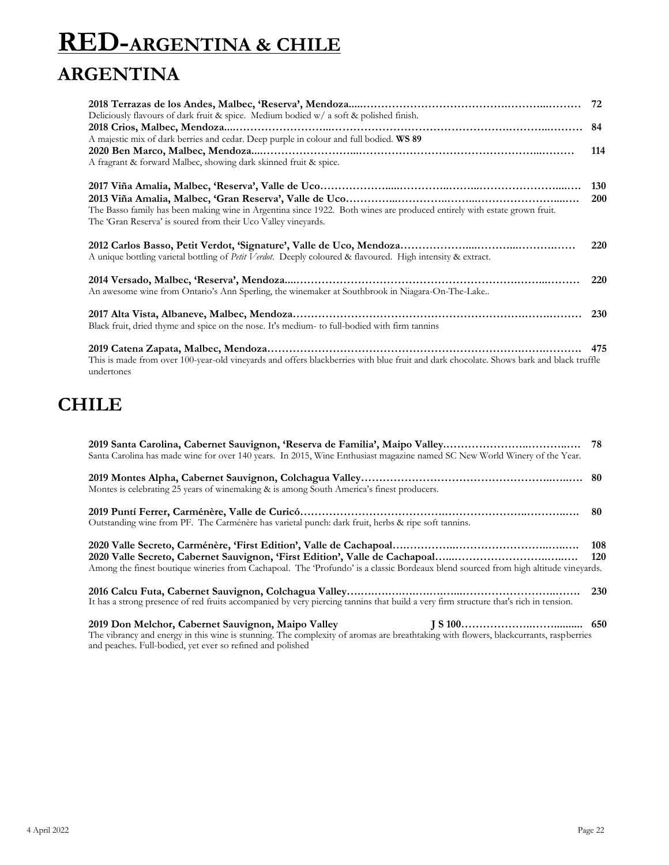# **RED-ARGENTINA & CHILE ARGENTINA**

| Deliciously flavours of dark fruit & spice. Medium bodied $w/a$ soft & polished finish.                                                |            |
|----------------------------------------------------------------------------------------------------------------------------------------|------------|
|                                                                                                                                        | 84         |
| A majestic mix of dark berries and cedar. Deep purple in colour and full bodied. WS 89                                                 |            |
|                                                                                                                                        | 114        |
| A fragrant & forward Malbec, showing dark skinned fruit & spice.                                                                       |            |
|                                                                                                                                        | <b>130</b> |
|                                                                                                                                        | <b>200</b> |
| The Basso family has been making wine in Argentina since 1922. Both wines are produced entirely with estate grown fruit.               |            |
| The 'Gran Reserva' is soured from their Uco Valley vineyards.                                                                          |            |
|                                                                                                                                        |            |
|                                                                                                                                        | <b>220</b> |
| A unique bottling varietal bottling of Petit Verdot. Deeply coloured & flavoured. High intensity & extract.                            |            |
|                                                                                                                                        | <b>220</b> |
| An awesome wine from Ontario's Ann Sperling, the winemaker at Southbrook in Niagara-On-The-Lake                                        |            |
|                                                                                                                                        |            |
|                                                                                                                                        | <b>230</b> |
| Black fruit, dried thyme and spice on the nose. It's medium- to full-bodied with firm tannins                                          |            |
|                                                                                                                                        | 475        |
| This is made from over 100-year-old vineyards and offers blackberries with blue fruit and dark chocolate. Shows bark and black truffle |            |

### **CHILE**

undertones

| Santa Carolina has made wine for over 140 years. In 2015, Wine Enthusiast magazine named SC New World Winery of the Year.                                                                          |  |
|----------------------------------------------------------------------------------------------------------------------------------------------------------------------------------------------------|--|
| Montes is celebrating 25 years of winemaking & is among South America's finest producers.                                                                                                          |  |
| Outstanding wine from PF. The Carménère has varietal punch: dark fruit, herbs & ripe soft tannins.                                                                                                 |  |
| Among the finest boutique wineries from Cachapoal. The Profundo' is a classic Bordeaux blend sourced from high altitude vineyards.                                                                 |  |
| It has a strong presence of red fruits accompanied by very piercing tannins that build a very firm structure that's rich in tension.                                                               |  |
| The vibrancy and energy in this wine is stunning. The complexity of aromas are breathtaking with flowers, blackcurrants, raspberries<br>and peaches. Full-bodied, yet ever so refined and polished |  |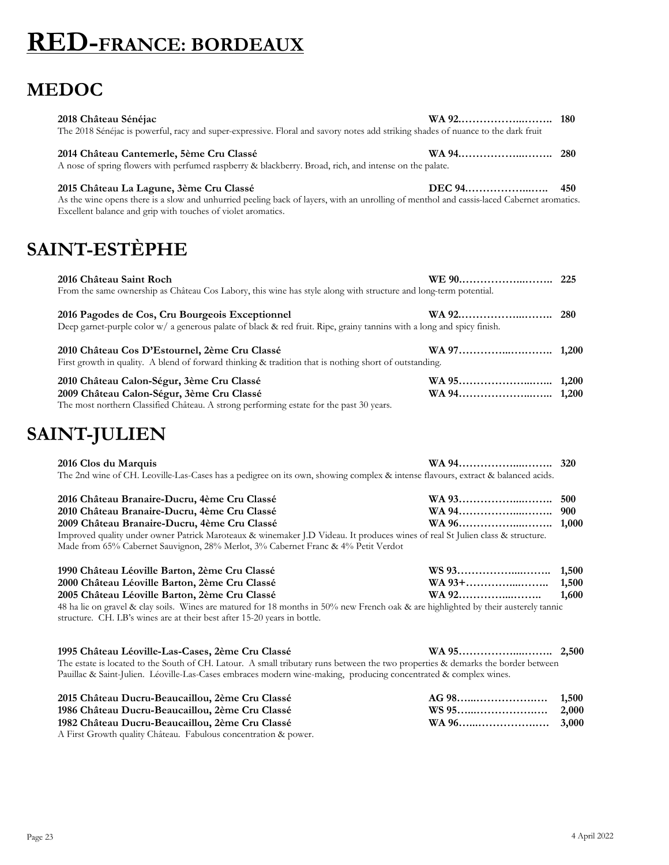### **RED-FRANCE: BORDEAUX**

#### **MEDOC**

| 2018 Château Sénéjac<br>The 2018 Sénéjac is powerful, racy and super-expressive. Floral and savory notes add striking shades of nuance to the dark fruit                                                                                                                                                                                                           |                         |                         |
|--------------------------------------------------------------------------------------------------------------------------------------------------------------------------------------------------------------------------------------------------------------------------------------------------------------------------------------------------------------------|-------------------------|-------------------------|
| 2014 Château Cantemerle, 5ème Cru Classé<br>A nose of spring flowers with perfumed raspberry & blackberry. Broad, rich, and intense on the palate.                                                                                                                                                                                                                 | WA 94                   | 280                     |
| 2015 Château La Lagune, 3ème Cru Classé<br>As the wine opens there is a slow and unhurried peeling back of layers, with an unrolling of menthol and cassis-laced Cabernet aromatics.<br>Excellent balance and grip with touches of violet aromatics.                                                                                                               | DEC 94                  | 450                     |
| <b>SAINT-ESTÈPHE</b>                                                                                                                                                                                                                                                                                                                                               |                         |                         |
| 2016 Château Saint Roch<br>From the same ownership as Château Cos Labory, this wine has style along with structure and long-term potential.                                                                                                                                                                                                                        |                         |                         |
| 2016 Pagodes de Cos, Cru Bourgeois Exceptionnel<br>Deep garnet-purple color w/ a generous palate of black & red fruit. Ripe, grainy tannins with a long and spicy finish.                                                                                                                                                                                          |                         | 280                     |
| 2010 Château Cos D'Estournel, 2ème Cru Classé<br>First growth in quality. A blend of forward thinking & tradition that is nothing short of outstanding.                                                                                                                                                                                                            |                         |                         |
| 2010 Château Calon-Ségur, 3ème Cru Classé<br>2009 Château Calon-Ségur, 3ème Cru Classé<br>The most northern Classified Château. A strong performing estate for the past 30 years.                                                                                                                                                                                  |                         |                         |
| <b>SAINT-JULIEN</b>                                                                                                                                                                                                                                                                                                                                                |                         |                         |
| 2016 Clos du Marquis<br>The 2nd wine of CH. Leoville-Las-Cases has a pedigree on its own, showing complex & intense flavours, extract & balanced acids.                                                                                                                                                                                                            |                         |                         |
| 2016 Château Branaire-Ducru, 4ème Cru Classé<br>2010 Château Branaire-Ducru, 4ème Cru Classé<br>2009 Château Branaire-Ducru, 4ème Cru Classé<br>Improved quality under owner Patrick Maroteaux & winemaker J.D Videau. It produces wines of real St Julien class & structure.                                                                                      |                         | 500<br>900<br>1,000     |
| Made from 65% Cabernet Sauvignon, 28% Merlot, 3% Cabernet Franc & 4% Petit Verdot                                                                                                                                                                                                                                                                                  |                         |                         |
| 1990 Château Léoville Barton, 2ème Cru Classé<br>2000 Château Léoville Barton, 2ème Cru Classé<br>2005 Château Léoville Barton, 2ème Cru Classé<br>48 ha lie on gravel & clay soils. Wines are matured for 18 months in 50% new French oak & are highlighted by their austerely tannic<br>structure. CH. LB's wines are at their best after 15-20 years in bottle. | WS 93<br>WA 93+<br>WA92 | 1,500<br>1,500<br>1,600 |
| 1995 Château Léoville-Las-Cases, 2ème Cru Classé<br>The estate is located to the South of CH. Latour. A small tributary runs between the two properties & demarks the border between<br>Pauillac & Saint-Julien. Léoville-Las-Cases embraces modern wine-making, producing concentrated & complex wines.                                                           |                         |                         |
| 2015 Château Ducru-Beaucaillou, 2ème Cru Classé<br>1986 Château Ducru-Beaucaillou, 2ème Cru Classé<br>1982 Château Ducru-Beaucaillou, 2ème Cru Classé                                                                                                                                                                                                              | AG 98<br>WS 95<br>WA 96 | 1,500<br>2,000<br>3,000 |

A First Growth quality Château. Fabulous concentration & power.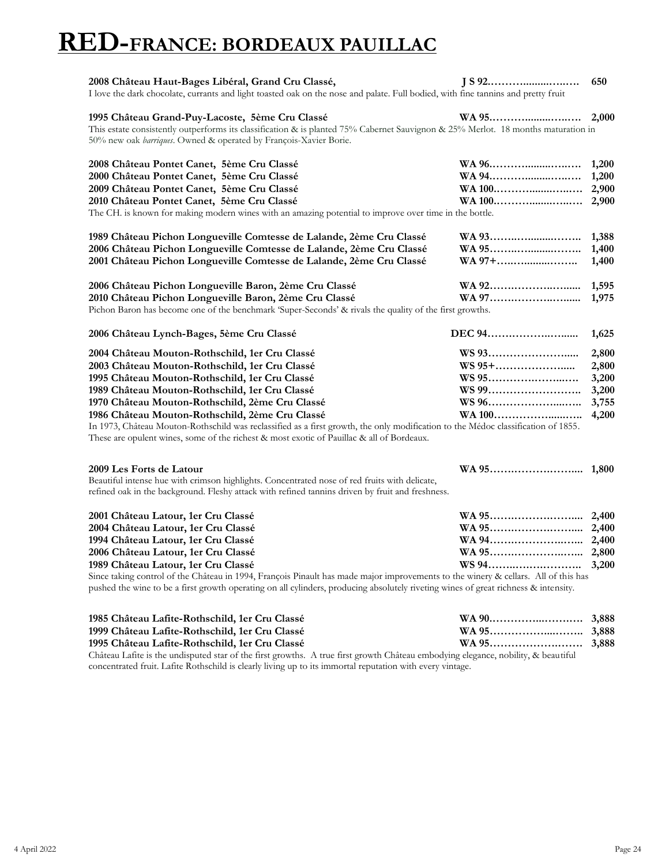### **RED-FRANCE: BORDEAUX PAUILLAC**

| 2008 Château Haut-Bages Libéral, Grand Cru Classé,                                                                                                                                                                                                                        |        | 650   |
|---------------------------------------------------------------------------------------------------------------------------------------------------------------------------------------------------------------------------------------------------------------------------|--------|-------|
| I love the dark chocolate, currants and light toasted oak on the nose and palate. Full bodied, with fine tannins and pretty fruit                                                                                                                                         |        |       |
| 1995 Château Grand-Puy-Lacoste, 5ème Cru Classé                                                                                                                                                                                                                           | WA 95  | 2,000 |
| This estate consistently outperforms its classification & is planted 75% Cabernet Sauvignon & 25% Merlot. 18 months maturation in                                                                                                                                         |        |       |
| 50% new oak barriques. Owned & operated by François-Xavier Borie.                                                                                                                                                                                                         |        |       |
| 2008 Château Pontet Canet, 5ème Cru Classé                                                                                                                                                                                                                                | WA 96  | 1,200 |
| 2000 Château Pontet Canet, 5ème Cru Classé                                                                                                                                                                                                                                | WA 94  | 1,200 |
| 2009 Château Pontet Canet, 5ème Cru Classé                                                                                                                                                                                                                                | WA 100 | 2,900 |
| 2010 Château Pontet Canet, 5ème Cru Classé                                                                                                                                                                                                                                | WA 100 | 2,900 |
| The CH. is known for making modern wines with an amazing potential to improve over time in the bottle.                                                                                                                                                                    |        |       |
| 1989 Château Pichon Longueville Comtesse de Lalande, 2ème Cru Classé                                                                                                                                                                                                      | WA 93  | 1,388 |
| 2006 Château Pichon Longueville Comtesse de Lalande, 2ème Cru Classé                                                                                                                                                                                                      | WA 95  | 1,400 |
| 2001 Château Pichon Longueville Comtesse de Lalande, 2ème Cru Classé                                                                                                                                                                                                      | WA 97+ | 1,400 |
| 2006 Château Pichon Longueville Baron, 2ème Cru Classé                                                                                                                                                                                                                    |        | 1,595 |
| 2010 Château Pichon Longueville Baron, 2ème Cru Classé                                                                                                                                                                                                                    | WA 97  | 1,975 |
| Pichon Baron has become one of the benchmark 'Super-Seconds' & rivals the quality of the first growths.                                                                                                                                                                   |        |       |
| 2006 Château Lynch-Bages, 5ème Cru Classé                                                                                                                                                                                                                                 | DEC 94 | 1,625 |
| 2004 Château Mouton-Rothschild, 1er Cru Classé                                                                                                                                                                                                                            | WS 93  | 2,800 |
| 2003 Château Mouton-Rothschild, 1er Cru Classé                                                                                                                                                                                                                            | WS 95+ | 2,800 |
| 1995 Château Mouton-Rothschild, 1er Cru Classé                                                                                                                                                                                                                            | WS 95  | 3,200 |
| 1989 Château Mouton-Rothschild, 1er Cru Classé                                                                                                                                                                                                                            | WS 99  | 3,200 |
| 1970 Château Mouton-Rothschild, 2ème Cru Classé                                                                                                                                                                                                                           | WS 96  | 3,755 |
| 1986 Château Mouton-Rothschild, 2ème Cru Classé                                                                                                                                                                                                                           | WA 100 | 4,200 |
| In 1973, Château Mouton-Rothschild was reclassified as a first growth, the only modification to the Médoc classification of 1855.<br>These are opulent wines, some of the richest & most exotic of Pauillac & all of Bordeaux.                                            |        |       |
| 2009 Les Forts de Latour                                                                                                                                                                                                                                                  |        |       |
| Beautiful intense hue with crimson highlights. Concentrated nose of red fruits with delicate,                                                                                                                                                                             |        |       |
| refined oak in the background. Fleshy attack with refined tannins driven by fruit and freshness.                                                                                                                                                                          |        |       |
| 2001 Château Latour, 1er Cru Classé                                                                                                                                                                                                                                       |        | 2,400 |
| 2004 Château Latour, 1er Cru Classé                                                                                                                                                                                                                                       | WA 95  | 2,400 |
| 1994 Château Latour, 1er Cru Classé                                                                                                                                                                                                                                       |        | 2,400 |
| 2006 Château Latour, 1er Cru Classé                                                                                                                                                                                                                                       |        |       |
| 1989 Château Latour, 1er Cru Classé                                                                                                                                                                                                                                       | WS 94  | 3,200 |
| Since taking control of the Château in 1994, François Pinault has made major improvements to the winery & cellars. All of this has<br>pushed the wine to be a first growth operating on all cylinders, producing absolutely riveting wines of great richness & intensity. |        |       |
| 1985 Château Lafite-Rothschild, 1er Cru Classé                                                                                                                                                                                                                            |        |       |
| 1999 Château Lafite-Rothschild, 1er Cru Classé                                                                                                                                                                                                                            |        |       |
|                                                                                                                                                                                                                                                                           |        |       |

**1995 Château Lafite-Rothschild, 1er Cru Classé WA 95……………….……. 3,888** Château Lafite is the undisputed star of the first growths. A true first growth Château embodying elegance, nobility, & beautiful concentrated fruit. Lafite Rothschild is clearly living up to its immortal reputation with every vintage.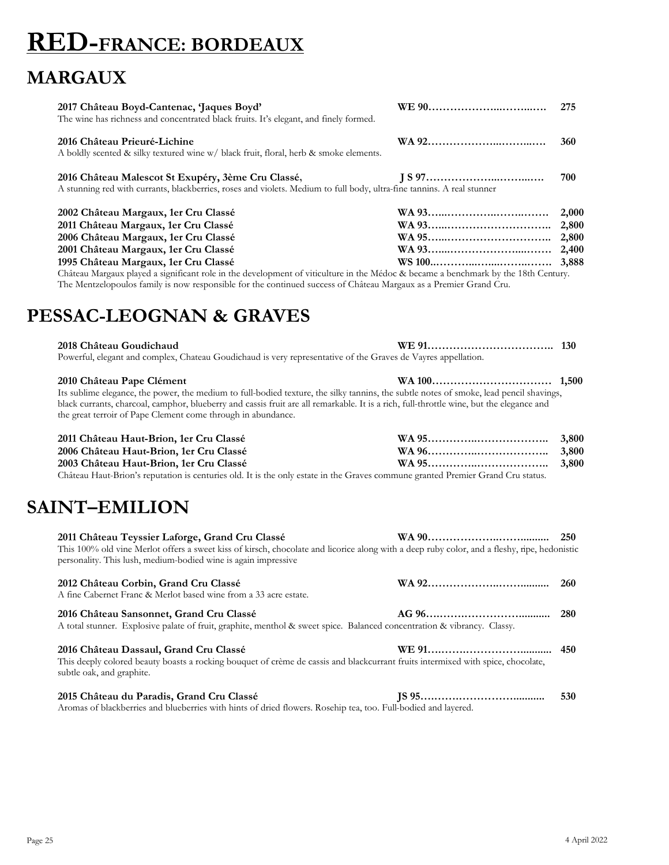# **RED-FRANCE: BORDEAUX**

### **MARGAUX**

| 2017 Château Boyd-Cantenac, 'Jaques Boyd'<br>The wine has richness and concentrated black fruits. It's elegant, and finely formed.                                           | 275 |
|------------------------------------------------------------------------------------------------------------------------------------------------------------------------------|-----|
| 2016 Château Prieuré-Lichine<br>A boldly scented & silky textured wine w/ black fruit, floral, herb & smoke elements.                                                        | 360 |
| 2016 Château Malescot St Exupéry, 3ème Cru Classé,<br>A stunning red with currants, blackberries, roses and violets. Medium to full body, ultra-fine tannins. A real stunner | 700 |

| 2002 Château Margaux, 1er Cru Classé                                                                                   |  |
|------------------------------------------------------------------------------------------------------------------------|--|
| 2011 Château Margaux, 1er Cru Classé                                                                                   |  |
| 2006 Château Margaux, 1er Cru Classé                                                                                   |  |
| 2001 Château Margaux, 1er Cru Classé                                                                                   |  |
| 1995 Château Margaux, 1er Cru Classé                                                                                   |  |
| $CAA = 3I$ (1) 1) $1 \leq I \leq A + 1$ (1) $1 \leq I \leq I \leq I$ (1) $3I/1$ (1) (1) 1) 11 (1) $4.04 \leq I \leq I$ |  |

Château Margaux played a significant role in the development of viticulture in the Médoc & became a benchmark by the 18th Century. The Mentzelopoulos family is now responsible for the continued success of Château Margaux as a Premier Grand Cru.

#### **PESSAC-LEOGNAN & GRAVES**

| 2018 Château Goudichaud                                                                                       |  |
|---------------------------------------------------------------------------------------------------------------|--|
| Powerful, elegant and complex, Chateau Goudichaud is very representative of the Graves de Vayres appellation. |  |

| 2010 Château Pape Clément                                                                                                                |  |
|------------------------------------------------------------------------------------------------------------------------------------------|--|
| Its sublime elegance, the power, the medium to full-bodied texture, the silky tannins, the subtle notes of smoke, lead pencil shavings,  |  |
| black currants, charcoal, camphor, blueberry and cassis fruit are all remarkable. It is a rich, full-throttle wine, but the elegance and |  |
| the great terroir of Pape Clement come through in abundance.                                                                             |  |

| 2011 Château Haut-Brion, 1er Cru Classé                                                                                         |  |
|---------------------------------------------------------------------------------------------------------------------------------|--|
| 2006 Château Haut-Brion, 1er Cru Classé                                                                                         |  |
| 2003 Château Haut-Brion, 1er Cru Classé                                                                                         |  |
| Château Haut-Brion's reputation is centuries old. It is the only estate in the Graves commune granted Premier Grand Cru status. |  |

#### **SAINT–EMILION**

| 2011 Château Teyssier Laforge, Grand Cru Classé<br>This 100% old vine Merlot offers a sweet kiss of kirsch, chocolate and licorice along with a deep ruby color, and a fleshy, ripe, hedonistic<br>personality. This lush, medium-bodied wine is again impressive |     |
|-------------------------------------------------------------------------------------------------------------------------------------------------------------------------------------------------------------------------------------------------------------------|-----|
| 2012 Château Corbin, Grand Cru Classé<br>A fine Cabernet Franc & Merlot based wine from a 33 acre estate.                                                                                                                                                         |     |
| 2016 Château Sansonnet, Grand Cru Classé<br>A total stunner. Explosive palate of fruit, graphite, menthol & sweet spice. Balanced concentration & vibrancy. Classy.                                                                                               |     |
| 2016 Château Dassaul, Grand Cru Classé<br>This deeply colored beauty boasts a rocking bouquet of crème de cassis and blackcurrant fruits intermixed with spice, chocolate,<br>subtle oak, and graphite.                                                           |     |
| 2015 Château du Paradis, Grand Cru Classé<br>Aromas of blackberries and blueberries with hints of dried flowers. Rosehip tea, too. Full-bodied and layered.                                                                                                       | 530 |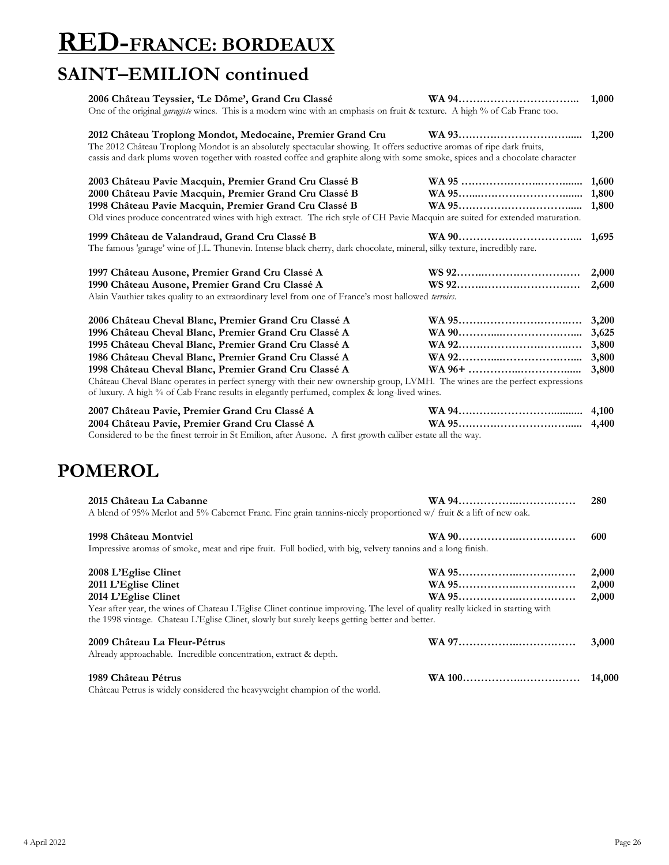# **RED-FRANCE: BORDEAUX**

### **SAINT–EMILION continued**

| 2006 Château Teyssier, 'Le Dôme', Grand Cru Classé                                                                                                                                                                                                                                                                    |                                                                                                             |
|-----------------------------------------------------------------------------------------------------------------------------------------------------------------------------------------------------------------------------------------------------------------------------------------------------------------------|-------------------------------------------------------------------------------------------------------------|
| One of the original <i>garagiste</i> wines. This is a modern wine with an emphasis on fruit & texture. A high % of Cab Franc too.                                                                                                                                                                                     |                                                                                                             |
| 2012 Château Troplong Mondot, Medocaine, Premier Grand Cru<br>The 2012 Château Troplong Mondot is an absolutely spectacular showing. It offers seductive aromas of ripe dark fruits,<br>cassis and dark plums woven together with roasted coffee and graphite along with some smoke, spices and a chocolate character |                                                                                                             |
| 2003 Château Pavie Macquin, Premier Grand Cru Classé B                                                                                                                                                                                                                                                                |                                                                                                             |
| 2000 Château Pavie Macquin, Premier Grand Cru Classé B                                                                                                                                                                                                                                                                |                                                                                                             |
| 1998 Château Pavie Macquin, Premier Grand Cru Classé B                                                                                                                                                                                                                                                                |                                                                                                             |
| Old vines produce concentrated wines with high extract. The rich style of CH Pavie Macquin are suited for extended maturation.                                                                                                                                                                                        |                                                                                                             |
| 1999 Château de Valandraud, Grand Cru Classé B                                                                                                                                                                                                                                                                        |                                                                                                             |
| The famous 'garage' wine of J.L. Thunevin. Intense black cherry, dark chocolate, mineral, silky texture, incredibly rare.                                                                                                                                                                                             |                                                                                                             |
| 1997 Château Ausone, Premier Grand Cru Classé A                                                                                                                                                                                                                                                                       |                                                                                                             |
| 1990 Château Ausone, Premier Grand Cru Classé A                                                                                                                                                                                                                                                                       |                                                                                                             |
| Alain Vauthier takes quality to an extraordinary level from one of France's most hallowed terroirs.                                                                                                                                                                                                                   |                                                                                                             |
| 2006 Château Cheval Blanc, Premier Grand Cru Classé A                                                                                                                                                                                                                                                                 |                                                                                                             |
| 1996 Château Cheval Blanc, Premier Grand Cru Classé A                                                                                                                                                                                                                                                                 |                                                                                                             |
| 1995 Château Cheval Blanc, Premier Grand Cru Classé A                                                                                                                                                                                                                                                                 |                                                                                                             |
| 1986 Château Cheval Blanc, Premier Grand Cru Classé A                                                                                                                                                                                                                                                                 |                                                                                                             |
| 1998 Château Cheval Blanc, Premier Grand Cru Classé A                                                                                                                                                                                                                                                                 |                                                                                                             |
| Château Cheval Blanc operates in perfect synergy with their new ownership group, LVMH. The wines are the perfect expressions<br>of luxury. A high % of Cab Franc results in elegantly perfumed, complex & long-lived wines.                                                                                           |                                                                                                             |
| 2007 Château Pavie, Premier Grand Cru Classé A                                                                                                                                                                                                                                                                        |                                                                                                             |
| 2004 Château Pavie, Premier Grand Cru Classé A                                                                                                                                                                                                                                                                        |                                                                                                             |
|                                                                                                                                                                                                                                                                                                                       | Considered to be the finest terroir in St Emilion, after Ausone. A first growth caliber estate all the way. |

| 2015 Château La Cabanne                                                                                                                                                                                                        | WA 94 | 280   |
|--------------------------------------------------------------------------------------------------------------------------------------------------------------------------------------------------------------------------------|-------|-------|
| A blend of 95% Merlot and 5% Cabernet Franc. Fine grain tannins-nicely proportioned w/ fruit & a lift of new oak.                                                                                                              |       |       |
| 1998 Château Montviel                                                                                                                                                                                                          |       | 600   |
| Impressive aromas of smoke, meat and ripe fruit. Full bodied, with big, velvety tannins and a long finish.                                                                                                                     |       |       |
| 2008 L'Eglise Clinet                                                                                                                                                                                                           |       | 2,000 |
| 2011 L'Eglise Clinet                                                                                                                                                                                                           |       | 2,000 |
| 2014 L'Eglise Clinet                                                                                                                                                                                                           |       | 2,000 |
| Year after year, the wines of Chateau L'Eglise Clinet continue improving. The level of quality really kicked in starting with<br>the 1998 vintage. Chateau L'Eglise Clinet, slowly but surely keeps getting better and better. |       |       |
| 2009 Château La Fleur-Pétrus                                                                                                                                                                                                   |       | 3,000 |
| Already approachable. Incredible concentration, extract & depth.                                                                                                                                                               |       |       |
| 1989 Château Pétrus                                                                                                                                                                                                            |       |       |
| Chatoou Doture is widely as pridough the hearmweight elegancian of the would                                                                                                                                                   |       |       |

Château Petrus is widely considered the heavyweight champion of the world.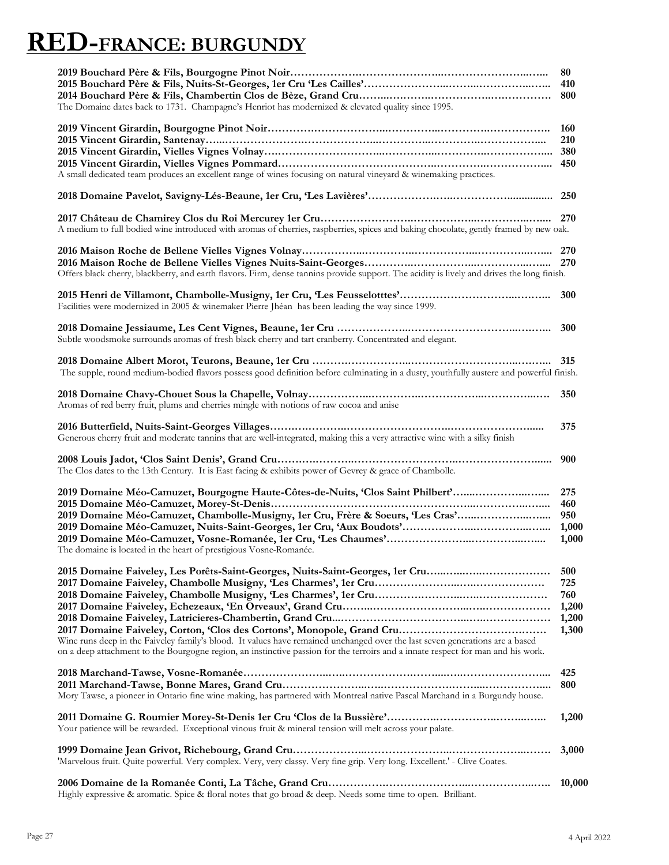# **RED-FRANCE: BURGUNDY**

| The Domaine dates back to 1731. Champagne's Henriot has modernized & elevated quality since 1995.                                                                                                                                                                                                                                                 | 80<br>410<br>800                             |
|---------------------------------------------------------------------------------------------------------------------------------------------------------------------------------------------------------------------------------------------------------------------------------------------------------------------------------------------------|----------------------------------------------|
| A small dedicated team produces an excellent range of wines focusing on natural vineyard & winemaking practices.                                                                                                                                                                                                                                  | <b>160</b><br>210                            |
|                                                                                                                                                                                                                                                                                                                                                   |                                              |
| A medium to full bodied wine introduced with aromas of cherries, raspberries, spices and baking chocolate, gently framed by new oak.                                                                                                                                                                                                              |                                              |
|                                                                                                                                                                                                                                                                                                                                                   |                                              |
| Offers black cherry, blackberry, and earth flavors. Firm, dense tannins provide support. The acidity is lively and drives the long finish.<br>Facilities were modernized in 2005 & winemaker Pierre Jhéan has been leading the way since 1999.                                                                                                    | 300                                          |
| Subtle woodsmoke surrounds aromas of fresh black cherry and tart cranberry. Concentrated and elegant.                                                                                                                                                                                                                                             |                                              |
| The supple, round medium-bodied flavors possess good definition before culminating in a dusty, youthfully austere and powerful finish.                                                                                                                                                                                                            |                                              |
| Aromas of red berry fruit, plums and cherries mingle with notions of raw cocoa and anise                                                                                                                                                                                                                                                          | 350                                          |
| Generous cherry fruit and moderate tannins that are well-integrated, making this a very attractive wine with a silky finish                                                                                                                                                                                                                       | 375                                          |
| The Clos dates to the 13th Century. It is East facing & exhibits power of Gevrey & grace of Chambolle.                                                                                                                                                                                                                                            | 900                                          |
| 2019 Domaine Méo-Camuzet, Bourgogne Haute-Côtes-de-Nuits, 'Clos Saint Philbert'<br>2019 Domaine Méo-Camuzet, Chambolle-Musigny, 1er Cru, Frère & Soeurs, 'Les Cras'<br>The domaine is located in the heart of prestigious Vosne-Romanée.                                                                                                          | 275<br>460<br>950<br>1,000<br>1,000          |
| 2015 Domaine Faiveley, Les Porêts-Saint-Georges, Nuits-Saint-Georges, 1er Cru<br>Wine runs deep in the Faiveley family's blood. It values have remained unchanged over the last seven generations are a based<br>on a deep attachment to the Bourgogne region, an instinctive passion for the terroirs and a innate respect for man and his work. | 500<br>725<br>760<br>1,200<br>1,200<br>1,300 |
| Mory Tawse, a pioneer in Ontario fine wine making, has partnered with Montreal native Pascal Marchand in a Burgundy house.                                                                                                                                                                                                                        | 425<br>800                                   |
| Your patience will be rewarded. Exceptional vinous fruit & mineral tension will melt across your palate.                                                                                                                                                                                                                                          | 1,200                                        |
| 'Marvelous fruit. Quite powerful. Very complex. Very, very classy. Very fine grip. Very long. Excellent.' - Clive Coates.                                                                                                                                                                                                                         | 3,000                                        |
|                                                                                                                                                                                                                                                                                                                                                   | 10,000                                       |

Highly expressive & aromatic. Spice & floral notes that go broad & deep. Needs some time to open. Brilliant.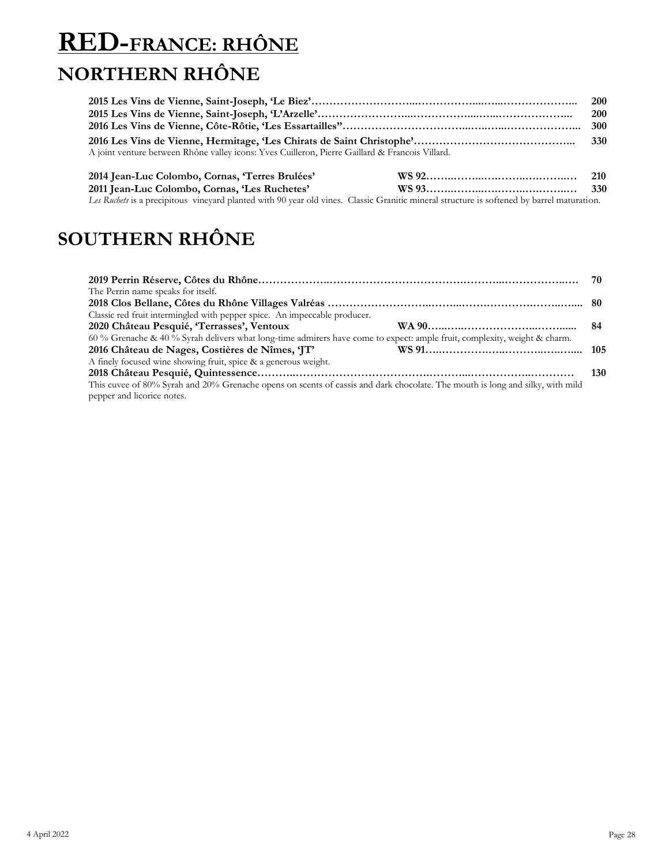### **RED-FRANCE: RHÔNE NORTHERN RHÔNE**

|                                                                                                 | <b>200</b> |
|-------------------------------------------------------------------------------------------------|------------|
|                                                                                                 | <b>200</b> |
|                                                                                                 |            |
|                                                                                                 |            |
| A joint venture between Rhône valley icons: Yves Cuilleron, Pierre Gaillard & Francois Villard. |            |
|                                                                                                 |            |

| 2014 Jean-Luc Colombo, Cornas, 'Terres Brulées'                                                                                            | 210 |
|--------------------------------------------------------------------------------------------------------------------------------------------|-----|
| 2011 Jean-Luc Colombo, Cornas, 'Les Ruchetes'                                                                                              |     |
| Les Ruchets is a precipitous vinevard planted with 90 year old vines. Classic Granitic mineral structure is softened by barrel maturation. |     |

### **SOUTHERN RHÔNE**

|                                                                                                                               | 70  |
|-------------------------------------------------------------------------------------------------------------------------------|-----|
| The Perrin name speaks for itself.                                                                                            |     |
|                                                                                                                               |     |
| Classic red fruit intermingled with pepper spice. An impeccable producer.                                                     |     |
| 2020 Château Pesquié, 'Terrasses', Ventoux                                                                                    |     |
| 60 % Grenache & 40 % Syrah delivers what long-time admirers have come to expect: ample fruit, complexity, weight & charm.     |     |
| 2016 Château de Nages, Costières de Nîmes, 'JT'                                                                               |     |
| A finely focused wine showing fruit, spice & a generous weight.                                                               |     |
|                                                                                                                               | 130 |
| This cuvee of 80% Syrah and 20% Grenache opens on scents of cassis and dark chocolate. The mouth is long and silky, with mild |     |
| pepper and licorice notes.                                                                                                    |     |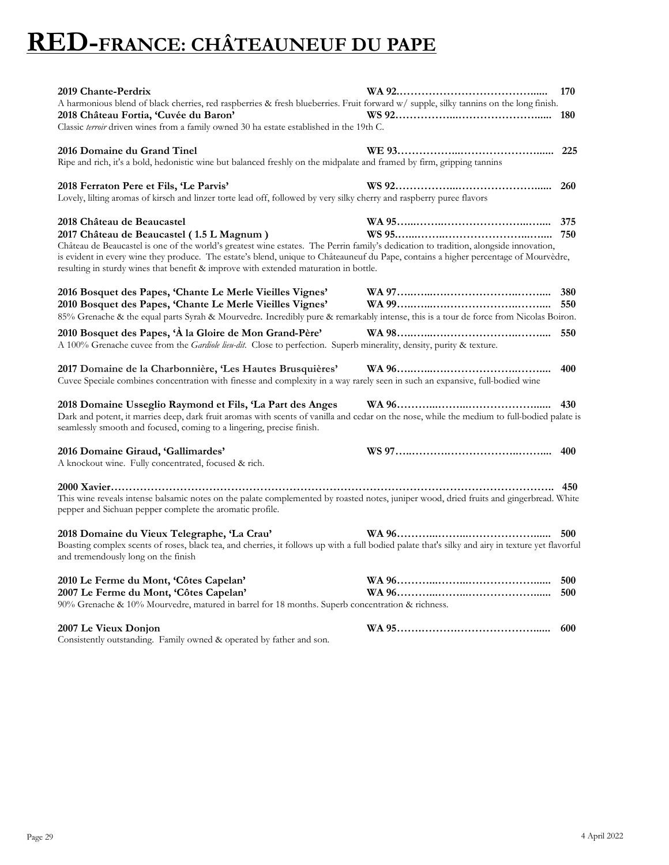### **RED-FRANCE: CHÂTEAUNEUF DU PAPE**

| 2019 Chante-Perdrix<br>A harmonious blend of black cherries, red raspberries & fresh blueberries. Fruit forward w/ supple, silky tannins on the long finish.<br>2018 Château Fortia, 'Cuvée du Baron'                                                                                                                                                                                                                                            | 170<br>180 |
|--------------------------------------------------------------------------------------------------------------------------------------------------------------------------------------------------------------------------------------------------------------------------------------------------------------------------------------------------------------------------------------------------------------------------------------------------|------------|
| Classic terroir driven wines from a family owned 30 ha estate established in the 19th C.                                                                                                                                                                                                                                                                                                                                                         |            |
| 2016 Domaine du Grand Tinel<br>Ripe and rich, it's a bold, hedonistic wine but balanced freshly on the midpalate and framed by firm, gripping tannins                                                                                                                                                                                                                                                                                            | 225        |
| 2018 Ferraton Pere et Fils, 'Le Parvis'<br>Lovely, lilting aromas of kirsch and linzer torte lead off, followed by very silky cherry and raspberry puree flavors                                                                                                                                                                                                                                                                                 | 260        |
| 2018 Château de Beaucastel<br>2017 Château de Beaucastel (1.5 L Magnum)<br>Château de Beaucastel is one of the world's greatest wine estates. The Perrin family's dedication to tradition, alongside innovation,<br>is evident in every wine they produce. The estate's blend, unique to Châteauneuf du Pape, contains a higher percentage of Mourvèdre,<br>resulting in sturdy wines that benefit & improve with extended maturation in bottle. | 375        |
| 2016 Bosquet des Papes, 'Chante Le Merle Vieilles Vignes'<br>2010 Bosquet des Papes, 'Chante Le Merle Vieilles Vignes'                                                                                                                                                                                                                                                                                                                           | 380<br>550 |
| 85% Grenache & the equal parts Syrah & Mourvedre. Incredibly pure & remarkably intense, this is a tour de force from Nicolas Boiron.<br>2010 Bosquet des Papes, 'À la Gloire de Mon Grand-Père'<br>A 100% Grenache cuvee from the Gardiole lieu-dit. Close to perfection. Superb minerality, density, purity & texture.                                                                                                                          | 550        |
| 2017 Domaine de la Charbonnière, 'Les Hautes Brusquières'<br>Cuvee Speciale combines concentration with finesse and complexity in a way rarely seen in such an expansive, full-bodied wine                                                                                                                                                                                                                                                       | 400        |
| 2018 Domaine Usseglio Raymond et Fils, 'La Part des Anges<br>Dark and potent, it marries deep, dark fruit aromas with scents of vanilla and cedar on the nose, while the medium to full-bodied palate is<br>seamlessly smooth and focused, coming to a lingering, precise finish.                                                                                                                                                                |            |
| 2016 Domaine Giraud, 'Gallimardes'<br>A knockout wine. Fully concentrated, focused & rich.                                                                                                                                                                                                                                                                                                                                                       | 400        |
| This wine reveals intense balsamic notes on the palate complemented by roasted notes, juniper wood, dried fruits and gingerbread. White<br>pepper and Sichuan pepper complete the aromatic profile.                                                                                                                                                                                                                                              | 450        |
| 2018 Domaine du Vieux Telegraphe, 'La Crau'<br>Boasting complex scents of roses, black tea, and cherries, it follows up with a full bodied palate that's silky and airy in texture yet flavorful<br>and tremendously long on the finish                                                                                                                                                                                                          | 500        |
| 2010 Le Ferme du Mont, 'Côtes Capelan'<br>2007 Le Ferme du Mont, 'Côtes Capelan'<br>90% Grenache & 10% Mourvedre, matured in barrel for 18 months. Superb concentration & richness.                                                                                                                                                                                                                                                              | 500<br>500 |
| 2007 Le Vieux Donjon<br>Consistently outstanding. Family owned & operated by father and son.                                                                                                                                                                                                                                                                                                                                                     | 600        |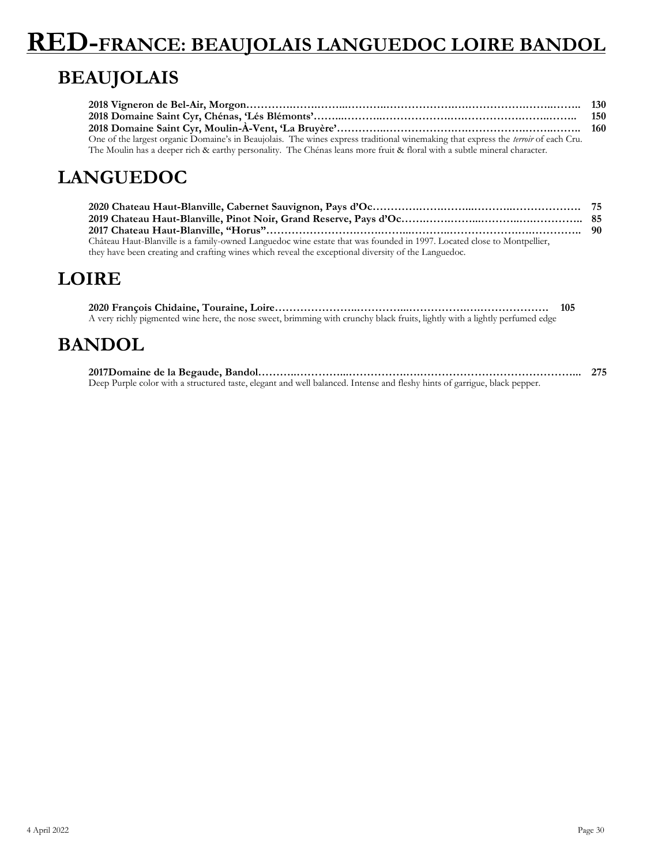# **RED-FRANCE: BEAUJOLAIS LANGUEDOC LOIRE BANDOL**

### **BEAUJOLAIS**

|                                                                                                                                           | 150 |
|-------------------------------------------------------------------------------------------------------------------------------------------|-----|
|                                                                                                                                           |     |
| One of the largest organic Domaine's in Beaujolais. The wines express traditional winemaking that express the <i>terroir</i> of each Cru. |     |
| The Moulin has a deeper rich & earthy personality. The Chénas leans more fruit & floral with a subtle mineral character.                  |     |

### **LANGUEDOC**

| Château Haut-Blanville is a family-owned Languedoc wine estate that was founded in 1997. Located close to Montpellier, |  |
|------------------------------------------------------------------------------------------------------------------------|--|
| they have been creating and crafting wines which reveal the exceptional diversity of the Languedoc.                    |  |

#### **LOIRE**

|                                                                                                                             | 105 |
|-----------------------------------------------------------------------------------------------------------------------------|-----|
| A very richly pigmented wine here, the nose sweet, brimming with crunchy black fruits, lightly with a lightly perfumed edge |     |

#### **BANDOL**

**2017Domaine de la Begaude, Bandol………..…………...…………….….……………………………………... 275** Deep Purple color with a structured taste, elegant and well balanced. Intense and fleshy hints of garrigue, black pepper.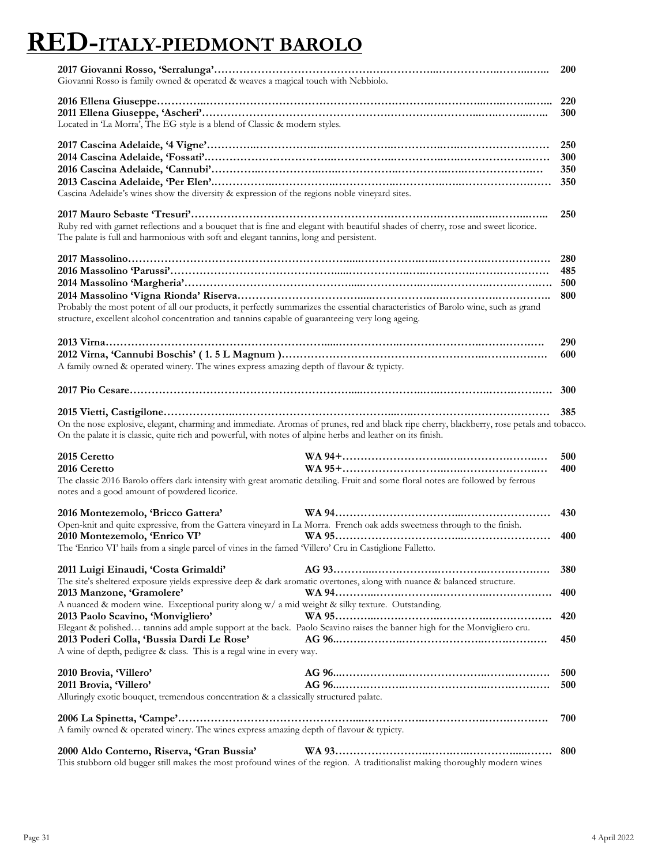# **RED-ITALY-PIEDMONT BAROLO**

| Giovanni Rosso is family owned & operated & weaves a magical touch with Nebbiolo.                                                                                                                                                                               |                                                                                                                                           | <b>200</b>               |
|-----------------------------------------------------------------------------------------------------------------------------------------------------------------------------------------------------------------------------------------------------------------|-------------------------------------------------------------------------------------------------------------------------------------------|--------------------------|
| Located in 'La Morra', The EG style is a blend of Classic & modern styles.                                                                                                                                                                                      |                                                                                                                                           | 300                      |
| Cascina Adelaide's wines show the diversity & expression of the regions noble vineyard sites.                                                                                                                                                                   |                                                                                                                                           | 250<br>300<br>350<br>350 |
| Ruby red with garnet reflections and a bouquet that is fine and elegant with beautiful shades of cherry, rose and sweet licorice.<br>The palate is full and harmonious with soft and elegant tannins, long and persistent.                                      |                                                                                                                                           | 250                      |
|                                                                                                                                                                                                                                                                 |                                                                                                                                           | 280                      |
|                                                                                                                                                                                                                                                                 |                                                                                                                                           | 485                      |
|                                                                                                                                                                                                                                                                 |                                                                                                                                           | 500                      |
| Probably the most potent of all our products, it perfectly summarizes the essential characteristics of Barolo wine, such as grand<br>structure, excellent alcohol concentration and tannins capable of guaranteeing very long ageing.                           |                                                                                                                                           | 800                      |
|                                                                                                                                                                                                                                                                 |                                                                                                                                           | 290                      |
| A family owned & operated winery. The wines express amazing depth of flavour & typicty.                                                                                                                                                                         |                                                                                                                                           | 600                      |
|                                                                                                                                                                                                                                                                 |                                                                                                                                           | 300                      |
|                                                                                                                                                                                                                                                                 |                                                                                                                                           | 385                      |
| On the palate it is classic, quite rich and powerful, with notes of alpine herbs and leather on its finish.<br>2015 Ceretto<br>2016 Ceretto                                                                                                                     | On the nose explosive, elegant, charming and immediate. Aromas of prunes, red and black ripe cherry, blackberry, rose petals and tobacco. | 500<br>400               |
| The classic 2016 Barolo offers dark intensity with great aromatic detailing. Fruit and some floral notes are followed by ferrous<br>notes and a good amount of powdered licorice.                                                                               |                                                                                                                                           |                          |
| 2016 Montezemolo, 'Bricco Gattera'<br>Open-knit and quite expressive, from the Gattera vineyard in La Morra. French oak adds sweetness through to the finish.<br>2010 Montezemolo, 'Enrico VI'                                                                  |                                                                                                                                           | 430<br>400               |
| The 'Enrico VI' hails from a single parcel of vines in the famed 'Villero' Cru in Castiglione Falletto.                                                                                                                                                         |                                                                                                                                           |                          |
| 2011 Luigi Einaudi, 'Costa Grimaldi'<br>The site's sheltered exposure yields expressive deep & dark aromatic overtones, along with nuance & balanced structure.                                                                                                 |                                                                                                                                           | 380                      |
| 2013 Manzone, 'Gramolere'                                                                                                                                                                                                                                       |                                                                                                                                           | 400                      |
| A nuanced & modern wine. Exceptional purity along w/ a mid weight & silky texture. Outstanding.<br>2013 Paolo Scavino, 'Monvigliero'<br>Elegant & polished tannins add ample support at the back. Paolo Scavino raises the banner high for the Monvigliero cru. | WA 95                                                                                                                                     | 420                      |
| 2013 Poderi Colla, 'Bussia Dardi Le Rose'<br>A wine of depth, pedigree & class. This is a regal wine in every way.                                                                                                                                              |                                                                                                                                           | 450                      |
|                                                                                                                                                                                                                                                                 |                                                                                                                                           |                          |
| 2010 Brovia, Villero'<br>2011 Brovia, 'Villero'                                                                                                                                                                                                                 |                                                                                                                                           | 500<br>500               |
| Alluringly exotic bouquet, tremendous concentration & a classically structured palate.                                                                                                                                                                          |                                                                                                                                           |                          |
| A family owned & operated winery. The wines express amazing depth of flavour & typicty.                                                                                                                                                                         |                                                                                                                                           | 700                      |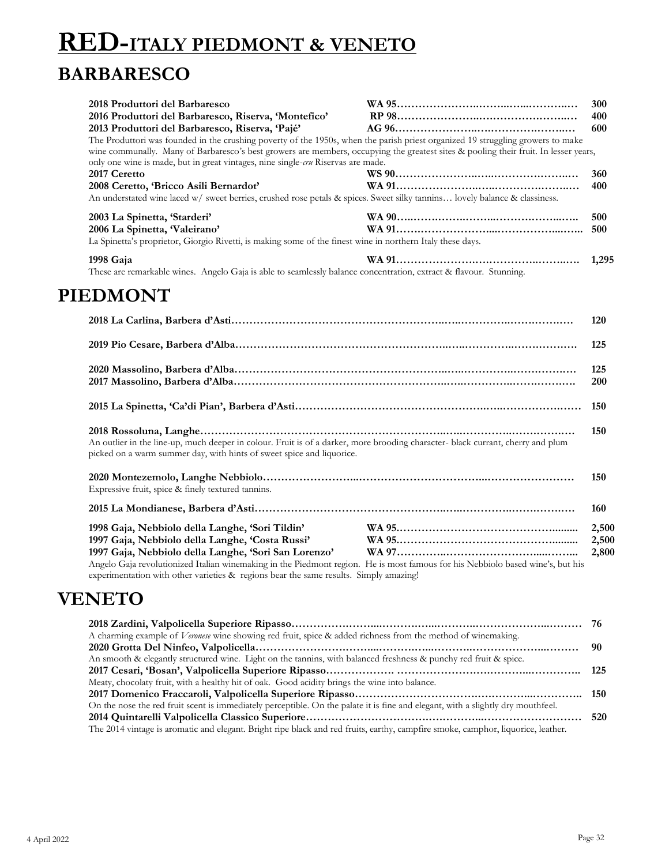# **RED-ITALY PIEDMONT & VENETO BARBARESCO**

| 2018 Produttori del Barbaresco<br>2016 Produttori del Barbaresco, Riserva, 'Montefico'<br>2013 Produttori del Barbaresco, Riserva, 'Pajé'<br>The Produttori was founded in the crushing poverty of the 1950s, when the parish priest organized 19 struggling growers to make<br>wine communally. Many of Barbaresco's best growers are members, occupying the greatest sites & pooling their fruit. In lesser years,<br>only one wine is made, but in great vintages, nine single-cru Riservas are made. | 300<br>400<br>600 |
|----------------------------------------------------------------------------------------------------------------------------------------------------------------------------------------------------------------------------------------------------------------------------------------------------------------------------------------------------------------------------------------------------------------------------------------------------------------------------------------------------------|-------------------|
| 2017 Ceretto<br>2008 Ceretto, 'Bricco Asili Bernardot'<br>An understated wine laced w/ sweet berries, crushed rose petals & spices. Sweet silky tannins lovely balance & classiness.                                                                                                                                                                                                                                                                                                                     | 360<br>400        |
| 2003 La Spinetta, 'Starderi'<br>2006 La Spinetta, Valeirano'<br>La Spinetta's proprietor, Giorgio Rivetti, is making some of the finest wine in northern Italy these days.                                                                                                                                                                                                                                                                                                                               | 500<br>500        |
| 1998 Gaja<br>These are remarkable wines. Angelo Gaja is able to seamlessly balance concentration, extract & flavour. Stunning.                                                                                                                                                                                                                                                                                                                                                                           | 1,295             |
| <b>PIEDMONT</b>                                                                                                                                                                                                                                                                                                                                                                                                                                                                                          |                   |
|                                                                                                                                                                                                                                                                                                                                                                                                                                                                                                          | 120               |
|                                                                                                                                                                                                                                                                                                                                                                                                                                                                                                          | 125               |

|                                                                                                                                                                                                                                                                                                                                                                                       |  | 125<br><b>200</b>       |
|---------------------------------------------------------------------------------------------------------------------------------------------------------------------------------------------------------------------------------------------------------------------------------------------------------------------------------------------------------------------------------------|--|-------------------------|
|                                                                                                                                                                                                                                                                                                                                                                                       |  |                         |
| An outlier in the line-up, much deeper in colour. Fruit is of a darker, more brooding character- black currant, cherry and plum<br>picked on a warm summer day, with hints of sweet spice and liquorice.                                                                                                                                                                              |  | 150                     |
| Expressive fruit, spice & finely textured tannins.                                                                                                                                                                                                                                                                                                                                    |  | 150                     |
|                                                                                                                                                                                                                                                                                                                                                                                       |  | 160                     |
| 1998 Gaja, Nebbiolo della Langhe, 'Sori Tildin'<br>1997 Gaja, Nebbiolo della Langhe, 'Costa Russi'<br>1997 Gaja, Nebbiolo della Langhe, 'Sori San Lorenzo'<br>Angelo Gaja revolutionized Italian winemaking in the Piedmont region. He is most famous for his Nebbiolo based wine's, but his<br>experimentation with other varieties & regions bear the same results. Simply amazing! |  | 2,500<br>2,500<br>2,800 |

#### **VENETO**

| A charming example of <i>Veronese</i> wine showing red fruit, spice & added richness from the method of winemaking.              |  |
|----------------------------------------------------------------------------------------------------------------------------------|--|
|                                                                                                                                  |  |
| An smooth & elegantly structured wine. Light on the tannins, with balanced freshness & punchy red fruit & spice.                 |  |
|                                                                                                                                  |  |
| Meaty, chocolaty fruit, with a healthy hit of oak. Good acidity brings the wine into balance.                                    |  |
|                                                                                                                                  |  |
| On the nose the red fruit scent is immediately perceptible. On the palate it is fine and elegant, with a slightly dry mouthfeel. |  |
|                                                                                                                                  |  |
| The 2014 vintage is aromatic and elegant. Bright ripe black and red fruits, earthy, campfire smoke, camphor, liquorice, leather. |  |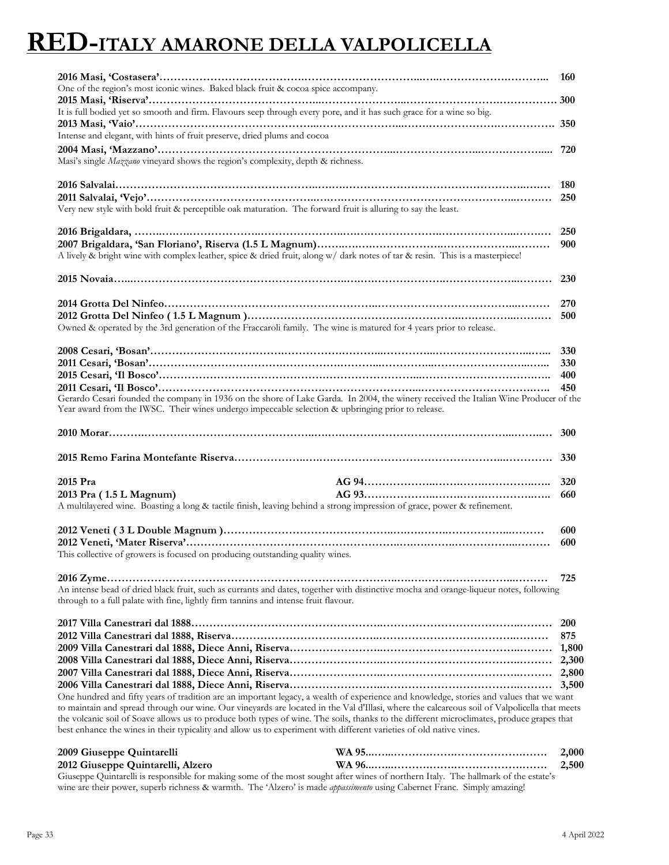### **RED-ITALY AMARONE DELLA VALPOLICELLA**

| One of the region's most iconic wines. Baked black fruit & cocoa spice accompany.                                                                                                                                                                                                       | <b>160</b>                          |
|-----------------------------------------------------------------------------------------------------------------------------------------------------------------------------------------------------------------------------------------------------------------------------------------|-------------------------------------|
| It is full bodied yet so smooth and firm. Flavours seep through every pore, and it has such grace for a wine so big.<br>Intense and elegant, with hints of fruit preserve, dried plums and cocoa                                                                                        |                                     |
| Masi's single Mazzano vineyard shows the region's complexity, depth & richness.                                                                                                                                                                                                         |                                     |
| Very new style with bold fruit & perceptible oak maturation. The forward fruit is alluring to say the least.                                                                                                                                                                            | 250                                 |
| A lively & bright wine with complex leather, spice & dried fruit, along w/ dark notes of tar & resin. This is a masterpiece!                                                                                                                                                            | 250<br>900                          |
|                                                                                                                                                                                                                                                                                         | <b>230</b>                          |
| Owned & operated by the 3rd generation of the Fraccaroli family. The wine is matured for 4 years prior to release.                                                                                                                                                                      | 270<br>500                          |
| Gerardo Cesari founded the company in 1936 on the shore of Lake Garda. In 2004, the winery received the Italian Wine Producer of the<br>Year award from the IWSC. Their wines undergo impeccable selection & upbringing prior to release.                                               | 330<br>330<br>400<br>450            |
|                                                                                                                                                                                                                                                                                         |                                     |
|                                                                                                                                                                                                                                                                                         |                                     |
| 2015 Pra<br>2013 Pra (1.5 L Magnum)<br>A multilayered wine. Boasting a long & tactile finish, leaving behind a strong impression of grace, power & refinement.                                                                                                                          | 320<br>660                          |
| This collective of growers is focused on producing outstanding quality wines.                                                                                                                                                                                                           | 600<br>600                          |
| An intense bead of dried black fruit, such as currants and dates, together with distinctive mocha and orange-liqueur notes, following<br>through to a full palate with fine, lightly firm tannins and intense fruit flavour.                                                            | 725                                 |
| One hundred and fifty years of tradition are an important legacy, a wealth of experience and knowledge, stories and values that we want<br>to maintain and spread through our wine. Our vineyards are located in the Val d'Illasi, where the calcareous soil of Valpolicella that meets | <b>200</b><br>875<br>2,800<br>3,500 |
| the volcanic soil of Soave allows us to produce both types of wine. The soils, thanks to the different microclimates, produce grapes that<br>best enhance the wines in their typicality and allow us to experiment with different varieties of old native vines.                        |                                     |
| 2009 Giuseppe Quintarelli                                                                                                                                                                                                                                                               | 2,000                               |

**2012 Giuseppe Quintarelli, Alzero WA 96...…...……….…….……………….……. 2,500** Giuseppe Quintarelli is responsible for making some of the most sought after wines of northern Italy. The hallmark of the estate's wine are their power, superb richness & warmth. The 'Alzero' is made *appassimento* using Cabernet Franc. Simply amazing!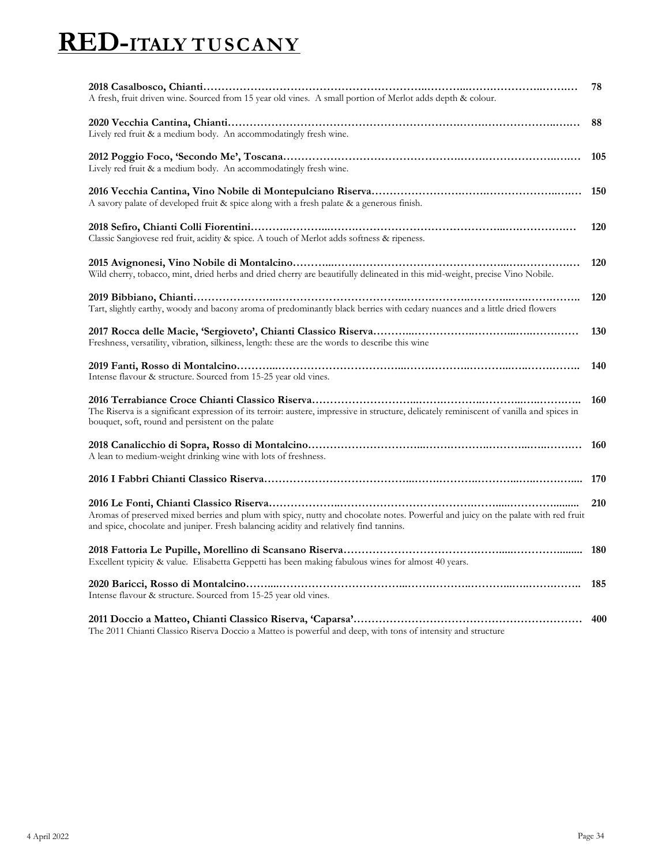# **RED-ITALY TUSCANY**

| A fresh, fruit driven wine. Sourced from 15 year old vines. A small portion of Merlot adds depth & colour.                                                                                                                  | 78         |
|-----------------------------------------------------------------------------------------------------------------------------------------------------------------------------------------------------------------------------|------------|
| Lively red fruit & a medium body. An accommodatingly fresh wine.                                                                                                                                                            | 88         |
| Lively red fruit & a medium body. An accommodatingly fresh wine.                                                                                                                                                            | 105        |
| A savory palate of developed fruit & spice along with a fresh palate & a generous finish.                                                                                                                                   | 150        |
| Classic Sangiovese red fruit, acidity & spice. A touch of Merlot adds softness & ripeness.                                                                                                                                  | 120        |
| Wild cherry, tobacco, mint, dried herbs and dried cherry are beautifully delineated in this mid-weight, precise Vino Nobile.                                                                                                | 120        |
| Tart, slightly earthy, woody and bacony aroma of predominantly black berries with cedary nuances and a little dried flowers                                                                                                 | 120        |
| Freshness, versatility, vibration, silkiness, length: these are the words to describe this wine                                                                                                                             | 130        |
| Intense flavour & structure. Sourced from 15-25 year old vines.                                                                                                                                                             | 140        |
| The Riserva is a significant expression of its terroir: austere, impressive in structure, delicately reminiscent of vanilla and spices in<br>bouquet, soft, round and persistent on the palate                              | 160        |
| A lean to medium-weight drinking wine with lots of freshness.                                                                                                                                                               | 160        |
|                                                                                                                                                                                                                             | 170        |
| Aromas of preserved mixed berries and plum with spicy, nutty and chocolate notes. Powerful and juicy on the palate with red fruit<br>and spice, chocolate and juniper. Fresh balancing acidity and relatively find tannins. | 210        |
| Excellent typicity & value. Elisabetta Geppetti has been making fabulous wines for almost 40 years.                                                                                                                         | <b>180</b> |
| Intense flavour & structure. Sourced from 15-25 year old vines.                                                                                                                                                             | 185        |
| The 2011 Chianti Classico Riserva Doccio a Matteo is powerful and deep, with tons of intensity and structure                                                                                                                | 400        |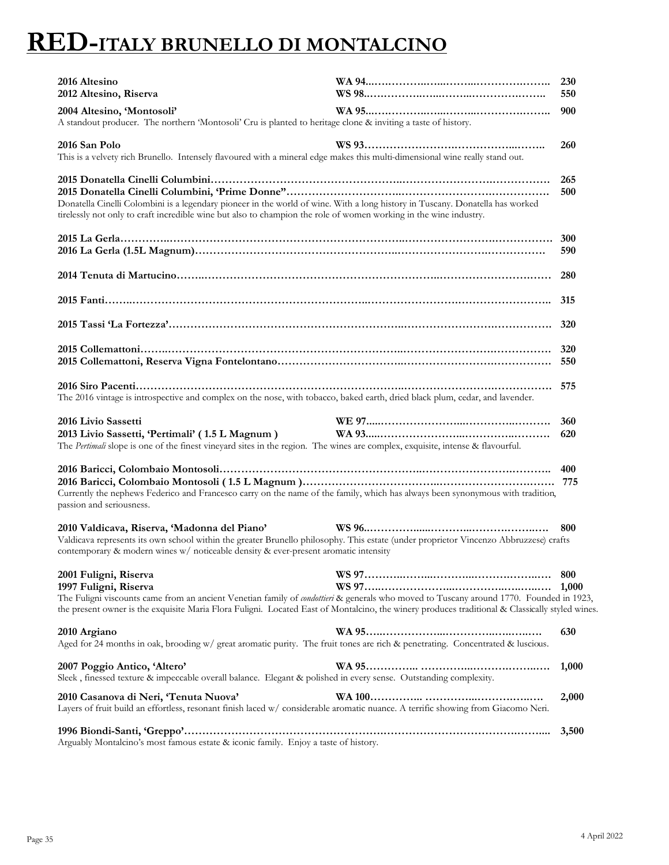### **RED-ITALY BRUNELLO DI MONTALCINO**

| 2016 Altesino<br>2012 Altesino, Riserva                                                                                                                                                                                                                                                                                                      | <b>230</b><br>550 |
|----------------------------------------------------------------------------------------------------------------------------------------------------------------------------------------------------------------------------------------------------------------------------------------------------------------------------------------------|-------------------|
| 2004 Altesino, 'Montosoli'<br>A standout producer. The northern 'Montosoli' Cru is planted to heritage clone & inviting a taste of history.                                                                                                                                                                                                  | 900               |
| 2016 San Polo<br>This is a velvety rich Brunello. Intensely flavoured with a mineral edge makes this multi-dimensional wine really stand out.                                                                                                                                                                                                | 260               |
| Donatella Cinelli Colombini is a legendary pioneer in the world of wine. With a long history in Tuscany. Donatella has worked<br>tirelessly not only to craft incredible wine but also to champion the role of women working in the wine industry.                                                                                           | 265<br>500        |
|                                                                                                                                                                                                                                                                                                                                              | 590               |
|                                                                                                                                                                                                                                                                                                                                              |                   |
|                                                                                                                                                                                                                                                                                                                                              |                   |
|                                                                                                                                                                                                                                                                                                                                              |                   |
|                                                                                                                                                                                                                                                                                                                                              |                   |
| The 2016 vintage is introspective and complex on the nose, with tobacco, baked earth, dried black plum, cedar, and lavender.                                                                                                                                                                                                                 |                   |
|                                                                                                                                                                                                                                                                                                                                              |                   |
| 2016 Livio Sassetti<br>2013 Livio Sassetti, 'Pertimali' (1.5 L Magnum)<br>The Pertimali slope is one of the finest vineyard sites in the region. The wines are complex, exquisite, intense & flavourful.                                                                                                                                     | 360<br>620        |
| Currently the nephews Federico and Francesco carry on the name of the family, which has always been synonymous with tradition,<br>passion and seriousness.                                                                                                                                                                                   |                   |
| 2010 Valdicava, Riserva, 'Madonna del Piano'<br>Valdicava represents its own school within the greater Brunello philosophy. This estate (under proprietor Vincenzo Abbruzzese) crafts<br>contemporary & modern wines w/ noticeable density & ever-present aromatic intensity                                                                 | 800               |
| 2001 Fuligni, Riserva<br>1997 Fuligni, Riserva<br>The Fuligni viscounts came from an ancient Venetian family of condottieri & generals who moved to Tuscany around 1770. Founded in 1923,<br>the present owner is the exquisite Maria Flora Fuligni. Located East of Montalcino, the winery produces traditional & Classically styled wines. | 800<br>1,000      |
| 2010 Argiano<br>Aged for 24 months in oak, brooding w/ great aromatic purity. The fruit tones are rich & penetrating. Concentrated & luscious.                                                                                                                                                                                               | 630               |
| 2007 Poggio Antico, 'Altero'<br>Sleek, finessed texture & impeccable overall balance. Elegant & polished in every sense. Outstanding complexity.                                                                                                                                                                                             | 1,000             |
| 2010 Casanova di Neri, 'Tenuta Nuova'<br>Layers of fruit build an effortless, resonant finish laced w/ considerable aromatic nuance. A terrific showing from Giacomo Neri.                                                                                                                                                                   | 2,000             |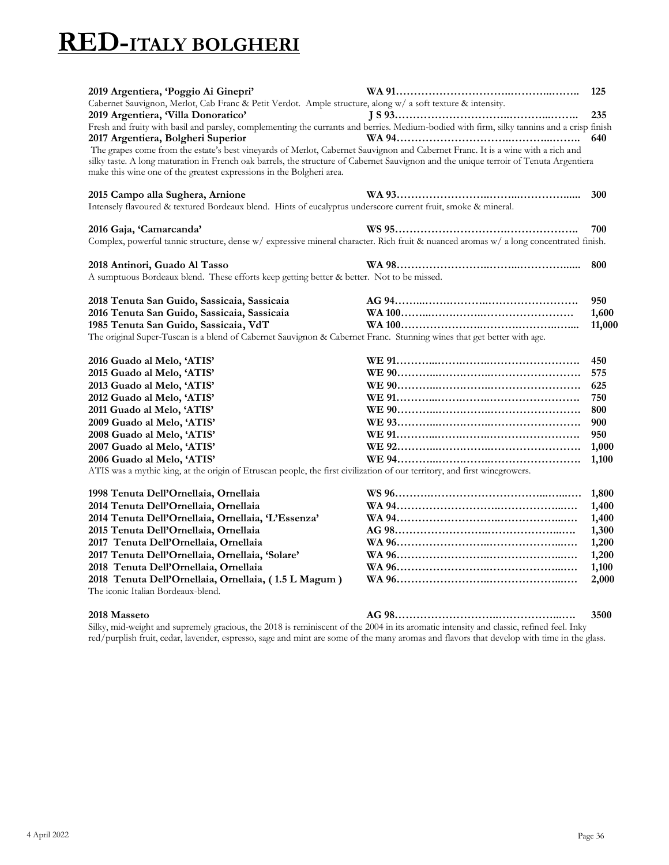# **RED-ITALY BOLGHERI**

| 2019 Argentiera, 'Poggio Ai Ginepri'<br>Cabernet Sauvignon, Merlot, Cab Franc & Petit Verdot. Ample structure, along w/ a soft texture & intensity.<br>2019 Argentiera, Villa Donoratico'<br>Fresh and fruity with basil and parsley, complementing the currants and berries. Medium-bodied with firm, silky tannins and a crisp finish                                                | 125<br>235 |
|----------------------------------------------------------------------------------------------------------------------------------------------------------------------------------------------------------------------------------------------------------------------------------------------------------------------------------------------------------------------------------------|------------|
| 2017 Argentiera, Bolgheri Superior<br>The grapes come from the estate's best vineyards of Merlot, Cabernet Sauvignon and Cabernet Franc. It is a wine with a rich and<br>silky taste. A long maturation in French oak barrels, the structure of Cabernet Sauvignon and the unique terroir of Tenuta Argentiera<br>make this wine one of the greatest expressions in the Bolgheri area. | 640        |
| 2015 Campo alla Sughera, Arnione<br>Intensely flavoured & textured Bordeaux blend. Hints of eucalyptus underscore current fruit, smoke & mineral.                                                                                                                                                                                                                                      | 300        |
| 2016 Gaja, 'Camarcanda'<br>Complex, powerful tannic structure, dense w/ expressive mineral character. Rich fruit & nuanced aromas w/ a long concentrated finish.                                                                                                                                                                                                                       | 700        |
| 2018 Antinori, Guado Al Tasso<br>A sumptuous Bordeaux blend. These efforts keep getting better & better. Not to be missed.                                                                                                                                                                                                                                                             | 800        |
| 2018 Tenuta San Guido, Sassicaia, Sassicaia                                                                                                                                                                                                                                                                                                                                            | 950        |
| 2016 Tenuta San Guido, Sassicaia, Sassicaia                                                                                                                                                                                                                                                                                                                                            | 1,600      |
| 1985 Tenuta San Guido, Sassicaia, VdT                                                                                                                                                                                                                                                                                                                                                  | 11,000     |
| The original Super-Tuscan is a blend of Cabernet Sauvignon & Cabernet Franc. Stunning wines that get better with age.                                                                                                                                                                                                                                                                  |            |
| 2016 Guado al Melo, 'ATIS'                                                                                                                                                                                                                                                                                                                                                             | 450        |
| 2015 Guado al Melo, 'ATIS'                                                                                                                                                                                                                                                                                                                                                             | 575        |
| 2013 Guado al Melo, 'ATIS'                                                                                                                                                                                                                                                                                                                                                             | 625        |
| 2012 Guado al Melo, 'ATIS'                                                                                                                                                                                                                                                                                                                                                             | 750        |
| 2011 Guado al Melo, 'ATIS'                                                                                                                                                                                                                                                                                                                                                             | 800        |
| 2009 Guado al Melo, 'ATIS'                                                                                                                                                                                                                                                                                                                                                             | 900        |
| 2008 Guado al Melo, 'ATIS'                                                                                                                                                                                                                                                                                                                                                             | 950        |
| 2007 Guado al Melo, 'ATIS'                                                                                                                                                                                                                                                                                                                                                             | 1,000      |
| 2006 Guado al Melo, 'ATIS'                                                                                                                                                                                                                                                                                                                                                             | 1,100      |
| ATIS was a mythic king, at the origin of Etruscan people, the first civilization of our territory, and first winegrowers.                                                                                                                                                                                                                                                              |            |
| 1998 Tenuta Dell'Ornellaia, Ornellaia                                                                                                                                                                                                                                                                                                                                                  | 1,800      |
| 2014 Tenuta Dell'Ornellaia, Ornellaia                                                                                                                                                                                                                                                                                                                                                  | 1,400      |
| 2014 Tenuta Dell'Ornellaia, Ornellaia, 'L'Essenza'                                                                                                                                                                                                                                                                                                                                     | 1,400      |
| 2015 Tenuta Dell'Ornellaia, Ornellaia                                                                                                                                                                                                                                                                                                                                                  | 1,300      |
| 2017 Tenuta Dell'Ornellaia, Ornellaia                                                                                                                                                                                                                                                                                                                                                  | 1,200      |
| 2017 Tenuta Dell'Ornellaia, Ornellaia, 'Solare'                                                                                                                                                                                                                                                                                                                                        | 1,200      |
| 2018 Tenuta Dell'Ornellaia, Ornellaia                                                                                                                                                                                                                                                                                                                                                  | 1,100      |
| 2018 Tenuta Dell'Ornellaia, Ornellaia, (1.5 L Magum)<br>The iconic Italian Bordeaux-blend.                                                                                                                                                                                                                                                                                             | 2,000      |
|                                                                                                                                                                                                                                                                                                                                                                                        |            |

**2018 Masseto AG 98………………………..……………...…. 3500**

Silky, mid-weight and supremely gracious, the 2018 is reminiscent of the 2004 in its aromatic intensity and classic, refined feel. Inky red/purplish fruit, cedar, lavender, espresso, sage and mint are some of the many aromas and flavors that develop with time in the glass.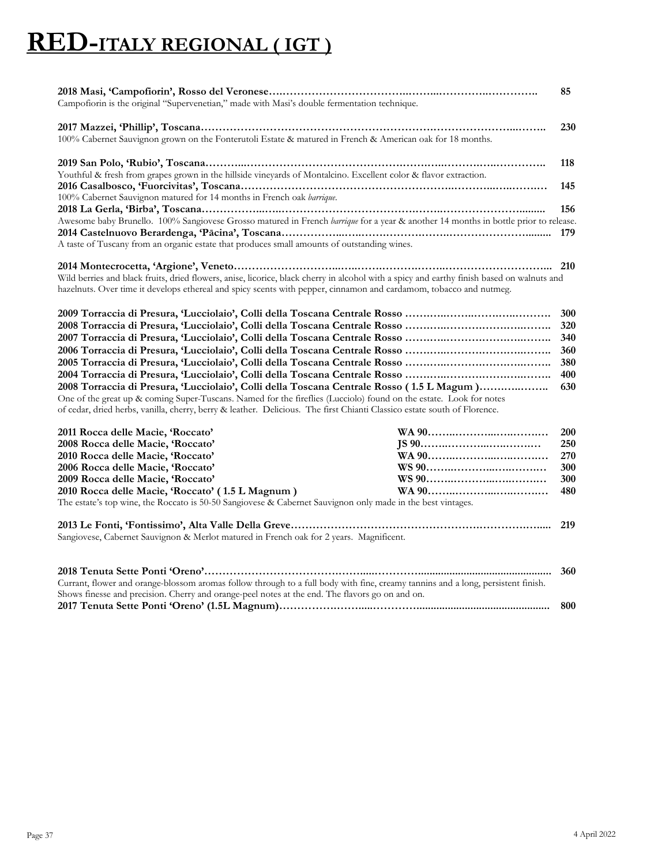# **RED-ITALY REGIONAL ( IGT )**

| Campofiorin is the original "Supervenetian," made with Masi's double fermentation technique.                                                                                                                                                                                                                                                | 85         |
|---------------------------------------------------------------------------------------------------------------------------------------------------------------------------------------------------------------------------------------------------------------------------------------------------------------------------------------------|------------|
| 100% Cabernet Sauvignon grown on the Fonterutoli Estate & matured in French & American oak for 18 months.                                                                                                                                                                                                                                   | 230        |
| Youthful & fresh from grapes grown in the hillside vineyards of Montalcino. Excellent color & flavor extraction.                                                                                                                                                                                                                            | 118        |
| 100% Cabernet Sauvignon matured for 14 months in French oak barrique.                                                                                                                                                                                                                                                                       | 145        |
| Awesome baby Brunello. 100% Sangiovese Grosso matured in French barrique for a year & another 14 months in bottle prior to release.                                                                                                                                                                                                         | 156        |
| A taste of Tuscany from an organic estate that produces small amounts of outstanding wines.                                                                                                                                                                                                                                                 |            |
|                                                                                                                                                                                                                                                                                                                                             |            |
| Wild berries and black fruits, dried flowers, anise, licorice, black cherry in alcohol with a spicy and earthy finish based on walnuts and<br>hazelnuts. Over time it develops ethereal and spicy scents with pepper, cinnamon and cardamom, tobacco and nutmeg.                                                                            |            |
|                                                                                                                                                                                                                                                                                                                                             | 300        |
|                                                                                                                                                                                                                                                                                                                                             | 320<br>340 |
|                                                                                                                                                                                                                                                                                                                                             | 360        |
|                                                                                                                                                                                                                                                                                                                                             | 380        |
|                                                                                                                                                                                                                                                                                                                                             | 400        |
| 2008 Torraccia di Presura, 'Lucciolaio', Colli della Toscana Centrale Rosso (1.5 L Magum)<br>One of the great up & coming Super-Tuscans. Named for the fireflies (Lucciolo) found on the estate. Look for notes<br>of cedar, dried herbs, vanilla, cherry, berry & leather. Delicious. The first Chianti Classico estate south of Florence. | 630        |
| 2011 Rocca delle Macie, 'Roccato'                                                                                                                                                                                                                                                                                                           | <b>200</b> |
| 2008 Rocca delle Macie, 'Roccato'                                                                                                                                                                                                                                                                                                           | 250        |
| 2010 Rocca delle Macie, 'Roccato'                                                                                                                                                                                                                                                                                                           | 270        |
| 2006 Rocca delle Macie, 'Roccato'                                                                                                                                                                                                                                                                                                           | 300        |
| 2009 Rocca delle Macie, 'Roccato'                                                                                                                                                                                                                                                                                                           | 300        |
| 2010 Rocca delle Macie, 'Roccato' (1.5 L Magnum)<br>The estate's top wine, the Roccato is 50-50 Sangiovese & Cabernet Sauvignon only made in the best vintages.                                                                                                                                                                             | 480        |
| Sangiovese, Cabernet Sauvignon & Merlot matured in French oak for 2 years. Magnificent.                                                                                                                                                                                                                                                     | 219        |
| Currant, flower and orange-blossom aromas follow through to a full body with fine, creamy tannins and a long, persistent finish.                                                                                                                                                                                                            | 360        |
| Shows finesse and precision. Cherry and orange-peel notes at the end. The flavors go on and on.                                                                                                                                                                                                                                             |            |
|                                                                                                                                                                                                                                                                                                                                             | 800        |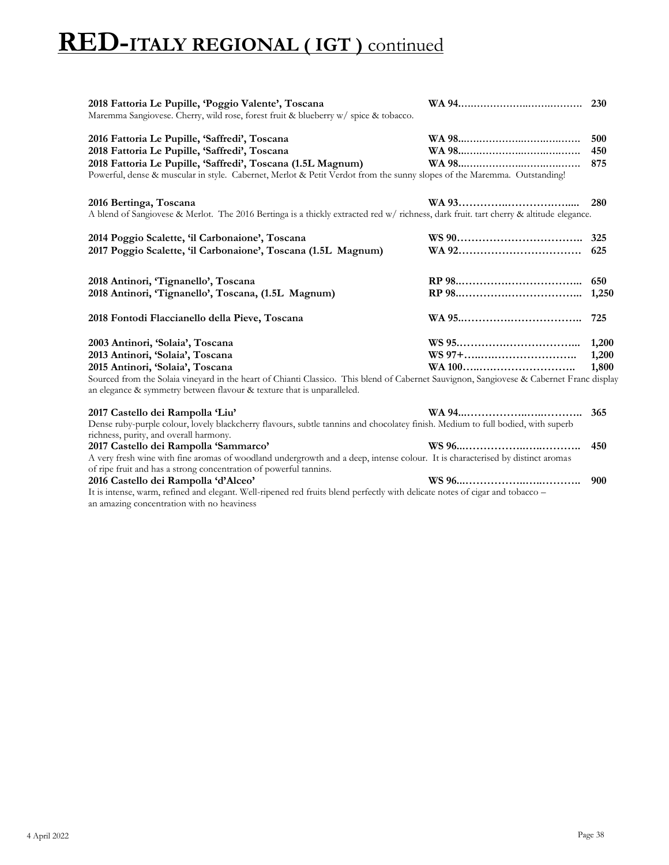### **RED-ITALY REGIONAL ( IGT )** continued

| 2018 Fattoria Le Pupille, 'Poggio Valente', Toscana<br>Maremma Sangiovese. Cherry, wild rose, forest fruit & blueberry w/ spice & tobacco.                                                         | 230   |
|----------------------------------------------------------------------------------------------------------------------------------------------------------------------------------------------------|-------|
|                                                                                                                                                                                                    |       |
| 2016 Fattoria Le Pupille, 'Saffredi', Toscana                                                                                                                                                      | 500   |
| 2018 Fattoria Le Pupille, 'Saffredi', Toscana                                                                                                                                                      | 450   |
| 2018 Fattoria Le Pupille, 'Saffredi', Toscana (1.5L Magnum)                                                                                                                                        | 875   |
| Powerful, dense & muscular in style. Cabernet, Merlot & Petit Verdot from the sunny slopes of the Maremma. Outstanding!                                                                            |       |
| 2016 Bertinga, Toscana                                                                                                                                                                             | 280   |
| A blend of Sangiovese & Merlot. The 2016 Bertinga is a thickly extracted red w/richness, dark fruit. tart cherry & altitude elegance.                                                              |       |
| 2014 Poggio Scalette, 'il Carbonaione', Toscana                                                                                                                                                    | 325   |
| 2017 Poggio Scalette, 'il Carbonaione', Toscana (1.5L Magnum)                                                                                                                                      | 625   |
|                                                                                                                                                                                                    |       |
| 2018 Antinori, 'Tignanello', Toscana                                                                                                                                                               | 650   |
| 2018 Antinori, 'Tignanello', Toscana, (1.5L Magnum)                                                                                                                                                | 1,250 |
| 2018 Fontodi Flaccianello della Pieve, Toscana                                                                                                                                                     | 725   |
| 2003 Antinori, 'Solaia', Toscana                                                                                                                                                                   | 1,200 |
| 2013 Antinori, 'Solaia', Toscana                                                                                                                                                                   | 1,200 |
| 2015 Antinori, 'Solaia', Toscana                                                                                                                                                                   | 1,800 |
| Sourced from the Solaia vineyard in the heart of Chianti Classico. This blend of Cabernet Sauvignon, Sangiovese & Cabernet Franc display                                                           |       |
| an elegance & symmetry between flavour & texture that is unparalleled.                                                                                                                             |       |
| 2017 Castello dei Rampolla 'Liu'                                                                                                                                                                   | 365   |
| Dense ruby-purple colour, lovely blackcherry flavours, subtle tannins and chocolatey finish. Medium to full bodied, with superb                                                                    |       |
| richness, purity, and overall harmony.                                                                                                                                                             |       |
| 2017 Castello dei Rampolla 'Sammarco'                                                                                                                                                              | 450   |
| A very fresh wine with fine aromas of woodland undergrowth and a deep, intense colour. It is characterised by distinct aromas<br>of ripe fruit and has a strong concentration of powerful tannins. |       |
| 2016 Castello dei Rampolla 'd'Alceo'                                                                                                                                                               | 900   |
| It is intense, warm, refined and elegant. Well-ripened red fruits blend perfectly with delicate notes of cigar and tobacco -                                                                       |       |
| an amazing concentration with no heaviness                                                                                                                                                         |       |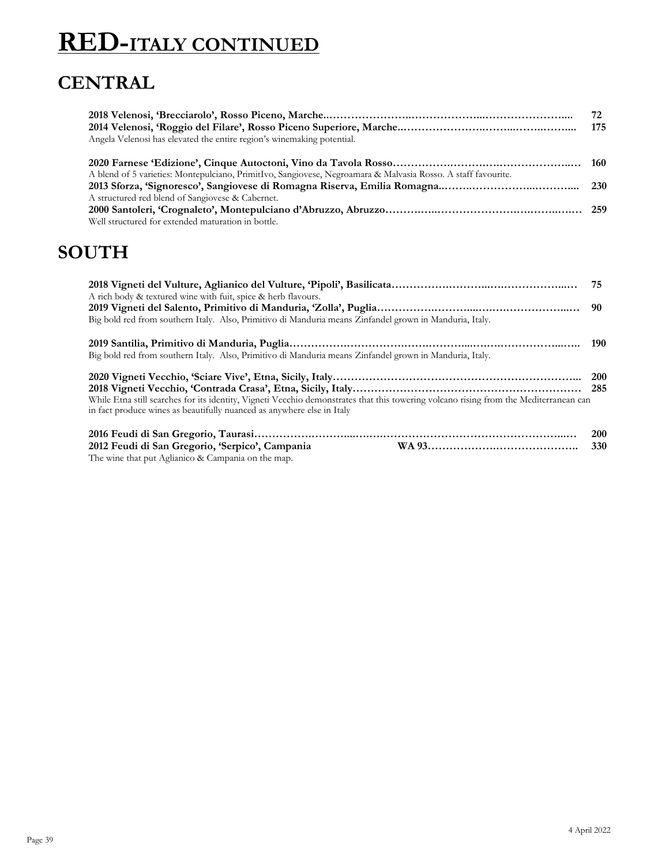# **RED-ITALY CONTINUED**

### **CENTRAL**

|                                                                                                               | 72  |
|---------------------------------------------------------------------------------------------------------------|-----|
|                                                                                                               | 175 |
| Angela Velenosi has elevated the entire region's winemaking potential.                                        |     |
|                                                                                                               |     |
| A blend of 5 varieties: Montepulciano, PrimitIvo, Sangiovese, Negroamara & Malvasia Rosso. A staff favourite. |     |
|                                                                                                               |     |
| A structured red blend of Sangiovese & Cabernet.                                                              |     |
|                                                                                                               |     |
| Well structured for extended maturation in bottle.                                                            |     |

#### **SOUTH**

| A rich body & textured wine with fuit, spice & herb flavours.                                                                         |            |
|---------------------------------------------------------------------------------------------------------------------------------------|------------|
|                                                                                                                                       |            |
| Big bold red from southern Italy. Also, Primitivo di Manduria means Zinfandel grown in Manduria, Italy.                               |            |
|                                                                                                                                       | 190        |
| Big bold red from southern Italy. Also, Primitivo di Manduria means Zinfandel grown in Manduria, Italy.                               |            |
|                                                                                                                                       |            |
|                                                                                                                                       |            |
| While Etna still searches for its identity, Vigneti Vecchio demonstrates that this towering volcano rising from the Mediterranean can |            |
| in fact produce wines as beautifully nuanced as anywhere else in Italy                                                                |            |
|                                                                                                                                       | <b>200</b> |
| 2012 Feudi di San Gregorio, 'Serpico', Campania                                                                                       | <b>330</b> |
| The wine that put Aglianico & Campania on the map.                                                                                    |            |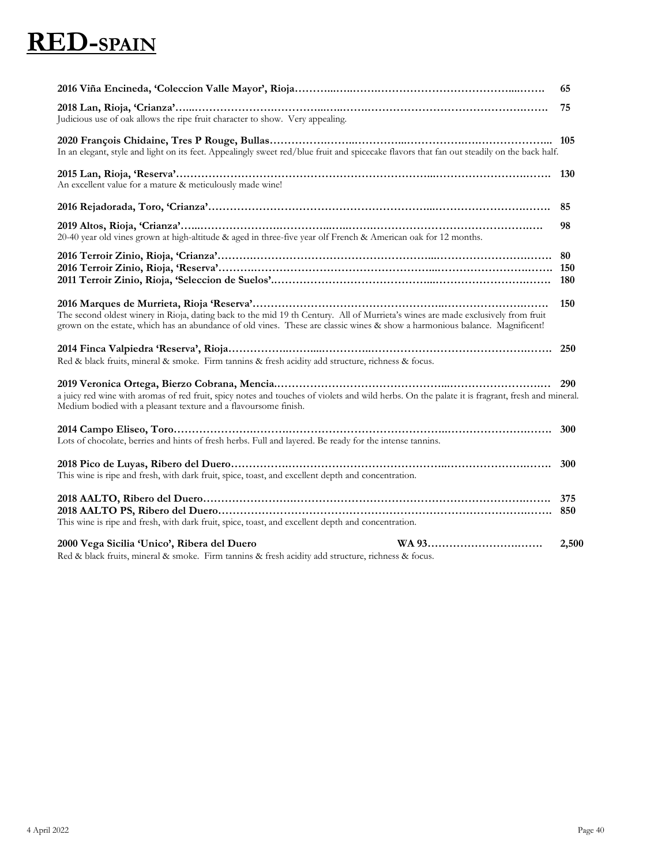## **RED-SPAIN**

|                                                                                                                                                                                                                                                                 | 65    |
|-----------------------------------------------------------------------------------------------------------------------------------------------------------------------------------------------------------------------------------------------------------------|-------|
| Judicious use of oak allows the ripe fruit character to show. Very appealing.                                                                                                                                                                                   | 75    |
| In an elegant, style and light on its feet. Appealingly sweet red/blue fruit and spicecake flavors that fan out steadily on the back half.                                                                                                                      |       |
| An excellent value for a mature & meticulously made wine!                                                                                                                                                                                                       |       |
|                                                                                                                                                                                                                                                                 |       |
| 20-40 year old vines grown at high-altitude & aged in three-five year olf French & American oak for 12 months.                                                                                                                                                  | 98    |
|                                                                                                                                                                                                                                                                 |       |
| The second oldest winery in Rioja, dating back to the mid 19 th Century. All of Murrieta's wines are made exclusively from fruit<br>grown on the estate, which has an abundance of old vines. These are classic wines & show a harmonious balance. Magnificent! | 150   |
| Red & black fruits, mineral & smoke. Firm tannins & fresh acidity add structure, richness & focus.                                                                                                                                                              |       |
| a juicy red wine with aromas of red fruit, spicy notes and touches of violets and wild herbs. On the palate it is fragrant, fresh and mineral.<br>Medium bodied with a pleasant texture and a flavoursome finish.                                               |       |
| Lots of chocolate, berries and hints of fresh herbs. Full and layered. Be ready for the intense tannins.                                                                                                                                                        | 300   |
| This wine is ripe and fresh, with dark fruit, spice, toast, and excellent depth and concentration.                                                                                                                                                              |       |
| This wine is ripe and fresh, with dark fruit, spice, toast, and excellent depth and concentration.                                                                                                                                                              |       |
| 2000 Vega Sicilia 'Unico', Ribera del Duero<br>Red & black fruits, mineral & smoke. Firm tannins & fresh acidity add structure, richness & focus.                                                                                                               | 2,500 |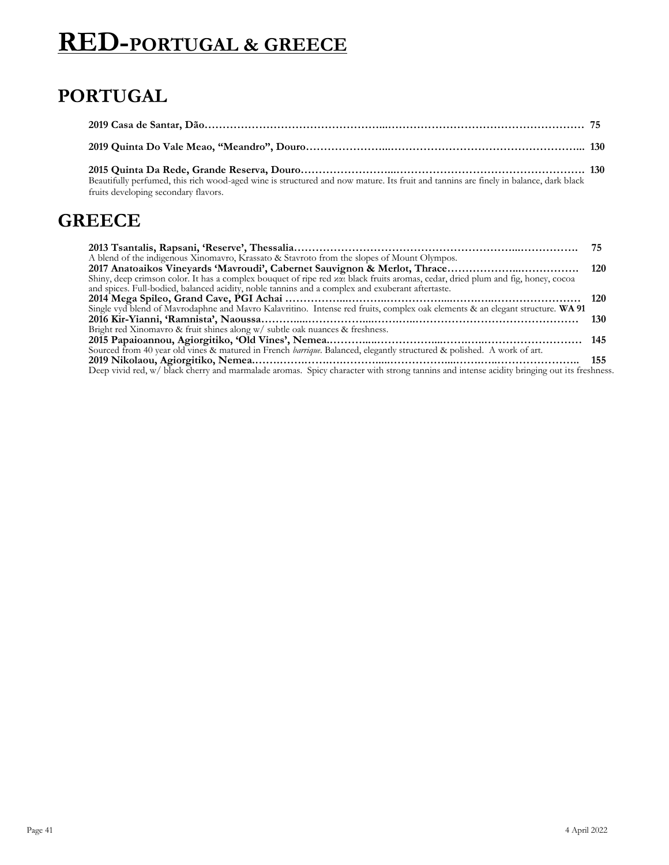## **RED-PORTUGAL & GREECE**

### **PORTUGAL**

| Beautifully perfumed, this rich wood-aged wine is structured and now mature. Its fruit and tannins are finely in balance, dark black<br>fruits developing secondary flavors. |  |
|------------------------------------------------------------------------------------------------------------------------------------------------------------------------------|--|

#### **GREECE**

|                                                                                                                                           | 75    |
|-------------------------------------------------------------------------------------------------------------------------------------------|-------|
| A blend of the indigenous Xinomavro, Krassato & Stavroto from the slopes of Mount Olympos.                                                |       |
|                                                                                                                                           |       |
| Shiny, deep crimson color. It has a complex bouquet of ripe red xxi black fruits aromas, cedar, dried plum and fig, honey, cocoa          |       |
| and spices. Full-bodied, balanced acidity, noble tannins and a complex and exuberant aftertaste.                                          |       |
|                                                                                                                                           |       |
| Single vyd blend of Mavrodaphne and Mavro Kalavritino. Intense red fruits, complex oak elements & an elegant structure. WA 91             |       |
|                                                                                                                                           | -130  |
| Bright red Xinomavro & fruit shines along w/ subtle oak nuances & freshness.                                                              |       |
|                                                                                                                                           |       |
| Sourced from 40 year old vines & matured in French barrique. Balanced, elegantly structured & polished. A work of art.                    |       |
|                                                                                                                                           | - 155 |
| Deep vivid red, w/ black cherry and marmalade aromas. Spicy character with strong tannins and intense acidity bringing out its freshness. |       |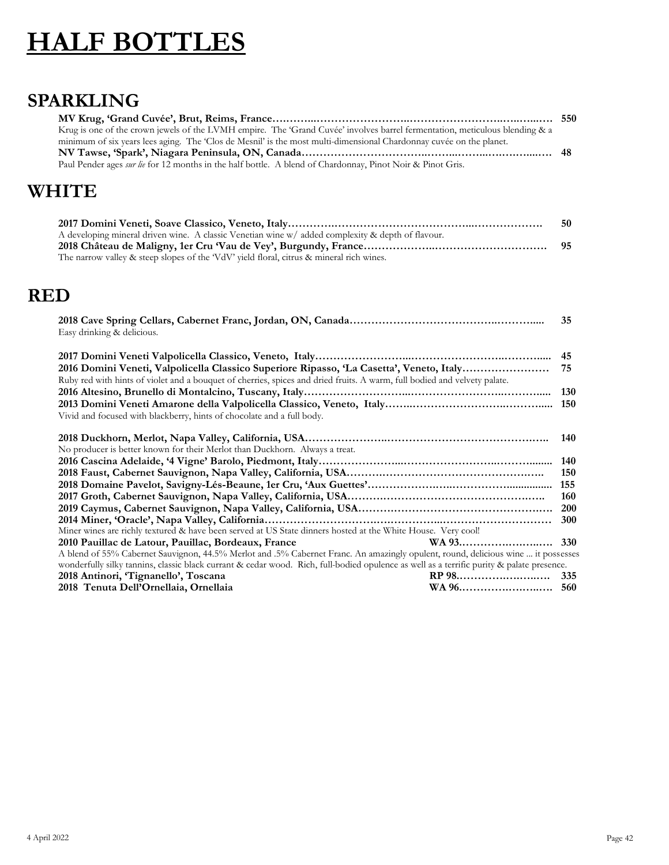# **HALF BOTTLES**

#### **SPARKLING**

| Krug is one of the crown jewels of the LVMH empire. The 'Grand Cuvée' involves barrel fermentation, meticulous blending & a |  |
|-----------------------------------------------------------------------------------------------------------------------------|--|
| minimum of six years lees aging. The 'Clos de Mesnil' is the most multi-dimensional Chardonnay cuvée on the planet.         |  |
|                                                                                                                             |  |
| Paul Pender ages <i>sur lie</i> for 12 months in the half bottle. A blend of Chardonnay, Pinot Noir & Pinot Gris.           |  |

### **WHITE**

|                                                                                                   | -50 |
|---------------------------------------------------------------------------------------------------|-----|
| A developing mineral driven wine. A classic Venetian wine w/ added complexity & depth of flavour. |     |
|                                                                                                   |     |
| The narrow valley & steep slopes of the 'VdV' yield floral, citrus & mineral rich wines.          |     |

#### **RED**

| 35                                                                                                                                        |
|-------------------------------------------------------------------------------------------------------------------------------------------|
| 45                                                                                                                                        |
| 75                                                                                                                                        |
|                                                                                                                                           |
| <b>130</b>                                                                                                                                |
| 150                                                                                                                                       |
|                                                                                                                                           |
|                                                                                                                                           |
| 140                                                                                                                                       |
|                                                                                                                                           |
| 140                                                                                                                                       |
| 150                                                                                                                                       |
| 155                                                                                                                                       |
| 160                                                                                                                                       |
|                                                                                                                                           |
| <b>300</b>                                                                                                                                |
|                                                                                                                                           |
| <b>330</b>                                                                                                                                |
| A blend of 55% Cabernet Sauvignon, 44.5% Merlot and .5% Cabernet Franc. An amazingly opulent, round, delicious wine  it possesses         |
| wonderfully silky tannins, classic black currant & cedar wood. Rich, full-bodied opulence as well as a terrific purity & palate presence. |
|                                                                                                                                           |
|                                                                                                                                           |
|                                                                                                                                           |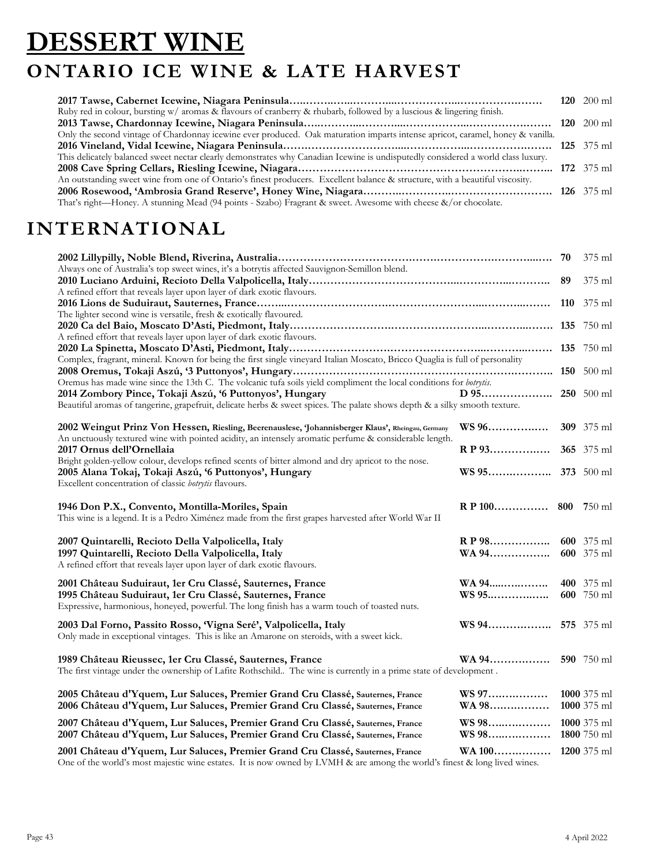### **DESSERT WINE ONTARIO ICE WINE & LATE HARVEST**

|                                                                                                                                  |  | 120 $200$ ml |
|----------------------------------------------------------------------------------------------------------------------------------|--|--------------|
| Ruby red in colour, bursting w/ aromas & flavours of cranberry & rhubarb, followed by a luscious & lingering finish.             |  |              |
|                                                                                                                                  |  |              |
| Only the second vintage of Chardonnay icewine ever produced. Oak maturation imparts intense apricot, caramel, honey & vanilla.   |  |              |
|                                                                                                                                  |  |              |
| This delicately balanced sweet nectar clearly demonstrates why Canadian Icewine is undisputedly considered a world class luxury. |  |              |
|                                                                                                                                  |  |              |
| An outstanding sweet wine from one of Ontario's finest producers. Excellent balance & structure, with a beautiful viscosity.     |  |              |
|                                                                                                                                  |  |              |
| That's right—Honey. A stunning Mead (94 points - Szabo) Fragrant & sweet. Awesome with cheese &/or chocolate.                    |  |              |

### **INTERNATIONAL**

|                                                                                                                              |                    |            | 375 ml            |
|------------------------------------------------------------------------------------------------------------------------------|--------------------|------------|-------------------|
| Always one of Australia's top sweet wines, it's a botrytis affected Sauvignon-Semillon blend.                                |                    |            |                   |
| 89                                                                                                                           |                    |            | 375 ml            |
| A refined effort that reveals layer upon layer of dark exotic flavours.                                                      |                    |            |                   |
|                                                                                                                              |                    | <b>110</b> | 375 ml            |
| The lighter second wine is versatile, fresh & exotically flavoured.                                                          |                    |            |                   |
|                                                                                                                              |                    |            | 750 ml            |
| A refined effort that reveals layer upon layer of dark exotic flavours.                                                      |                    |            |                   |
| Complex, fragrant, mineral. Known for being the first single vineyard Italian Moscato, Bricco Quaglia is full of personality |                    |            |                   |
|                                                                                                                              |                    |            |                   |
| Oremus has made wine since the 13th C. The volcanic tufa soils yield compliment the local conditions for botrytis.           |                    |            |                   |
| 2014 Zombory Pince, Tokaji Aszú, '6 Puttonyos', Hungary                                                                      |                    |            |                   |
| Beautiful aromas of tangerine, grapefruit, delicate herbs & sweet spices. The palate shows depth & a silky smooth texture.   |                    |            |                   |
|                                                                                                                              |                    |            |                   |
| 2002 Weingut Prinz Von Hessen, Riesling, Beerenauslese, Johannisberger Klaus', Rheingau, Germany                             | WS 96              |            | <b>309</b> 375 ml |
| An unctuously textured wine with pointed acidity, an intensely aromatic perfume & considerable length.                       |                    |            |                   |
| 2017 Ornus dell'Ornellaia                                                                                                    | R P 93             |            | 365 375 ml        |
| Bright golden-yellow colour, develops refined scents of bitter almond and dry apricot to the nose.                           |                    |            |                   |
| 2005 Alana Tokaj, Tokaji Aszú, '6 Puttonyos', Hungary                                                                        |                    |            |                   |
| Excellent concentration of classic botrytis flavours.                                                                        |                    |            |                   |
|                                                                                                                              |                    |            |                   |
| 1946 Don P.X., Convento, Montilla-Moriles, Spain                                                                             | $R$ P 100          | 800        | 750 ml            |
| This wine is a legend. It is a Pedro Ximénez made from the first grapes harvested after World War II                         |                    |            |                   |
| 2007 Quintarelli, Recioto Della Valpolicella, Italy                                                                          | R P 98             |            | 600 375 ml        |
| 1997 Quintarelli, Recioto Della Valpolicella, Italy                                                                          | WA 94              |            | 600 375 ml        |
| A refined effort that reveals layer upon layer of dark exotic flavours.                                                      |                    |            |                   |
|                                                                                                                              |                    |            |                   |
| 2001 Château Suduiraut, 1er Cru Classé, Sauternes, France                                                                    | WA 94              |            | 400 375 ml        |
| 1995 Château Suduiraut, 1er Cru Classé, Sauternes, France                                                                    |                    |            | 600 750 ml        |
| Expressive, harmonious, honeyed, powerful. The long finish has a warm touch of toasted nuts.                                 |                    |            |                   |
| 2003 Dal Forno, Passito Rosso, 'Vigna Seré', Valpolicella, Italy                                                             | WS 94              |            | 575 375 ml        |
| Only made in exceptional vintages. This is like an Amarone on steroids, with a sweet kick.                                   |                    |            |                   |
|                                                                                                                              |                    |            |                   |
| 1989 Château Rieussec, 1er Cru Classé, Sauternes, France                                                                     | WA 94              |            | 590 750 ml        |
| The first vintage under the ownership of Lafite Rothschild. The wine is currently in a prime state of development.           |                    |            |                   |
|                                                                                                                              |                    |            |                   |
| 2005 Château d'Yquem, Lur Saluces, Premier Grand Cru Classé, Sauternes, France                                               | WS 97              |            | $1000$ 375 ml     |
| 2006 Château d'Yquem, Lur Saluces, Premier Grand Cru Classé, Sauternes, France                                               | WA 98              |            | 1000 375 ml       |
| 2007 Château d'Yquem, Lur Saluces, Premier Grand Cru Classé, Sauternes, France                                               | WS 98              |            | 1000 375 ml       |
| 2007 Château d'Yquem, Lur Saluces, Premier Grand Cru Classé, Sauternes, France                                               | WS 98              |            | 1800 750 ml       |
|                                                                                                                              |                    |            |                   |
| 2001 Château d'Yquem, Lur Saluces, Premier Grand Cru Classé, Sauternes, France                                               | WA 100 1200 375 ml |            |                   |

One of the world's most majestic wine estates. It is now owned by LVMH & are among the world's finest & long lived wines.